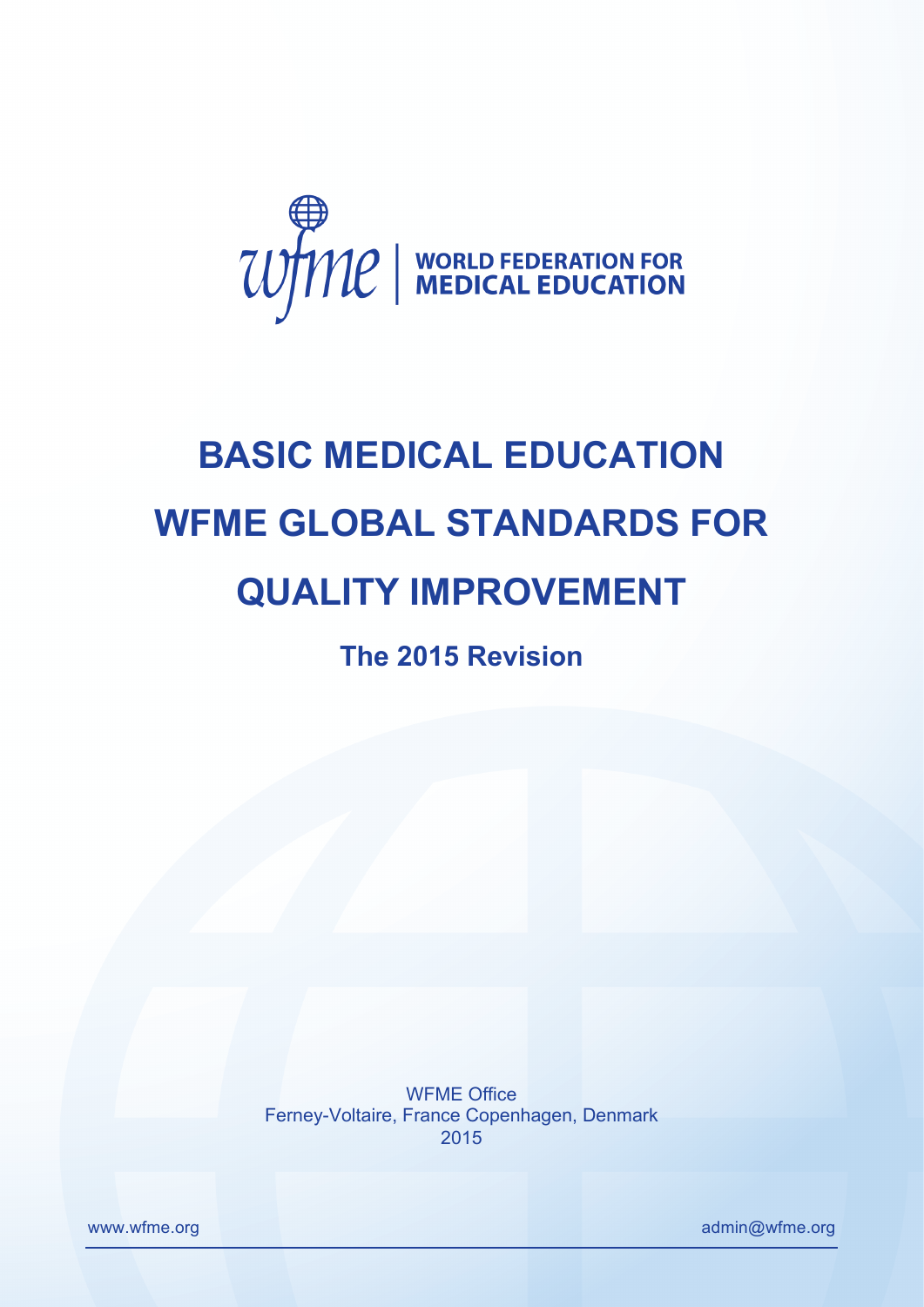

# **BASIC MEDICAL EDUCATION WFME GLOBAL STANDARDS FOR QUALITY IMPROVEMENT**

**The 2015 Revision** 

WFME Office Ferney-Voltaire, France Copenhagen, Denmark 2015

www.wfme.org admin@wfme.org admin@wfme.org admin@wfme.org admin@wfme.org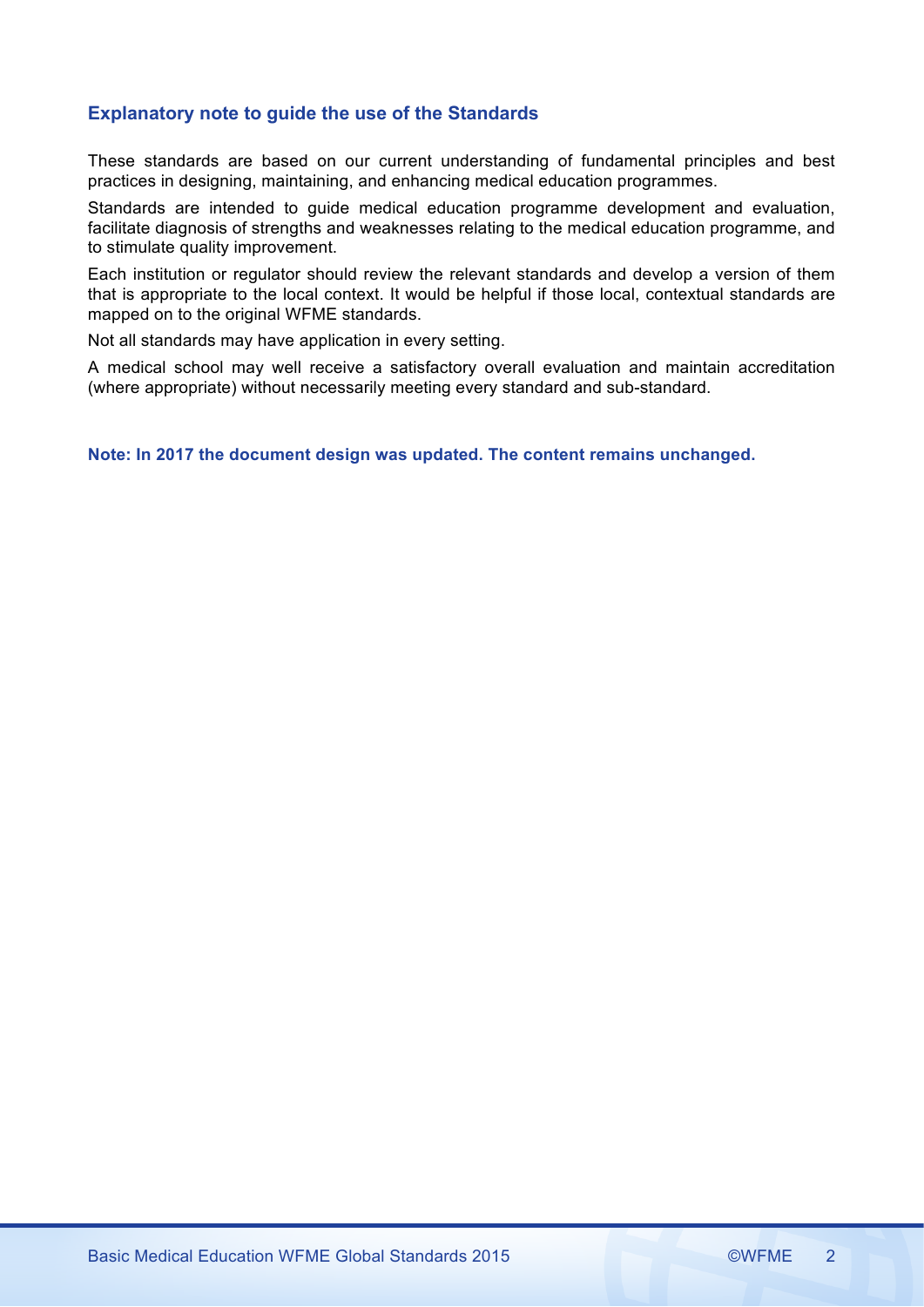# **Explanatory note to guide the use of the Standards**

These standards are based on our current understanding of fundamental principles and best practices in designing, maintaining, and enhancing medical education programmes.

Standards are intended to guide medical education programme development and evaluation, facilitate diagnosis of strengths and weaknesses relating to the medical education programme, and to stimulate quality improvement.

Each institution or regulator should review the relevant standards and develop a version of them that is appropriate to the local context. It would be helpful if those local, contextual standards are mapped on to the original WFME standards.

Not all standards may have application in every setting.

A medical school may well receive a satisfactory overall evaluation and maintain accreditation (where appropriate) without necessarily meeting every standard and sub-standard.

**Note: In 2017 the document design was updated. The content remains unchanged.**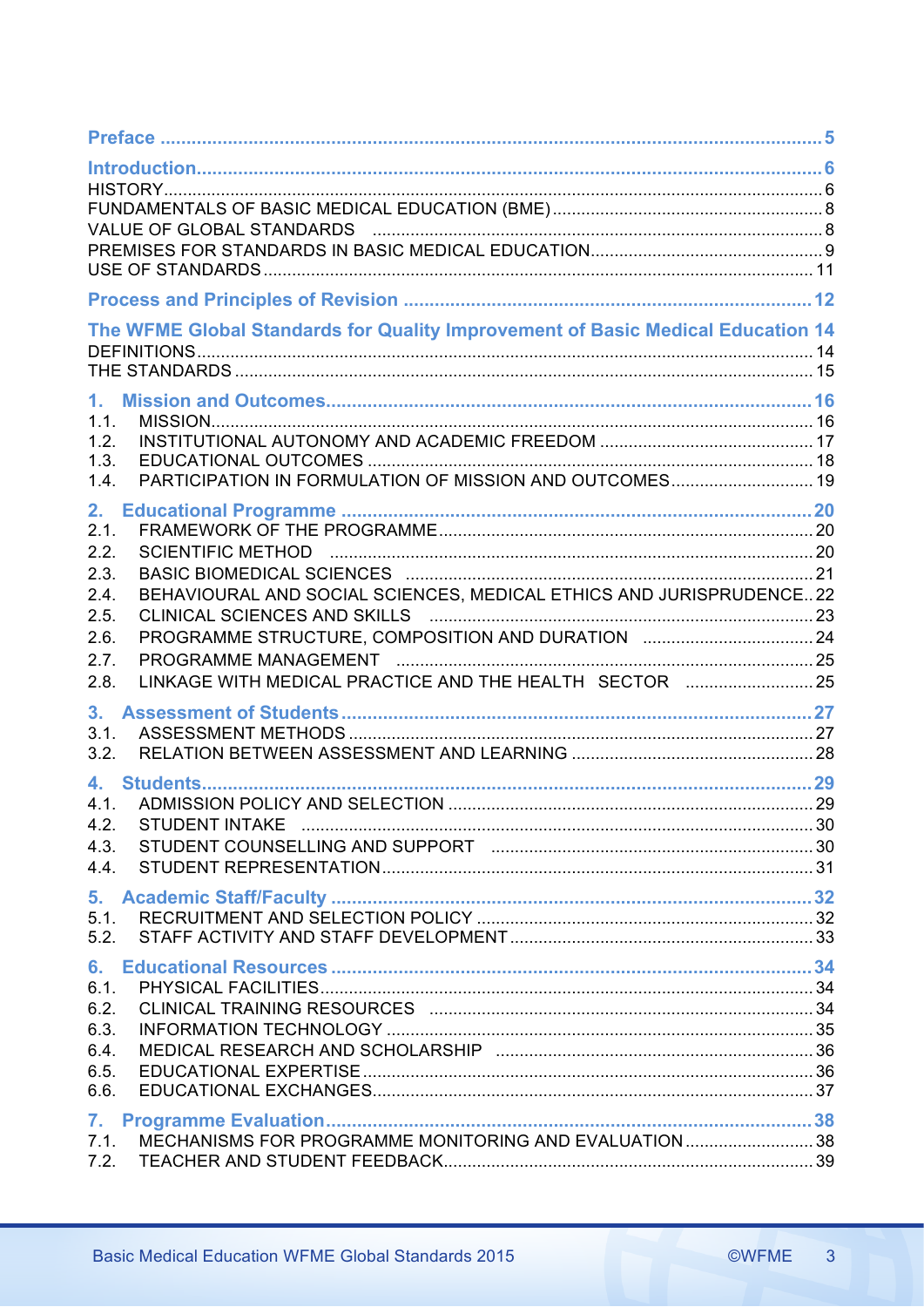| The WFME Global Standards for Quality Improvement of Basic Medical Education 14                                                                                                                                                                            |  |
|------------------------------------------------------------------------------------------------------------------------------------------------------------------------------------------------------------------------------------------------------------|--|
| 1.<br>1.1.<br>1.2.<br>1.3.<br>PARTICIPATION IN FORMULATION OF MISSION AND OUTCOMES 19<br>1.4.                                                                                                                                                              |  |
| 2.<br>2.1.<br>2.2.<br>2.3.<br>BEHAVIOURAL AND SOCIAL SCIENCES, MEDICAL ETHICS AND JURISPRUDENCE 22<br>2.4.<br>2.5.<br>PROGRAMME STRUCTURE, COMPOSITION AND DURATION  24<br>2.6.<br>2.7.<br>LINKAGE WITH MEDICAL PRACTICE AND THE HEALTH SECTOR  25<br>2.8. |  |
| 3 <sub>1</sub><br>3.1.<br>3.2.                                                                                                                                                                                                                             |  |
| 4.<br>4.1.<br>4.2.                                                                                                                                                                                                                                         |  |
|                                                                                                                                                                                                                                                            |  |
| 6.1.<br>6.4.<br>6.5.<br>6.6.                                                                                                                                                                                                                               |  |
| 7.<br>7.1. MECHANISMS FOR PROGRAMME MONITORING AND EVALUATION  38                                                                                                                                                                                          |  |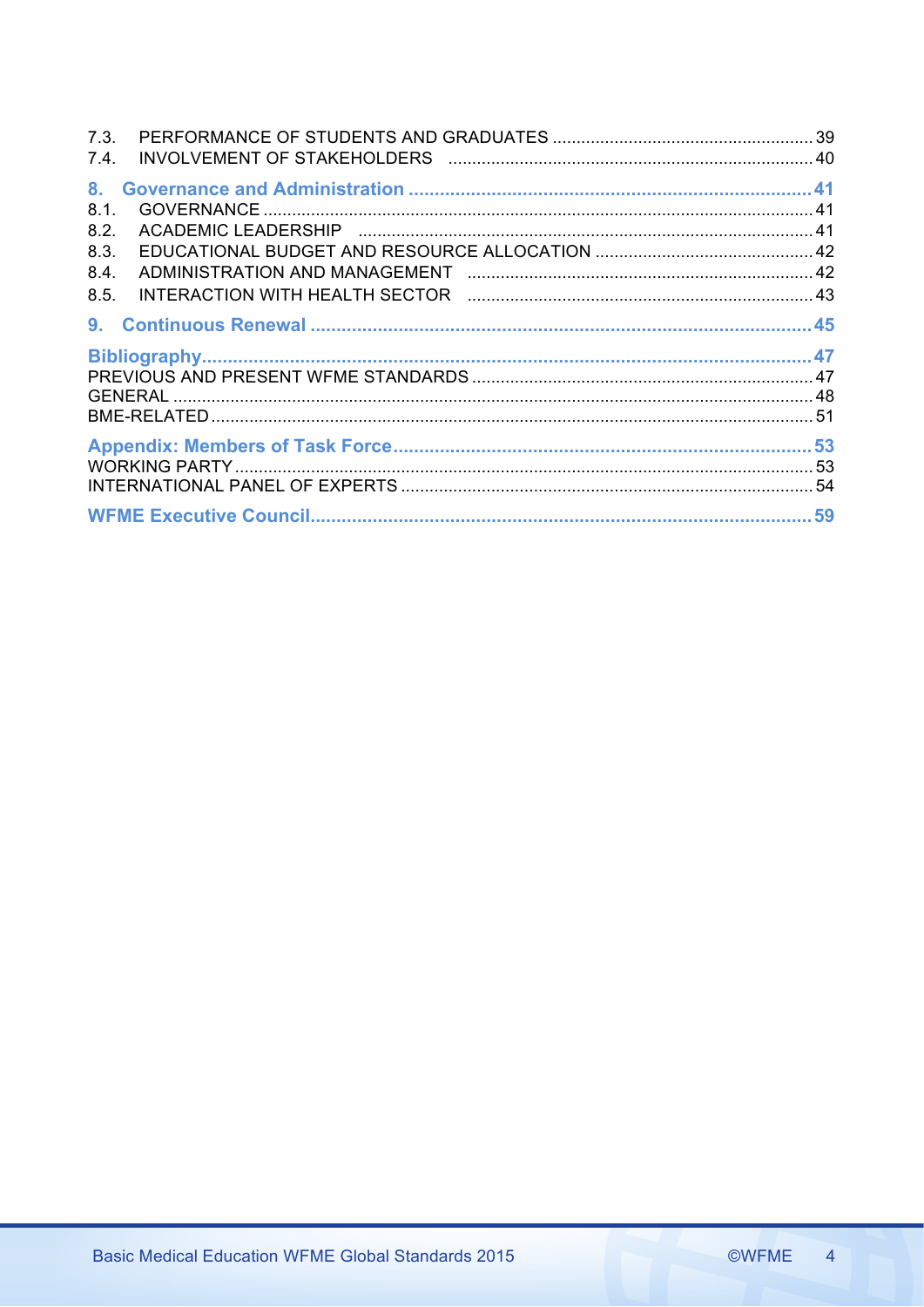| 7.4. |  |
|------|--|
|      |  |
| 8.1. |  |
| 8.2. |  |
| 8.3. |  |
| 8.4. |  |
| 8.5. |  |
|      |  |
|      |  |
|      |  |
|      |  |
|      |  |
|      |  |
|      |  |
|      |  |
|      |  |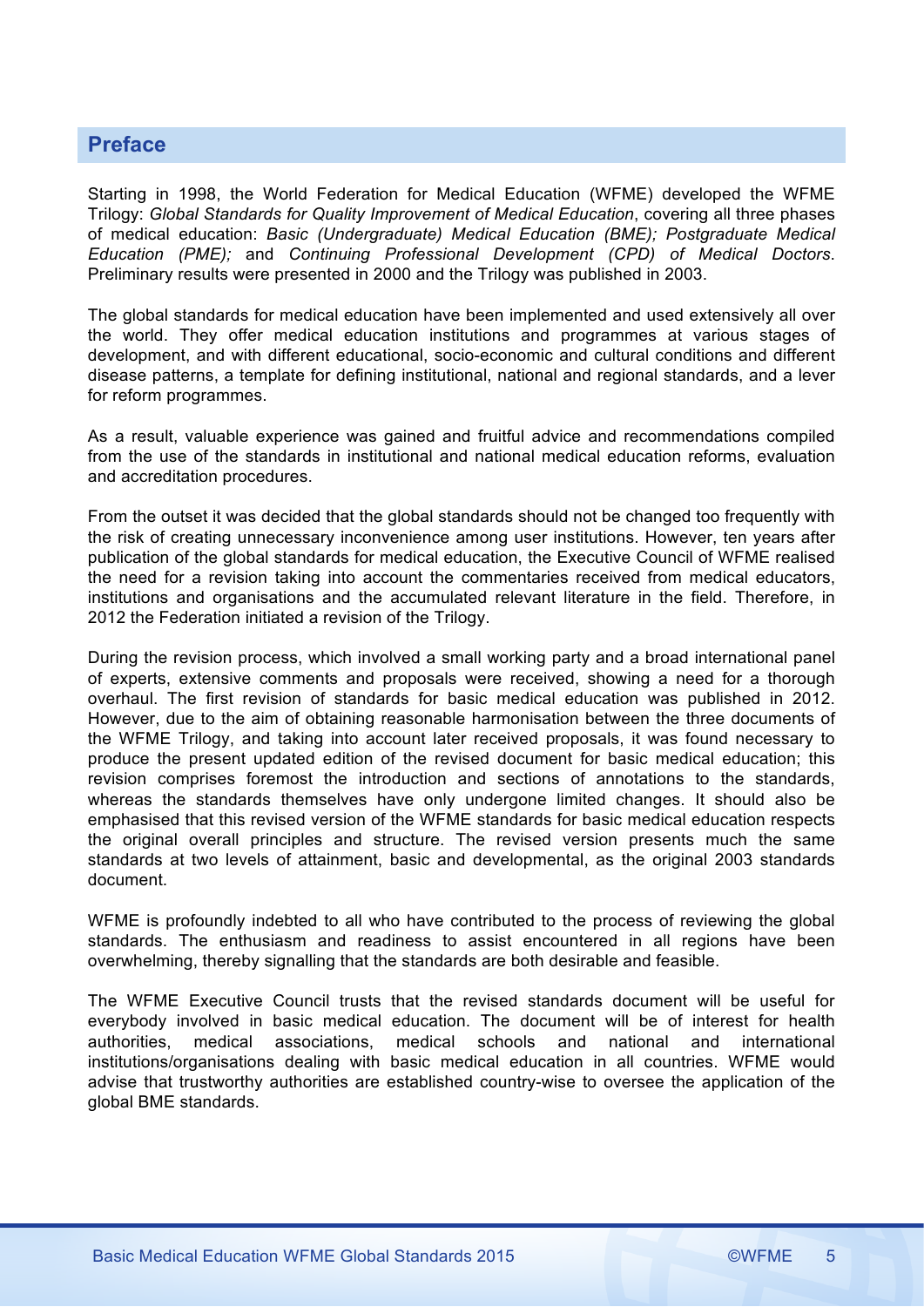# **Preface**

Starting in 1998, the World Federation for Medical Education (WFME) developed the WFME Trilogy: *Global Standards for Quality Improvement of Medical Education*, covering all three phases of medical education: *Basic (Undergraduate) Medical Education (BME); Postgraduate Medical Education (PME);* and *Continuing Professional Development (CPD) of Medical Doctors*. Preliminary results were presented in 2000 and the Trilogy was published in 2003.

The global standards for medical education have been implemented and used extensively all over the world. They offer medical education institutions and programmes at various stages of development, and with different educational, socio-economic and cultural conditions and different disease patterns, a template for defining institutional, national and regional standards, and a lever for reform programmes.

As a result, valuable experience was gained and fruitful advice and recommendations compiled from the use of the standards in institutional and national medical education reforms, evaluation and accreditation procedures.

From the outset it was decided that the global standards should not be changed too frequently with the risk of creating unnecessary inconvenience among user institutions. However, ten years after publication of the global standards for medical education, the Executive Council of WFME realised the need for a revision taking into account the commentaries received from medical educators, institutions and organisations and the accumulated relevant literature in the field. Therefore, in 2012 the Federation initiated a revision of the Trilogy.

During the revision process, which involved a small working party and a broad international panel of experts, extensive comments and proposals were received, showing a need for a thorough overhaul. The first revision of standards for basic medical education was published in 2012. However, due to the aim of obtaining reasonable harmonisation between the three documents of the WFME Trilogy, and taking into account later received proposals, it was found necessary to produce the present updated edition of the revised document for basic medical education; this revision comprises foremost the introduction and sections of annotations to the standards, whereas the standards themselves have only undergone limited changes. It should also be emphasised that this revised version of the WFME standards for basic medical education respects the original overall principles and structure. The revised version presents much the same standards at two levels of attainment, basic and developmental, as the original 2003 standards document.

WFME is profoundly indebted to all who have contributed to the process of reviewing the global standards. The enthusiasm and readiness to assist encountered in all regions have been overwhelming, thereby signalling that the standards are both desirable and feasible.

The WFME Executive Council trusts that the revised standards document will be useful for everybody involved in basic medical education. The document will be of interest for health authorities, medical associations, medical schools and national and international institutions/organisations dealing with basic medical education in all countries. WFME would advise that trustworthy authorities are established country-wise to oversee the application of the global BME standards.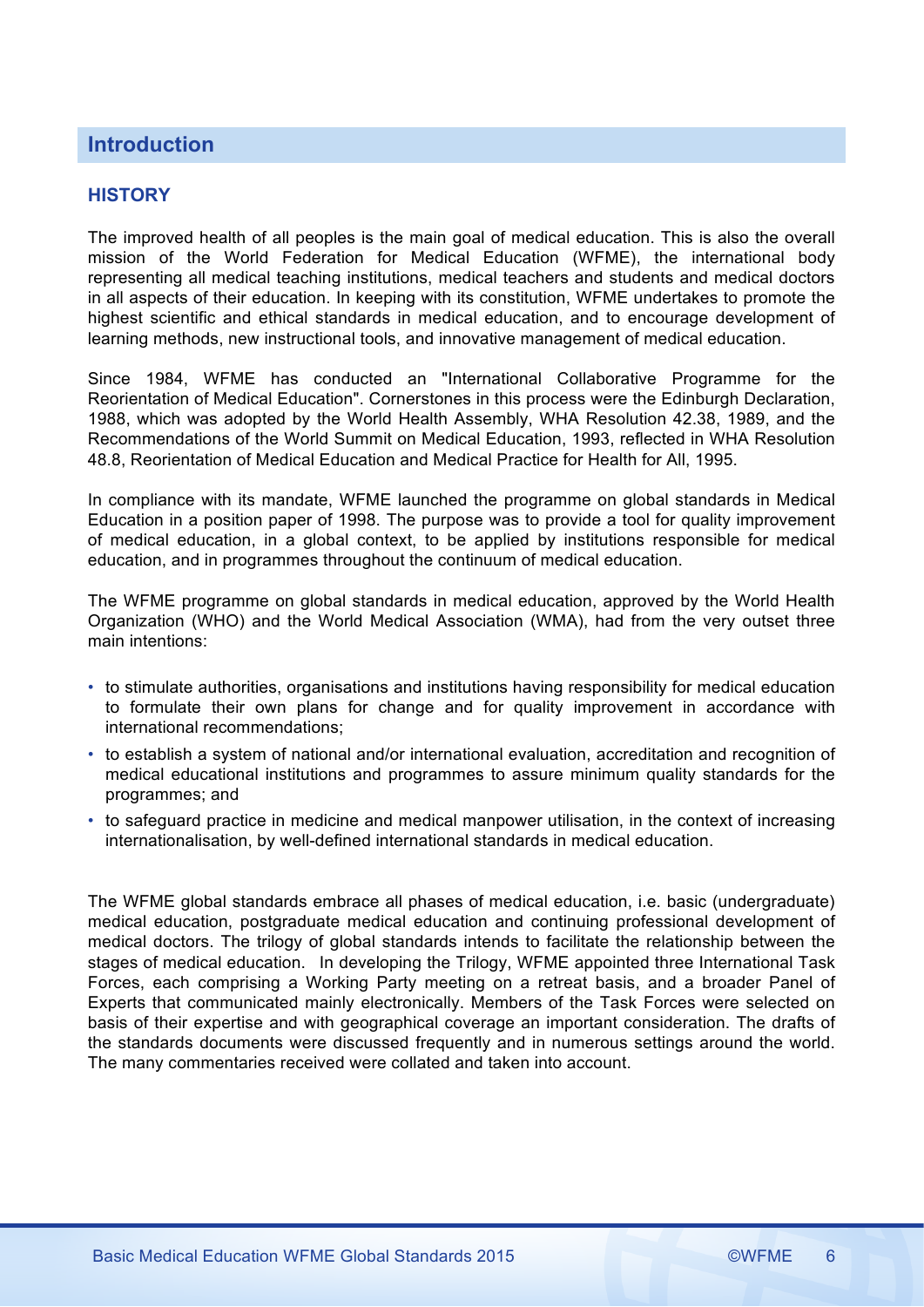# **Introduction**

# **HISTORY**

The improved health of all peoples is the main goal of medical education. This is also the overall mission of the World Federation for Medical Education (WFME), the international body representing all medical teaching institutions, medical teachers and students and medical doctors in all aspects of their education. In keeping with its constitution, WFME undertakes to promote the highest scientific and ethical standards in medical education, and to encourage development of learning methods, new instructional tools, and innovative management of medical education.

Since 1984, WFME has conducted an "International Collaborative Programme for the Reorientation of Medical Education". Cornerstones in this process were the Edinburgh Declaration, 1988, which was adopted by the World Health Assembly, WHA Resolution 42.38, 1989, and the Recommendations of the World Summit on Medical Education, 1993, reflected in WHA Resolution 48.8, Reorientation of Medical Education and Medical Practice for Health for All, 1995.

In compliance with its mandate, WFME launched the programme on global standards in Medical Education in a position paper of 1998. The purpose was to provide a tool for quality improvement of medical education, in a global context, to be applied by institutions responsible for medical education, and in programmes throughout the continuum of medical education.

The WFME programme on global standards in medical education, approved by the World Health Organization (WHO) and the World Medical Association (WMA), had from the very outset three main intentions:

- to stimulate authorities, organisations and institutions having responsibility for medical education to formulate their own plans for change and for quality improvement in accordance with international recommendations;
- to establish a system of national and/or international evaluation, accreditation and recognition of medical educational institutions and programmes to assure minimum quality standards for the programmes; and
- to safeguard practice in medicine and medical manpower utilisation, in the context of increasing internationalisation, by well-defined international standards in medical education.

The WFME global standards embrace all phases of medical education, i.e. basic (undergraduate) medical education, postgraduate medical education and continuing professional development of medical doctors. The trilogy of global standards intends to facilitate the relationship between the stages of medical education. In developing the Trilogy, WFME appointed three International Task Forces, each comprising a Working Party meeting on a retreat basis, and a broader Panel of Experts that communicated mainly electronically. Members of the Task Forces were selected on basis of their expertise and with geographical coverage an important consideration. The drafts of the standards documents were discussed frequently and in numerous settings around the world. The many commentaries received were collated and taken into account.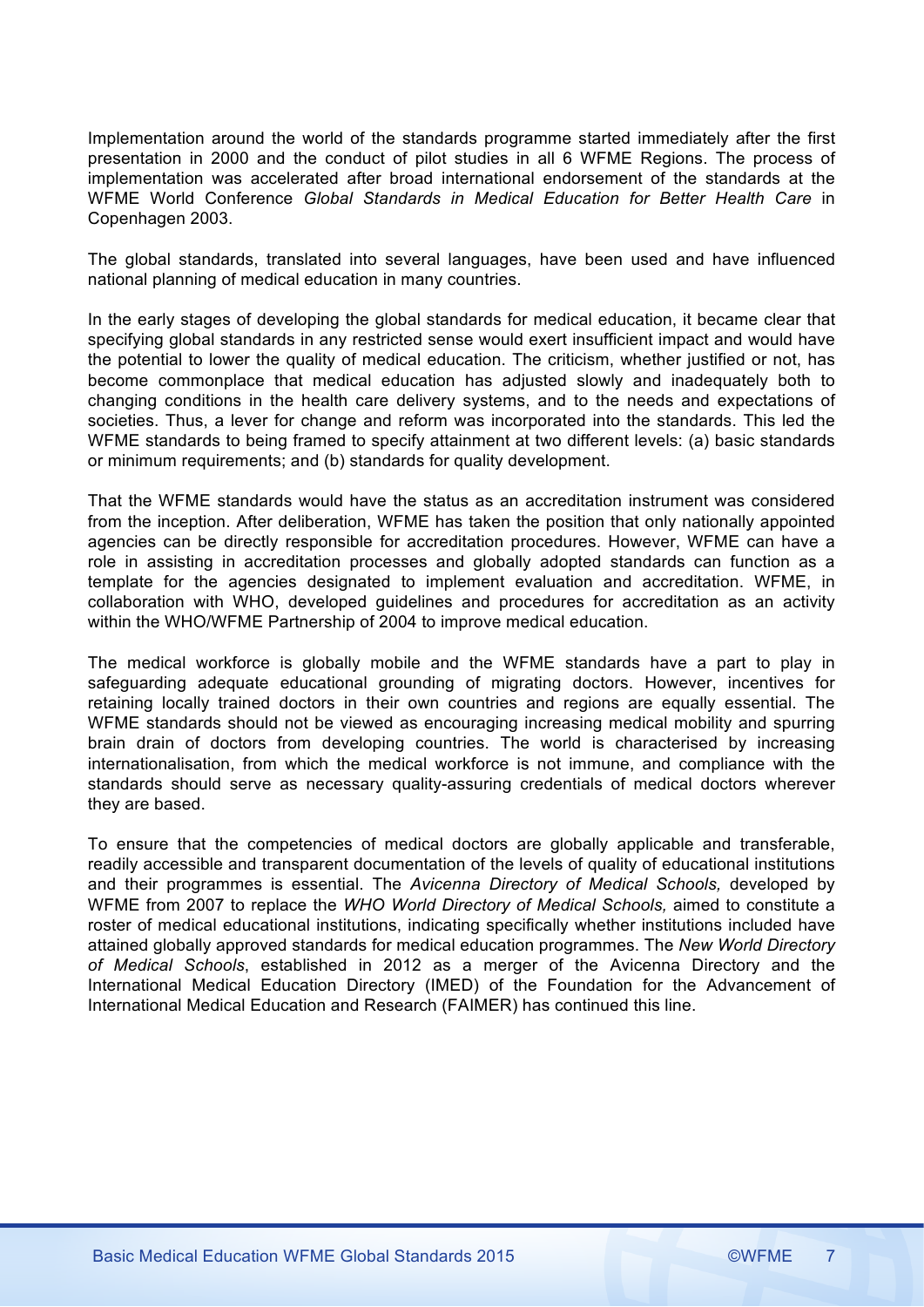Implementation around the world of the standards programme started immediately after the first presentation in 2000 and the conduct of pilot studies in all 6 WFME Regions. The process of implementation was accelerated after broad international endorsement of the standards at the WFME World Conference *Global Standards in Medical Education for Better Health Care* in Copenhagen 2003.

The global standards, translated into several languages, have been used and have influenced national planning of medical education in many countries.

In the early stages of developing the global standards for medical education, it became clear that specifying global standards in any restricted sense would exert insufficient impact and would have the potential to lower the quality of medical education. The criticism, whether justified or not, has become commonplace that medical education has adjusted slowly and inadequately both to changing conditions in the health care delivery systems, and to the needs and expectations of societies. Thus, a lever for change and reform was incorporated into the standards. This led the WFME standards to being framed to specify attainment at two different levels: (a) basic standards or minimum requirements; and (b) standards for quality development.

That the WFME standards would have the status as an accreditation instrument was considered from the inception. After deliberation, WFME has taken the position that only nationally appointed agencies can be directly responsible for accreditation procedures. However, WFME can have a role in assisting in accreditation processes and globally adopted standards can function as a template for the agencies designated to implement evaluation and accreditation. WFME, in collaboration with WHO, developed guidelines and procedures for accreditation as an activity within the WHO/WFME Partnership of 2004 to improve medical education.

The medical workforce is globally mobile and the WFME standards have a part to play in safeguarding adequate educational grounding of migrating doctors. However, incentives for retaining locally trained doctors in their own countries and regions are equally essential. The WFME standards should not be viewed as encouraging increasing medical mobility and spurring brain drain of doctors from developing countries. The world is characterised by increasing internationalisation, from which the medical workforce is not immune, and compliance with the standards should serve as necessary quality-assuring credentials of medical doctors wherever they are based.

To ensure that the competencies of medical doctors are globally applicable and transferable, readily accessible and transparent documentation of the levels of quality of educational institutions and their programmes is essential. The *Avicenna Directory of Medical Schools,* developed by WFME from 2007 to replace the *WHO World Directory of Medical Schools,* aimed to constitute a roster of medical educational institutions, indicating specifically whether institutions included have attained globally approved standards for medical education programmes. The *New World Directory of Medical Schools*, established in 2012 as a merger of the Avicenna Directory and the International Medical Education Directory (IMED) of the Foundation for the Advancement of International Medical Education and Research (FAIMER) has continued this line.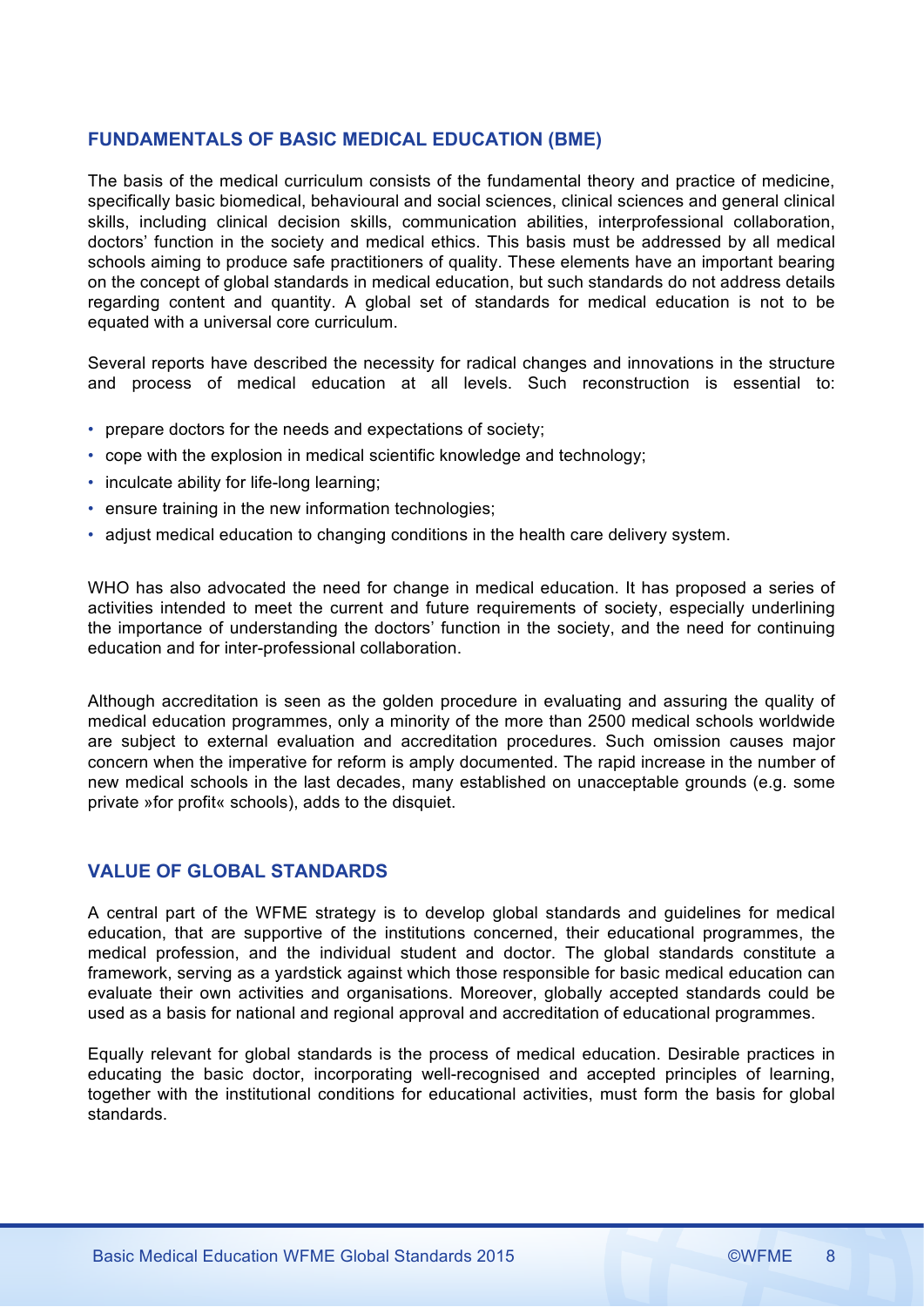# **FUNDAMENTALS OF BASIC MEDICAL EDUCATION (BME)**

The basis of the medical curriculum consists of the fundamental theory and practice of medicine, specifically basic biomedical, behavioural and social sciences, clinical sciences and general clinical skills, including clinical decision skills, communication abilities, interprofessional collaboration, doctors' function in the society and medical ethics. This basis must be addressed by all medical schools aiming to produce safe practitioners of quality. These elements have an important bearing on the concept of global standards in medical education, but such standards do not address details regarding content and quantity. A global set of standards for medical education is not to be equated with a universal core curriculum.

Several reports have described the necessity for radical changes and innovations in the structure and process of medical education at all levels. Such reconstruction is essential to:

- prepare doctors for the needs and expectations of society;
- cope with the explosion in medical scientific knowledge and technology;
- inculcate ability for life-long learning;
- ensure training in the new information technologies;
- adjust medical education to changing conditions in the health care delivery system.

WHO has also advocated the need for change in medical education. It has proposed a series of activities intended to meet the current and future requirements of society, especially underlining the importance of understanding the doctors' function in the society, and the need for continuing education and for inter-professional collaboration.

Although accreditation is seen as the golden procedure in evaluating and assuring the quality of medical education programmes, only a minority of the more than 2500 medical schools worldwide are subject to external evaluation and accreditation procedures. Such omission causes major concern when the imperative for reform is amply documented. The rapid increase in the number of new medical schools in the last decades, many established on unacceptable grounds (e.g. some private »for profit« schools), adds to the disquiet.

# **VALUE OF GLOBAL STANDARDS**

A central part of the WFME strategy is to develop global standards and guidelines for medical education, that are supportive of the institutions concerned, their educational programmes, the medical profession, and the individual student and doctor. The global standards constitute a framework, serving as a yardstick against which those responsible for basic medical education can evaluate their own activities and organisations. Moreover, globally accepted standards could be used as a basis for national and regional approval and accreditation of educational programmes.

Equally relevant for global standards is the process of medical education. Desirable practices in educating the basic doctor, incorporating well-recognised and accepted principles of learning, together with the institutional conditions for educational activities, must form the basis for global standards.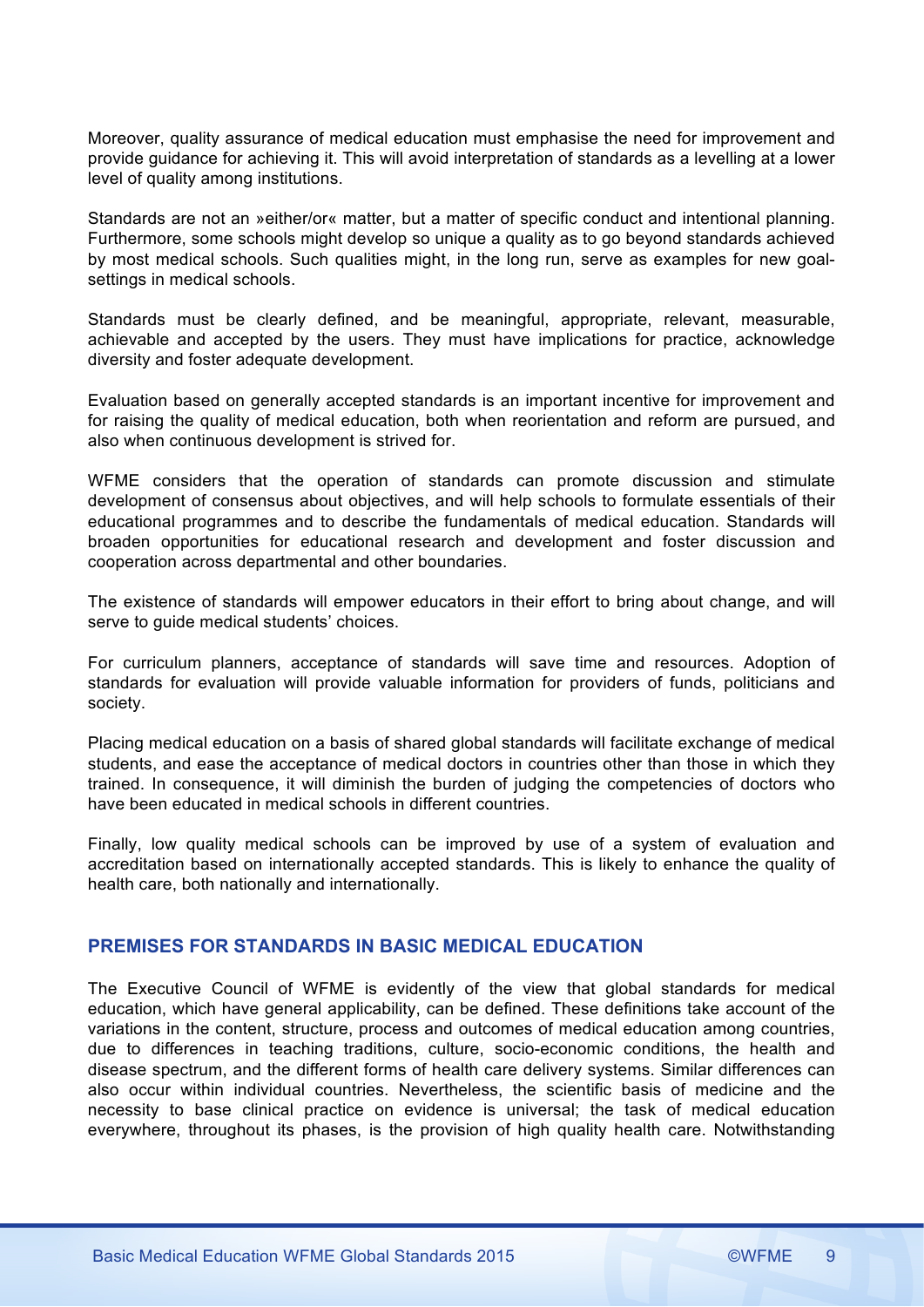Moreover, quality assurance of medical education must emphasise the need for improvement and provide guidance for achieving it. This will avoid interpretation of standards as a levelling at a lower level of quality among institutions.

Standards are not an »either/or« matter, but a matter of specific conduct and intentional planning. Furthermore, some schools might develop so unique a quality as to go beyond standards achieved by most medical schools. Such qualities might, in the long run, serve as examples for new goalsettings in medical schools.

Standards must be clearly defined, and be meaningful, appropriate, relevant, measurable, achievable and accepted by the users. They must have implications for practice, acknowledge diversity and foster adequate development.

Evaluation based on generally accepted standards is an important incentive for improvement and for raising the quality of medical education, both when reorientation and reform are pursued, and also when continuous development is strived for.

WFME considers that the operation of standards can promote discussion and stimulate development of consensus about objectives, and will help schools to formulate essentials of their educational programmes and to describe the fundamentals of medical education. Standards will broaden opportunities for educational research and development and foster discussion and cooperation across departmental and other boundaries.

The existence of standards will empower educators in their effort to bring about change, and will serve to guide medical students' choices.

For curriculum planners, acceptance of standards will save time and resources. Adoption of standards for evaluation will provide valuable information for providers of funds, politicians and society.

Placing medical education on a basis of shared global standards will facilitate exchange of medical students, and ease the acceptance of medical doctors in countries other than those in which they trained. In consequence, it will diminish the burden of judging the competencies of doctors who have been educated in medical schools in different countries.

Finally, low quality medical schools can be improved by use of a system of evaluation and accreditation based on internationally accepted standards. This is likely to enhance the quality of health care, both nationally and internationally.

# **PREMISES FOR STANDARDS IN BASIC MEDICAL EDUCATION**

The Executive Council of WFME is evidently of the view that global standards for medical education, which have general applicability, can be defined. These definitions take account of the variations in the content, structure, process and outcomes of medical education among countries, due to differences in teaching traditions, culture, socio-economic conditions, the health and disease spectrum, and the different forms of health care delivery systems. Similar differences can also occur within individual countries. Nevertheless, the scientific basis of medicine and the necessity to base clinical practice on evidence is universal; the task of medical education everywhere, throughout its phases, is the provision of high quality health care. Notwithstanding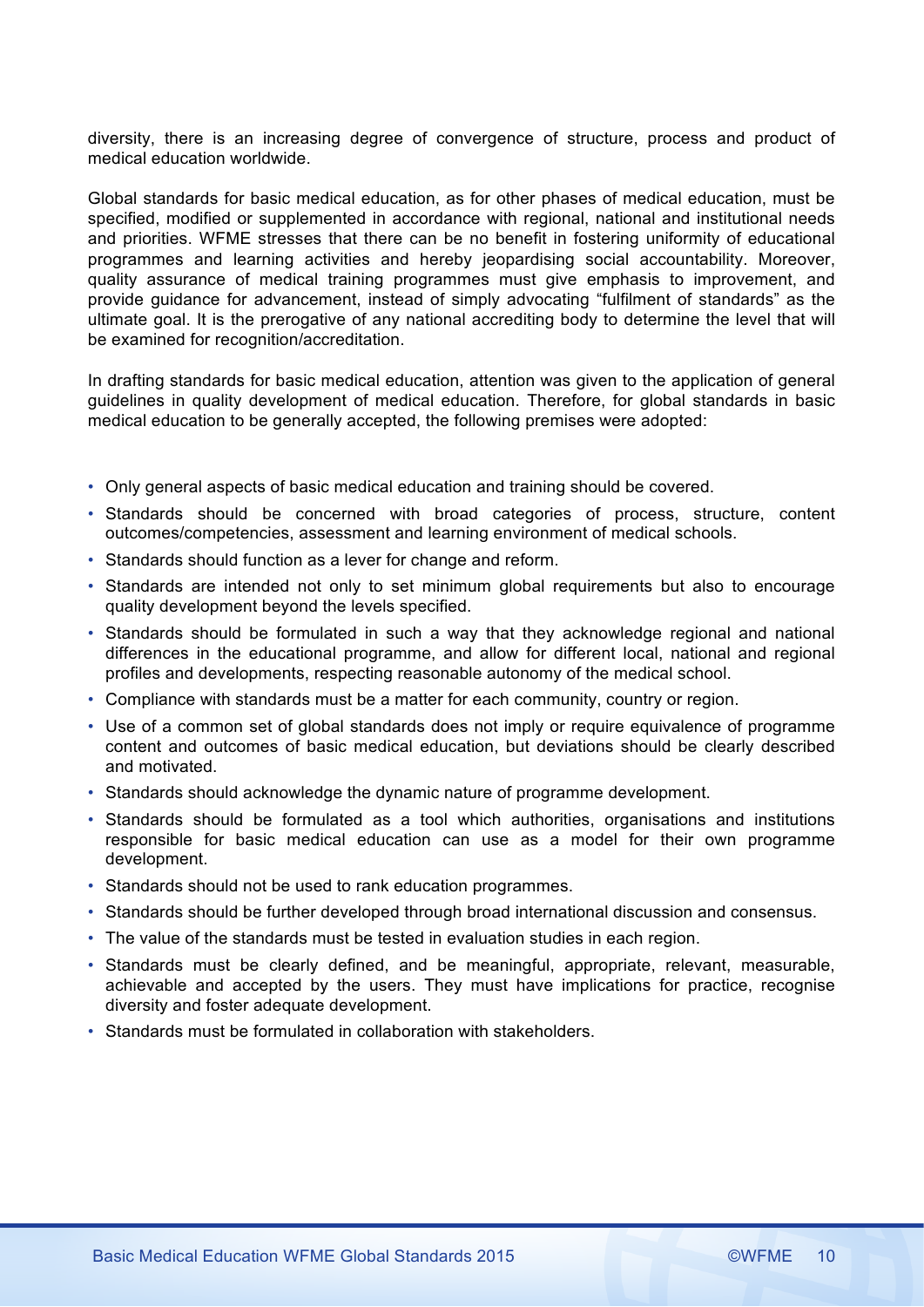diversity, there is an increasing degree of convergence of structure, process and product of medical education worldwide.

Global standards for basic medical education, as for other phases of medical education, must be specified, modified or supplemented in accordance with regional, national and institutional needs and priorities. WFME stresses that there can be no benefit in fostering uniformity of educational programmes and learning activities and hereby jeopardising social accountability. Moreover, quality assurance of medical training programmes must give emphasis to improvement, and provide guidance for advancement, instead of simply advocating "fulfilment of standards" as the ultimate goal. It is the prerogative of any national accrediting body to determine the level that will be examined for recognition/accreditation.

In drafting standards for basic medical education, attention was given to the application of general guidelines in quality development of medical education. Therefore, for global standards in basic medical education to be generally accepted, the following premises were adopted:

- Only general aspects of basic medical education and training should be covered.
- Standards should be concerned with broad categories of process, structure, content outcomes/competencies, assessment and learning environment of medical schools.
- Standards should function as a lever for change and reform.
- Standards are intended not only to set minimum global requirements but also to encourage quality development beyond the levels specified.
- Standards should be formulated in such a way that they acknowledge regional and national differences in the educational programme, and allow for different local, national and regional profiles and developments, respecting reasonable autonomy of the medical school.
- Compliance with standards must be a matter for each community, country or region.
- Use of a common set of global standards does not imply or require equivalence of programme content and outcomes of basic medical education, but deviations should be clearly described and motivated.
- Standards should acknowledge the dynamic nature of programme development.
- Standards should be formulated as a tool which authorities, organisations and institutions responsible for basic medical education can use as a model for their own programme development.
- Standards should not be used to rank education programmes.
- Standards should be further developed through broad international discussion and consensus.
- The value of the standards must be tested in evaluation studies in each region.
- Standards must be clearly defined, and be meaningful, appropriate, relevant, measurable, achievable and accepted by the users. They must have implications for practice, recognise diversity and foster adequate development.
- Standards must be formulated in collaboration with stakeholders.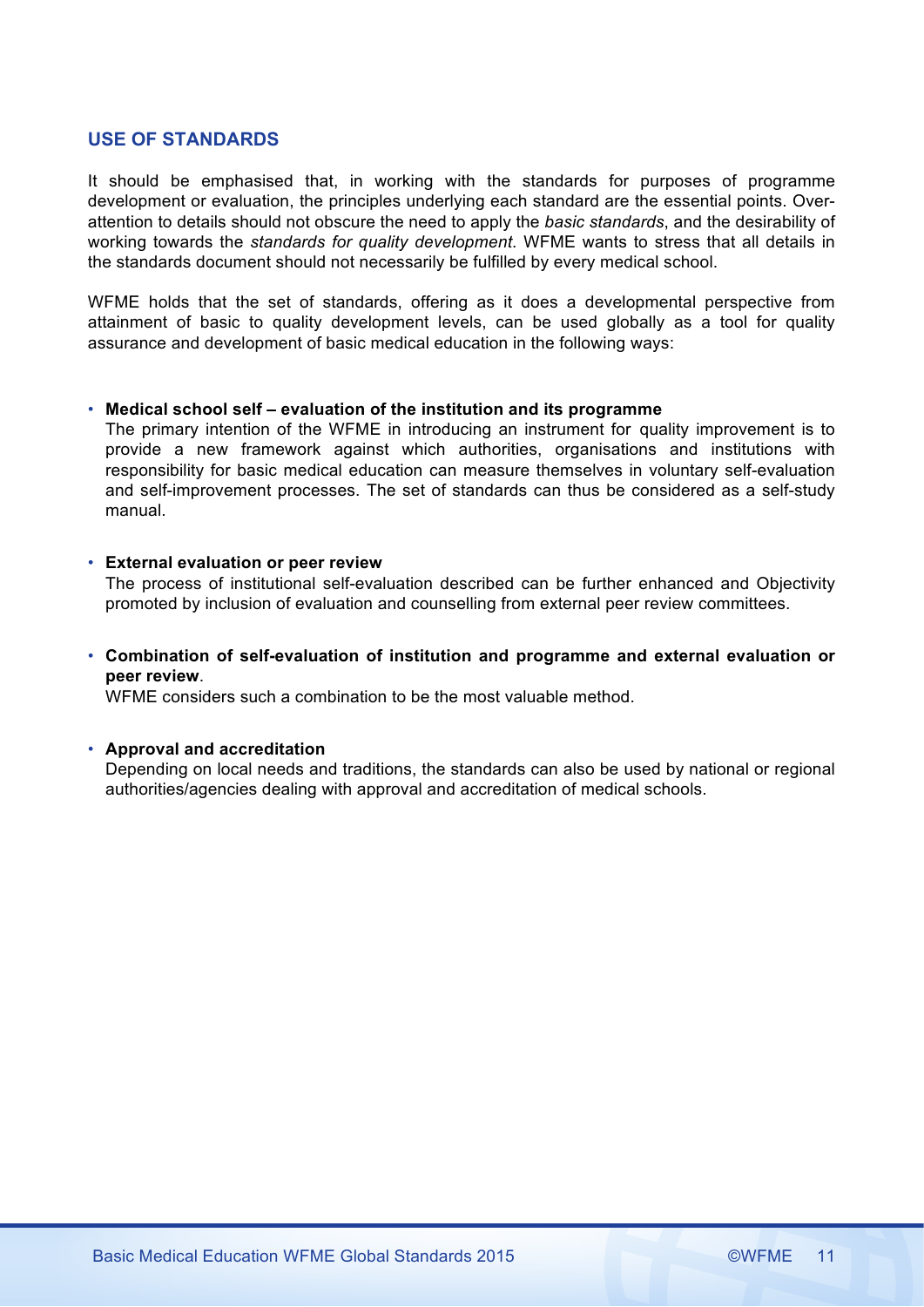# **USE OF STANDARDS**

It should be emphasised that, in working with the standards for purposes of programme development or evaluation, the principles underlying each standard are the essential points. Overattention to details should not obscure the need to apply the *basic standards*, and the desirability of working towards the *standards for quality development*. WFME wants to stress that all details in the standards document should not necessarily be fulfilled by every medical school.

WFME holds that the set of standards, offering as it does a developmental perspective from attainment of basic to quality development levels, can be used globally as a tool for quality assurance and development of basic medical education in the following ways:

### • **Medical school self – evaluation of the institution and its programme**

The primary intention of the WFME in introducing an instrument for quality improvement is to provide a new framework against which authorities, organisations and institutions with responsibility for basic medical education can measure themselves in voluntary self-evaluation and self-improvement processes. The set of standards can thus be considered as a self-study manual.

# • **External evaluation or peer review**

The process of institutional self-evaluation described can be further enhanced and Objectivity promoted by inclusion of evaluation and counselling from external peer review committees.

# • **Combination of self-evaluation of institution and programme and external evaluation or peer review**.

WFME considers such a combination to be the most valuable method.

### • **Approval and accreditation**

Depending on local needs and traditions, the standards can also be used by national or regional authorities/agencies dealing with approval and accreditation of medical schools.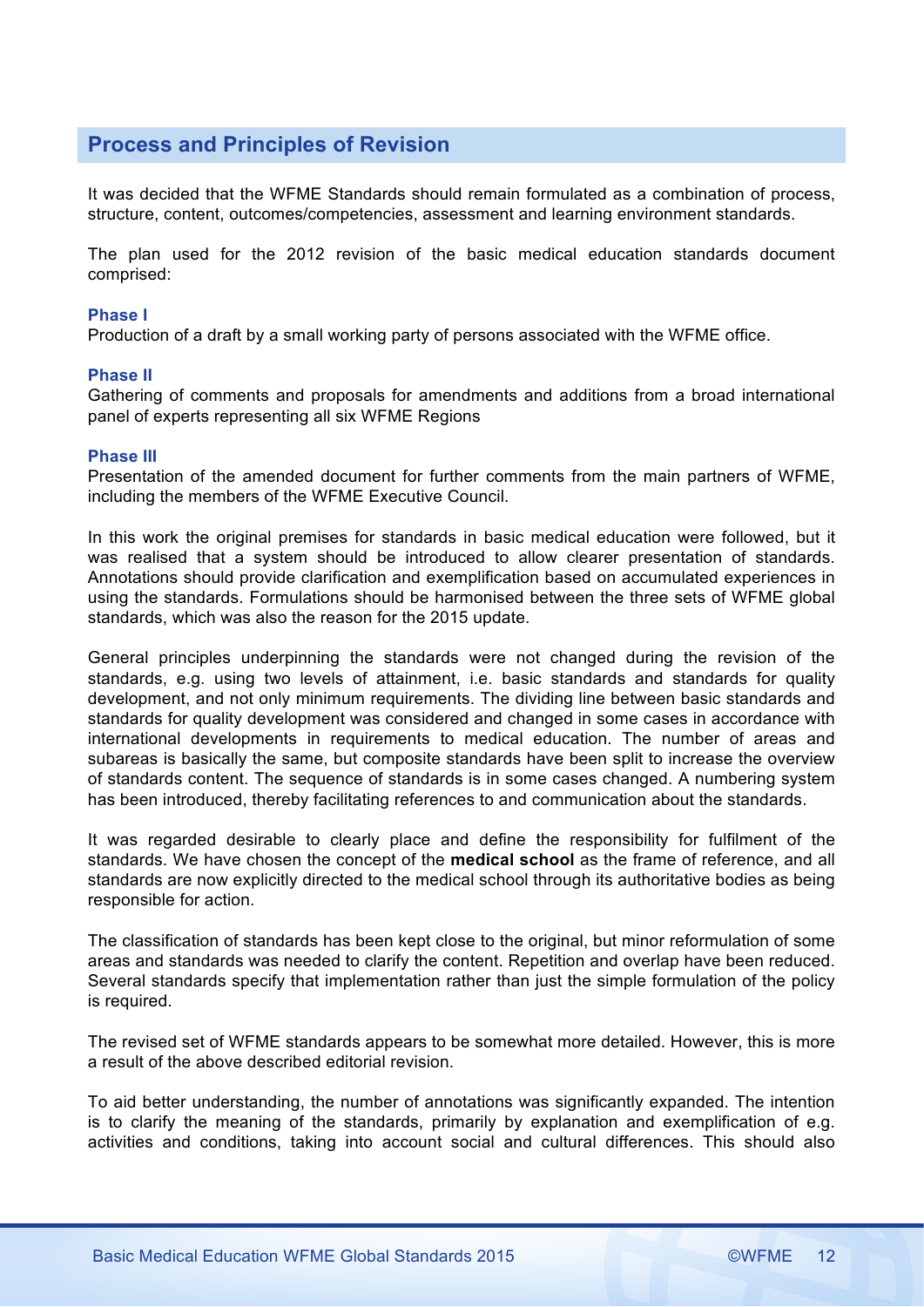# **Process and Principles of Revision**

It was decided that the WFME Standards should remain formulated as a combination of process, structure, content, outcomes/competencies, assessment and learning environment standards.

The plan used for the 2012 revision of the basic medical education standards document comprised:

#### **Phase I**

Production of a draft by a small working party of persons associated with the WFME office.

#### **Phase II**

Gathering of comments and proposals for amendments and additions from a broad international panel of experts representing all six WFME Regions

#### **Phase III**

Presentation of the amended document for further comments from the main partners of WFME, including the members of the WFME Executive Council.

In this work the original premises for standards in basic medical education were followed, but it was realised that a system should be introduced to allow clearer presentation of standards. Annotations should provide clarification and exemplification based on accumulated experiences in using the standards. Formulations should be harmonised between the three sets of WFME global standards, which was also the reason for the 2015 update.

General principles underpinning the standards were not changed during the revision of the standards, e.g. using two levels of attainment, i.e. basic standards and standards for quality development, and not only minimum requirements. The dividing line between basic standards and standards for quality development was considered and changed in some cases in accordance with international developments in requirements to medical education. The number of areas and subareas is basically the same, but composite standards have been split to increase the overview of standards content. The sequence of standards is in some cases changed. A numbering system has been introduced, thereby facilitating references to and communication about the standards.

It was regarded desirable to clearly place and define the responsibility for fulfilment of the standards. We have chosen the concept of the **medical school** as the frame of reference, and all standards are now explicitly directed to the medical school through its authoritative bodies as being responsible for action.

The classification of standards has been kept close to the original, but minor reformulation of some areas and standards was needed to clarify the content. Repetition and overlap have been reduced. Several standards specify that implementation rather than just the simple formulation of the policy is required.

The revised set of WFME standards appears to be somewhat more detailed. However, this is more a result of the above described editorial revision.

To aid better understanding, the number of annotations was significantly expanded. The intention is to clarify the meaning of the standards, primarily by explanation and exemplification of e.g. activities and conditions, taking into account social and cultural differences. This should also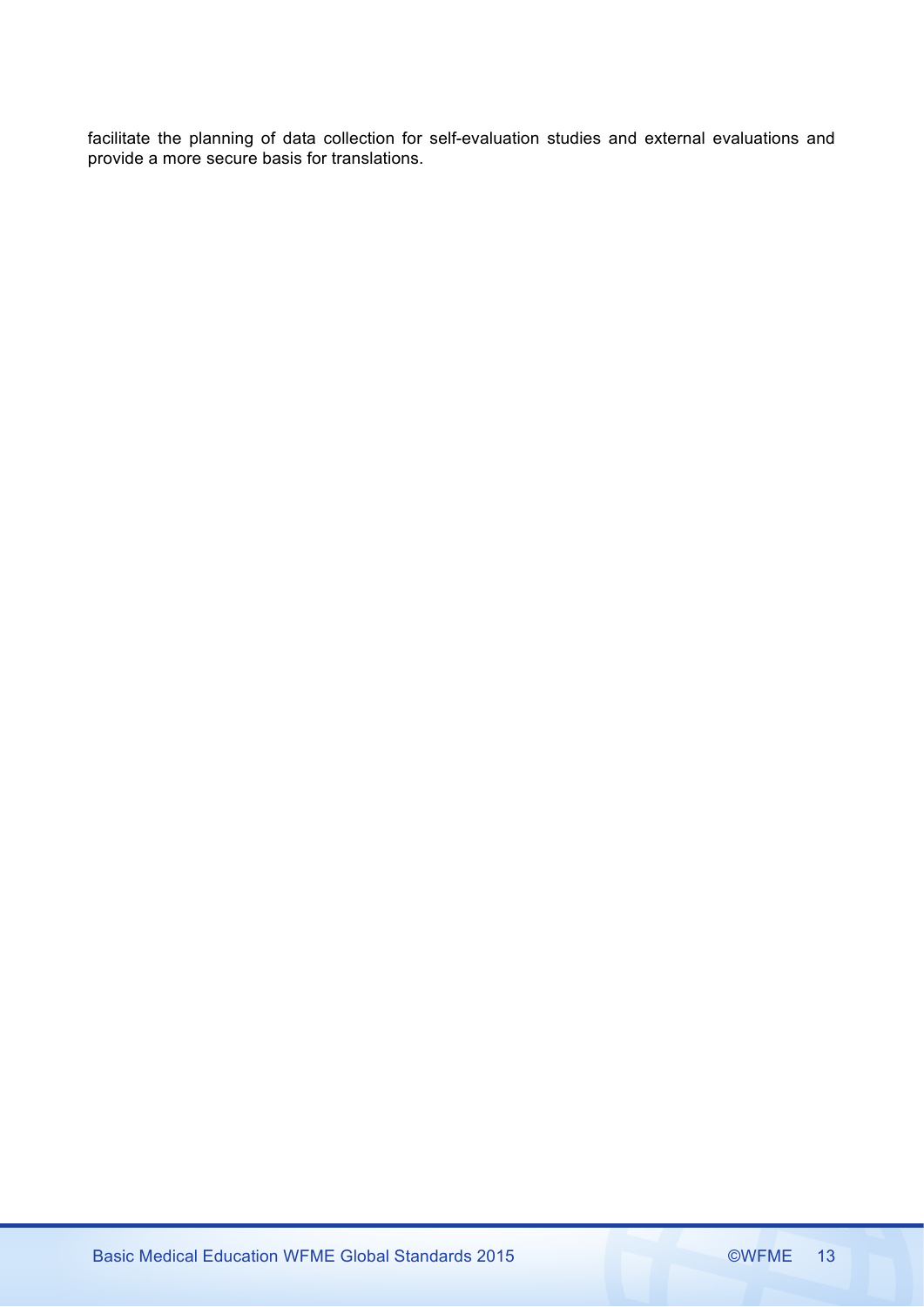facilitate the planning of data collection for self-evaluation studies and external evaluations and provide a more secure basis for translations.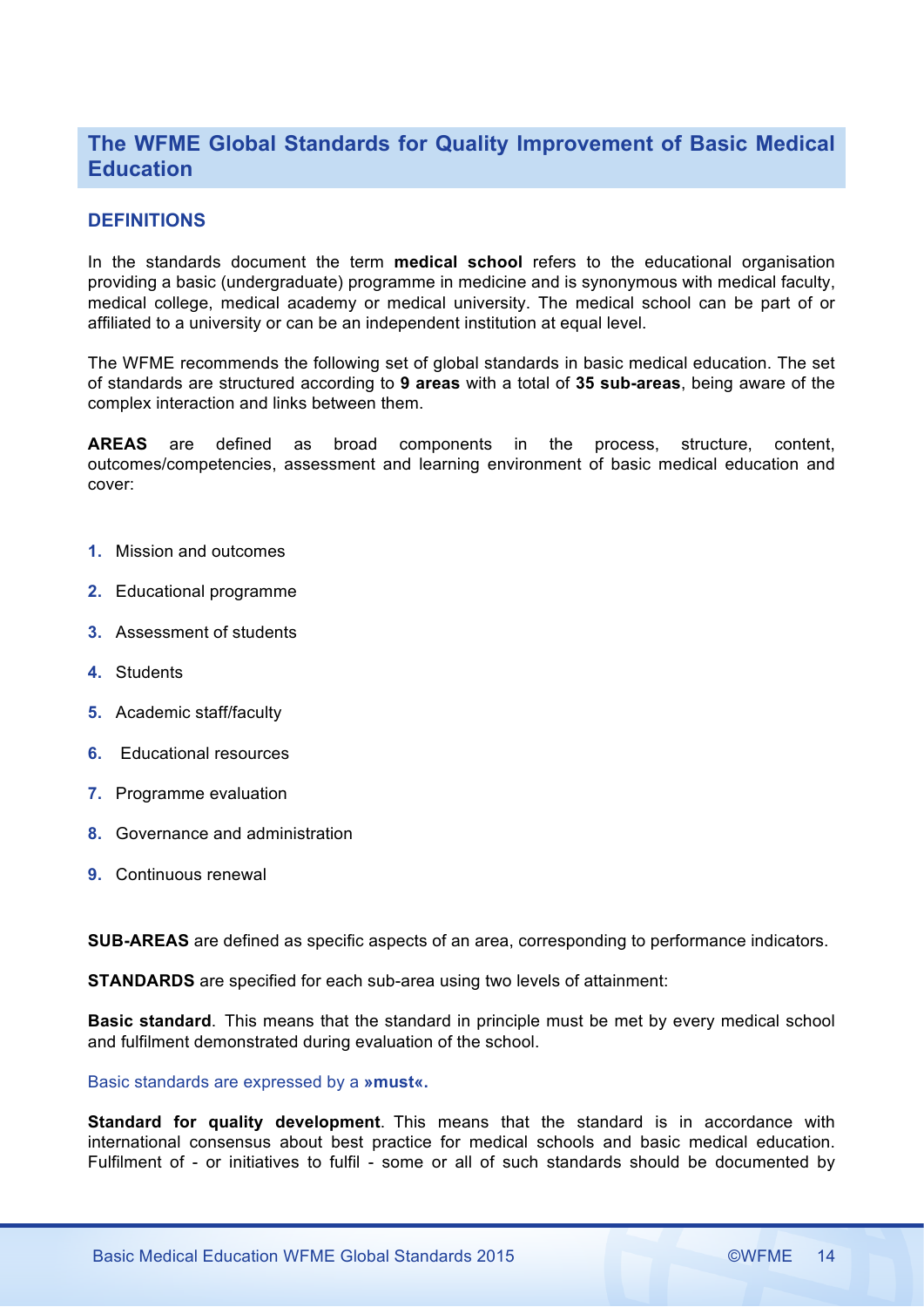# **The WFME Global Standards for Quality Improvement of Basic Medical Education**

# **DEFINITIONS**

In the standards document the term **medical school** refers to the educational organisation providing a basic (undergraduate) programme in medicine and is synonymous with medical faculty, medical college, medical academy or medical university. The medical school can be part of or affiliated to a university or can be an independent institution at equal level.

The WFME recommends the following set of global standards in basic medical education. The set of standards are structured according to **9 areas** with a total of **35 sub-areas**, being aware of the complex interaction and links between them.

**AREAS** are defined as broad components in the process, structure, content, outcomes/competencies, assessment and learning environment of basic medical education and cover:

- **1.** Mission and outcomes
- **2.** Educational programme
- **3.** Assessment of students
- **4.** Students
- **5.** Academic staff/faculty
- **6.** Educational resources
- **7.** Programme evaluation
- **8.** Governance and administration
- **9.** Continuous renewal

**SUB-AREAS** are defined as specific aspects of an area, corresponding to performance indicators.

**STANDARDS** are specified for each sub-area using two levels of attainment:

**Basic standard**. This means that the standard in principle must be met by every medical school and fulfilment demonstrated during evaluation of the school.

Basic standards are expressed by a **»must«.** 

**Standard for quality development**. This means that the standard is in accordance with international consensus about best practice for medical schools and basic medical education. Fulfilment of - or initiatives to fulfil - some or all of such standards should be documented by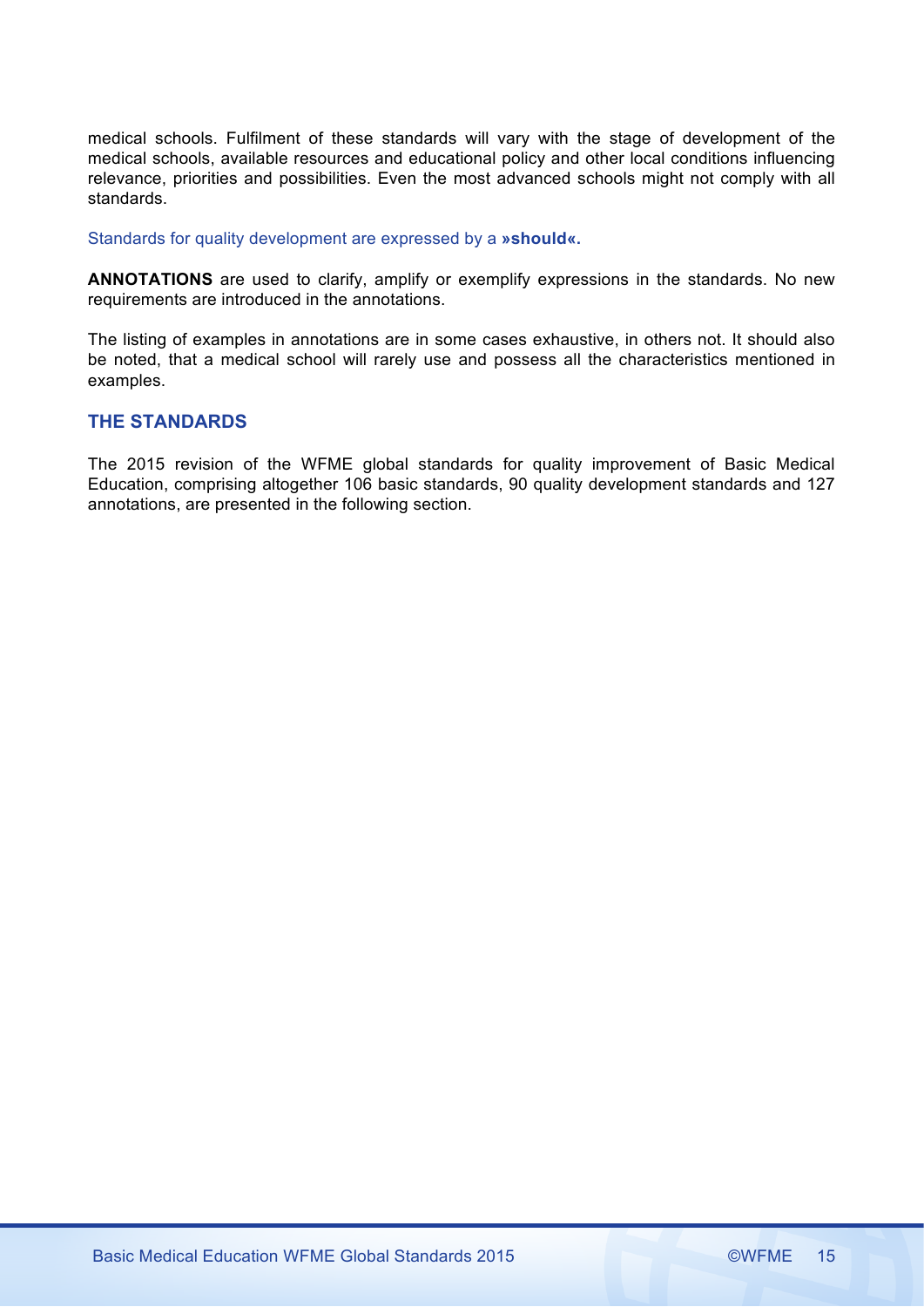medical schools. Fulfilment of these standards will vary with the stage of development of the medical schools, available resources and educational policy and other local conditions influencing relevance, priorities and possibilities. Even the most advanced schools might not comply with all standards.

Standards for quality development are expressed by a **»should«.** 

**ANNOTATIONS** are used to clarify, amplify or exemplify expressions in the standards. No new requirements are introduced in the annotations.

The listing of examples in annotations are in some cases exhaustive, in others not. It should also be noted, that a medical school will rarely use and possess all the characteristics mentioned in examples.

# **THE STANDARDS**

The 2015 revision of the WFME global standards for quality improvement of Basic Medical Education, comprising altogether 106 basic standards, 90 quality development standards and 127 annotations, are presented in the following section.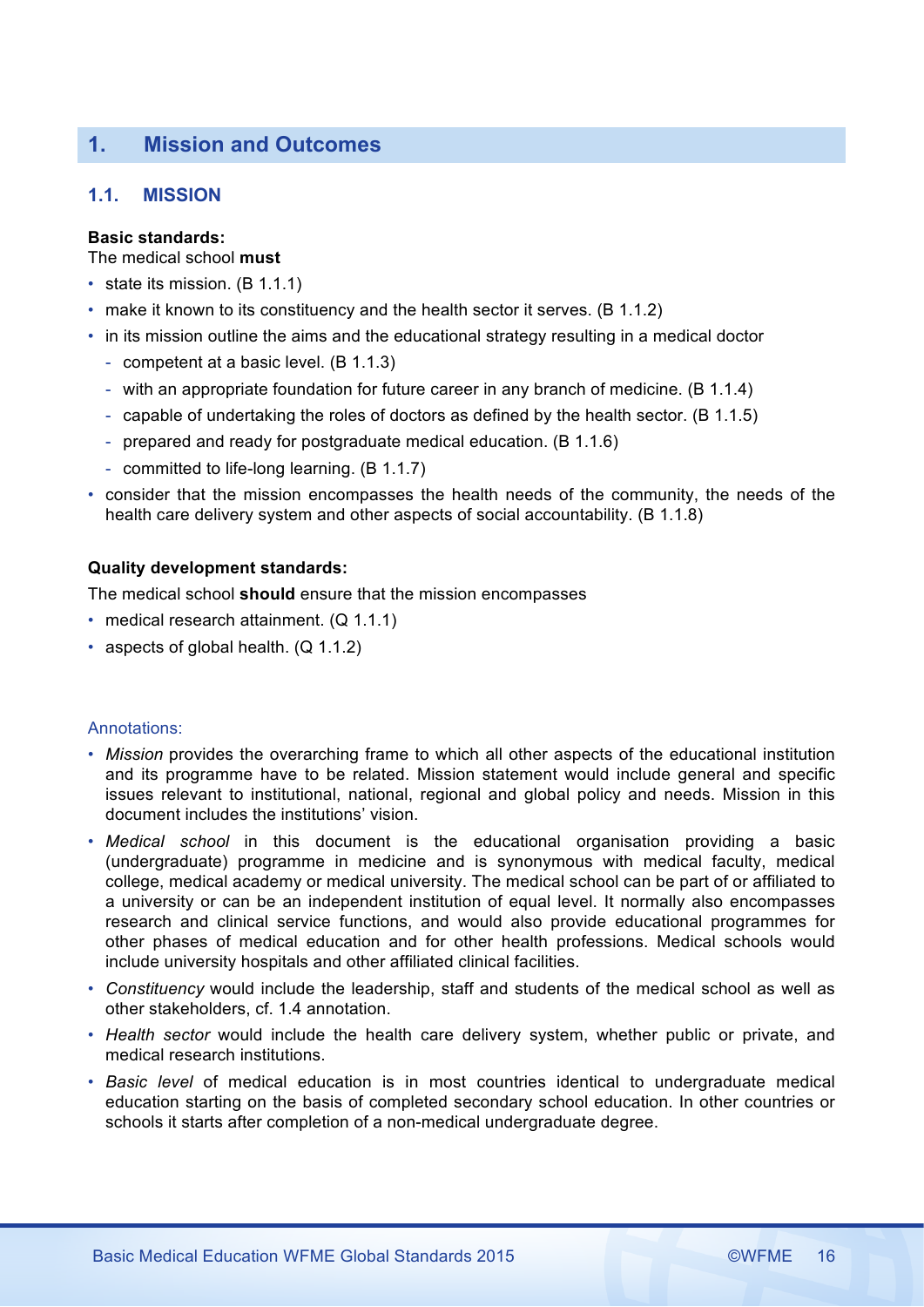# **1. Mission and Outcomes**

# **1.1. MISSION**

# **Basic standards:**

The medical school **must**  

- state its mission. (B 1.1.1)
- make it known to its constituency and the health sector it serves. (B 1.1.2)
- in its mission outline the aims and the educational strategy resulting in a medical doctor
	- competent at a basic level. (B 1.1.3)
	- with an appropriate foundation for future career in any branch of medicine. (B 1.1.4)
	- capable of undertaking the roles of doctors as defined by the health sector. (B 1.1.5)
	- prepared and ready for postgraduate medical education. (B 1.1.6)
	- committed to life-long learning. (B 1.1.7)
- consider that the mission encompasses the health needs of the community, the needs of the health care delivery system and other aspects of social accountability. (B 1.1.8)

# **Quality development standards:**

The medical school **should** ensure that the mission encompasses

- medical research attainment. (Q 1.1.1)
- aspects of global health. (Q 1.1.2)

- *Mission* provides the overarching frame to which all other aspects of the educational institution and its programme have to be related. Mission statement would include general and specific issues relevant to institutional, national, regional and global policy and needs. Mission in this document includes the institutions' vision.
- *Medical school* in this document is the educational organisation providing a basic (undergraduate) programme in medicine and is synonymous with medical faculty, medical college, medical academy or medical university. The medical school can be part of or affiliated to a university or can be an independent institution of equal level. It normally also encompasses research and clinical service functions, and would also provide educational programmes for other phases of medical education and for other health professions. Medical schools would include university hospitals and other affiliated clinical facilities.
- *Constituency* would include the leadership, staff and students of the medical school as well as other stakeholders, cf. 1.4 annotation.
- *Health sector* would include the health care delivery system, whether public or private, and medical research institutions.
- *Basic level* of medical education is in most countries identical to undergraduate medical education starting on the basis of completed secondary school education. In other countries or schools it starts after completion of a non-medical undergraduate degree.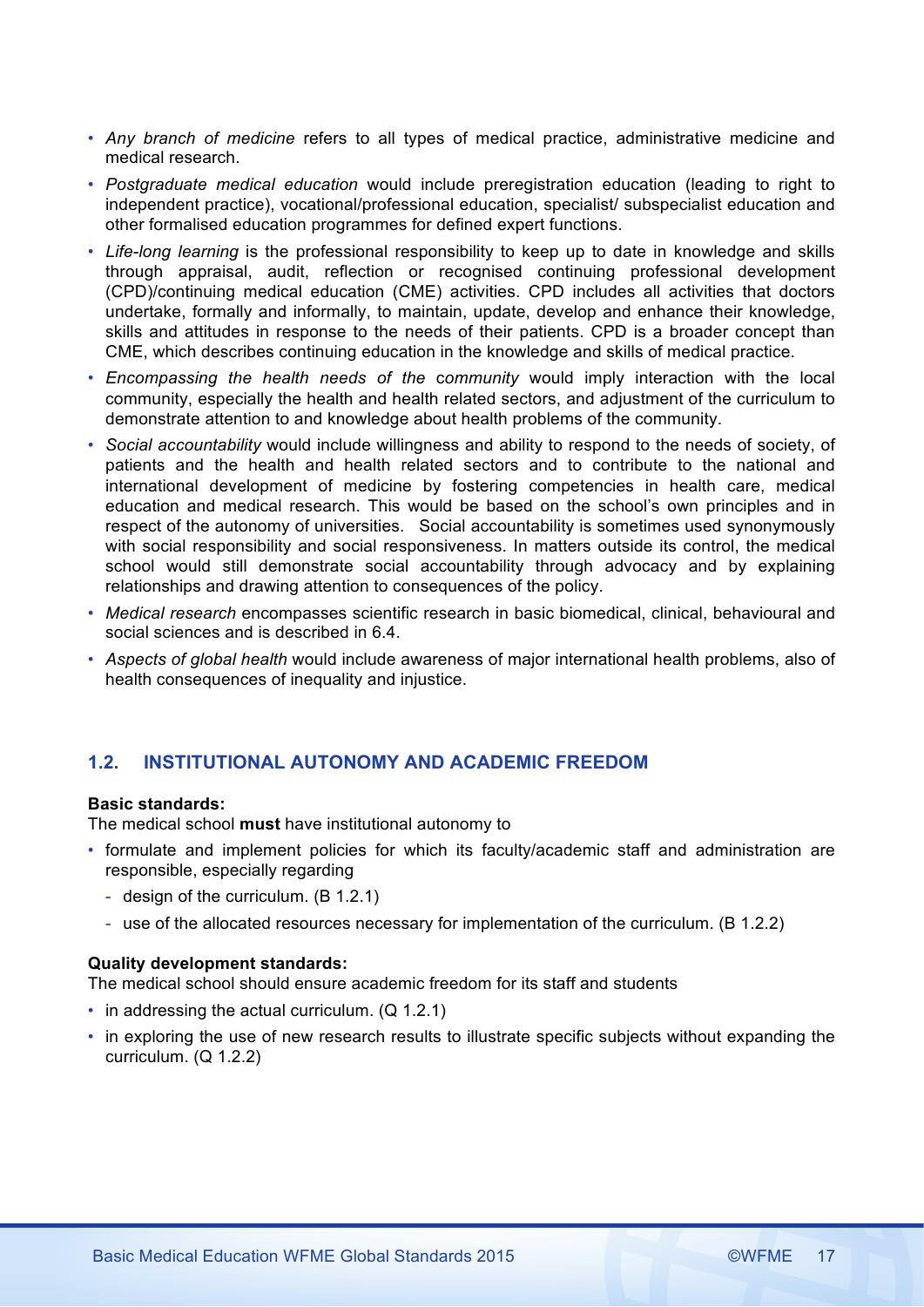- *Any branch of medicine* refers to all types of medical practice, administrative medicine and medical research.
- *Postgraduate medical education* would include preregistration education (leading to right to independent practice), vocational/professional education, specialist/ subspecialist education and other formalised education programmes for defined expert functions.
- *Life-long learning* is the professional responsibility to keep up to date in knowledge and skills through appraisal, audit, reflection or recognised continuing professional development (CPD)/continuing medical education (CME) activities. CPD includes all activities that doctors undertake, formally and informally, to maintain, update, develop and enhance their knowledge, skills and attitudes in response to the needs of their patients. CPD is a broader concept than CME, which describes continuing education in the knowledge and skills of medical practice.
- *Encompassing the health needs of the* c*ommunity* would imply interaction with the local community, especially the health and health related sectors, and adjustment of the curriculum to demonstrate attention to and knowledge about health problems of the community.
- *Social accountability* would include willingness and ability to respond to the needs of society, of patients and the health and health related sectors and to contribute to the national and international development of medicine by fostering competencies in health care, medical education and medical research. This would be based on the school's own principles and in respect of the autonomy of universities. Social accountability is sometimes used synonymously with social responsibility and social responsiveness. In matters outside its control, the medical school would still demonstrate social accountability through advocacy and by explaining relationships and drawing attention to consequences of the policy.
- *Medical research* encompasses scientific research in basic biomedical, clinical, behavioural and social sciences and is described in 6.4.
- *Aspects of global health* would include awareness of major international health problems, also of health consequences of inequality and injustice.

# **1.2. INSTITUTIONAL AUTONOMY AND ACADEMIC FREEDOM**

# **Basic standards:**

The medical school **must** have institutional autonomy to

- formulate and implement policies for which its faculty/academic staff and administration are responsible, especially regarding
	- design of the curriculum. (B 1.2.1)
	- use of the allocated resources necessary for implementation of the curriculum. (B 1.2.2)

### **Quality development standards:**

The medical school should ensure academic freedom for its staff and students

- in addressing the actual curriculum. (Q 1.2.1)
- in exploring the use of new research results to illustrate specific subjects without expanding the curriculum. (Q 1.2.2)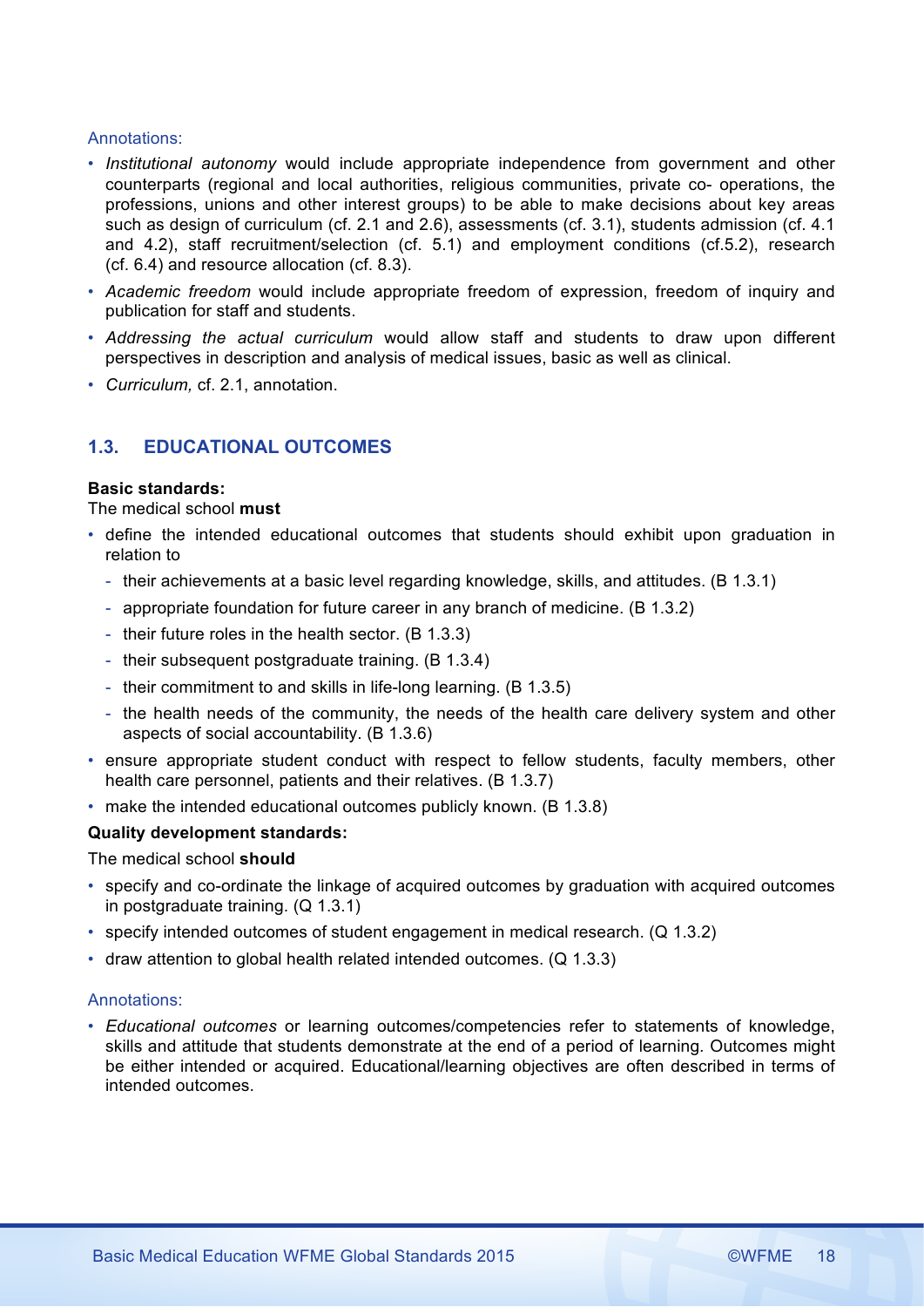# Annotations:

- *Institutional autonomy* would include appropriate independence from government and other counterparts (regional and local authorities, religious communities, private co- operations, the professions, unions and other interest groups) to be able to make decisions about key areas such as design of curriculum (cf. 2.1 and 2.6), assessments (cf. 3.1), students admission (cf. 4.1 and 4.2), staff recruitment/selection (cf. 5.1) and employment conditions (cf.5.2), research (cf. 6.4) and resource allocation (cf. 8.3).
- *Academic freedom* would include appropriate freedom of expression, freedom of inquiry and publication for staff and students.
- *Addressing the actual curriculum* would allow staff and students to draw upon different perspectives in description and analysis of medical issues, basic as well as clinical.
- *Curriculum,* cf. 2.1, annotation.

# **1.3. EDUCATIONAL OUTCOMES**

### **Basic standards:**

# The medical school **must**

- define the intended educational outcomes that students should exhibit upon graduation in relation to
	- their achievements at a basic level regarding knowledge, skills, and attitudes. (B 1.3.1)
	- appropriate foundation for future career in any branch of medicine. (B 1.3.2)
	- their future roles in the health sector. (B 1.3.3)
	- their subsequent postgraduate training. (B 1.3.4)
	- their commitment to and skills in life-long learning. (B 1.3.5)
	- the health needs of the community, the needs of the health care delivery system and other aspects of social accountability. (B 1.3.6)
- ensure appropriate student conduct with respect to fellow students, faculty members, other health care personnel, patients and their relatives. (B 1.3.7)
- make the intended educational outcomes publicly known. (B 1.3.8)

### **Quality development standards:**

The medical school **should**

- specify and co-ordinate the linkage of acquired outcomes by graduation with acquired outcomes in postgraduate training. (Q 1.3.1)
- specify intended outcomes of student engagement in medical research. (Q 1.3.2)
- draw attention to global health related intended outcomes. (Q 1.3.3)

### Annotations:

• *Educational outcomes* or learning outcomes/competencies refer to statements of knowledge, skills and attitude that students demonstrate at the end of a period of learning*.* Outcomes might be either intended or acquired. Educational/learning objectives are often described in terms of intended outcomes.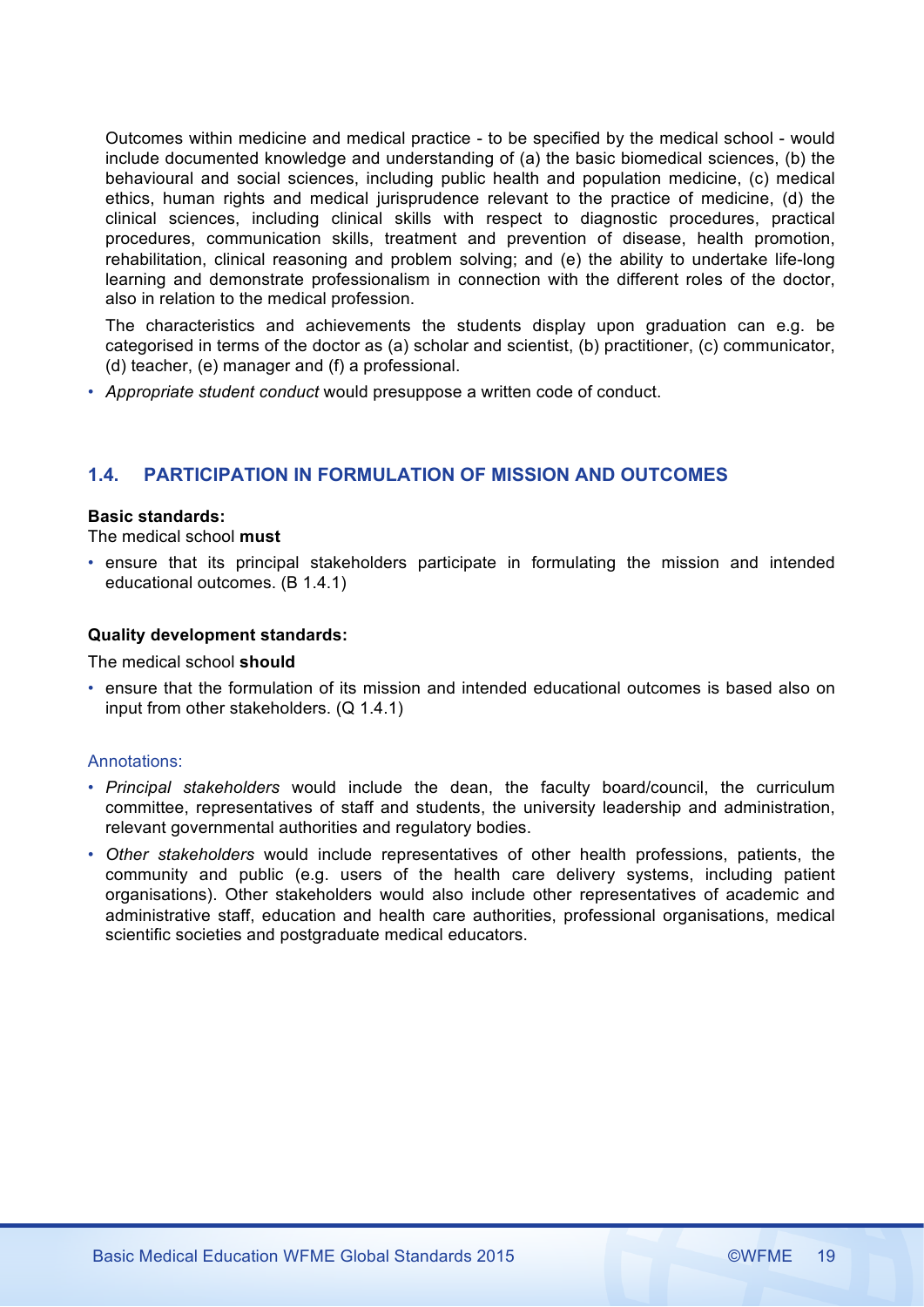Outcomes within medicine and medical practice - to be specified by the medical school - would include documented knowledge and understanding of (a) the basic biomedical sciences, (b) the behavioural and social sciences, including public health and population medicine, (c) medical ethics, human rights and medical jurisprudence relevant to the practice of medicine, (d) the clinical sciences, including clinical skills with respect to diagnostic procedures, practical procedures, communication skills, treatment and prevention of disease, health promotion, rehabilitation, clinical reasoning and problem solving; and (e) the ability to undertake life-long learning and demonstrate professionalism in connection with the different roles of the doctor, also in relation to the medical profession.

The characteristics and achievements the students display upon graduation can e.g. be categorised in terms of the doctor as (a) scholar and scientist, (b) practitioner, (c) communicator, (d) teacher, (e) manager and (f) a professional.

• *Appropriate student conduct* would presuppose a written code of conduct.

# **1.4. PARTICIPATION IN FORMULATION OF MISSION AND OUTCOMES**

#### **Basic standards:**

The medical school **must** 

• ensure that its principal stakeholders participate in formulating the mission and intended educational outcomes. (B 1.4.1)

### **Quality development standards:**

The medical school **should**

• ensure that the formulation of its mission and intended educational outcomes is based also on input from other stakeholders. (Q 1.4.1)

- *Principal stakeholders* would include the dean, the faculty board/council, the curriculum committee, representatives of staff and students, the university leadership and administration, relevant governmental authorities and regulatory bodies.
- *Other stakeholders* would include representatives of other health professions, patients, the community and public (e.g. users of the health care delivery systems, including patient organisations). Other stakeholders would also include other representatives of academic and administrative staff, education and health care authorities, professional organisations, medical scientific societies and postgraduate medical educators.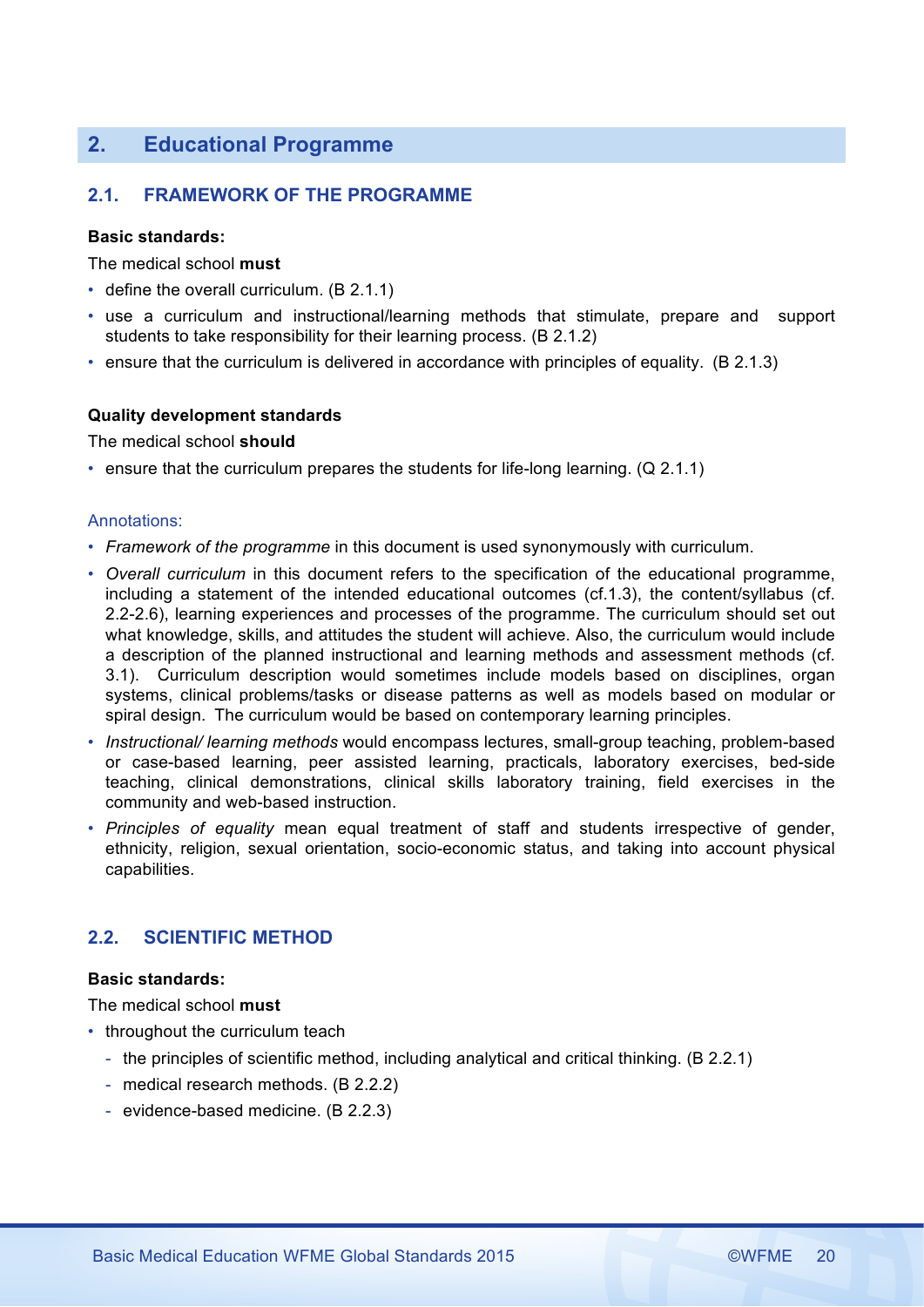# **2. Educational Programme**

# **2.1. FRAMEWORK OF THE PROGRAMME**

### **Basic standards:**

The medical school **must** 

- define the overall curriculum. (B 2.1.1)
- use a curriculum and instructional/learning methods that stimulate, prepare and support students to take responsibility for their learning process. (B 2.1.2)
- ensure that the curriculum is delivered in accordance with principles of equality. (B 2.1.3)

### **Quality development standards**

The medical school **should**

• ensure that the curriculum prepares the students for life-long learning. (Q 2.1.1)

#### Annotations:

- *Framework of the programme* in this document is used synonymously with curriculum.
- *Overall curriculum* in this document refers to the specification of the educational programme, including a statement of the intended educational outcomes (cf.1.3), the content/syllabus (cf. 2.2-2.6), learning experiences and processes of the programme. The curriculum should set out what knowledge, skills, and attitudes the student will achieve. Also, the curriculum would include a description of the planned instructional and learning methods and assessment methods (cf. 3.1). Curriculum description would sometimes include models based on disciplines, organ systems, clinical problems/tasks or disease patterns as well as models based on modular or spiral design. The curriculum would be based on contemporary learning principles.
- *Instructional/ learning methods* would encompass lectures, small-group teaching, problem-based or case-based learning, peer assisted learning, practicals, laboratory exercises, bed-side teaching, clinical demonstrations, clinical skills laboratory training, field exercises in the community and web-based instruction.
- *Principles of equality* mean equal treatment of staff and students irrespective of gender, ethnicity, religion, sexual orientation, socio-economic status, and taking into account physical capabilities.

# **2.2. SCIENTIFIC METHOD**

### **Basic standards:**

The medical school **must** 

- throughout the curriculum teach
	- the principles of scientific method, including analytical and critical thinking. (B 2.2.1)
	- medical research methods. (B 2.2.2)
	- evidence-based medicine. (B 2.2.3)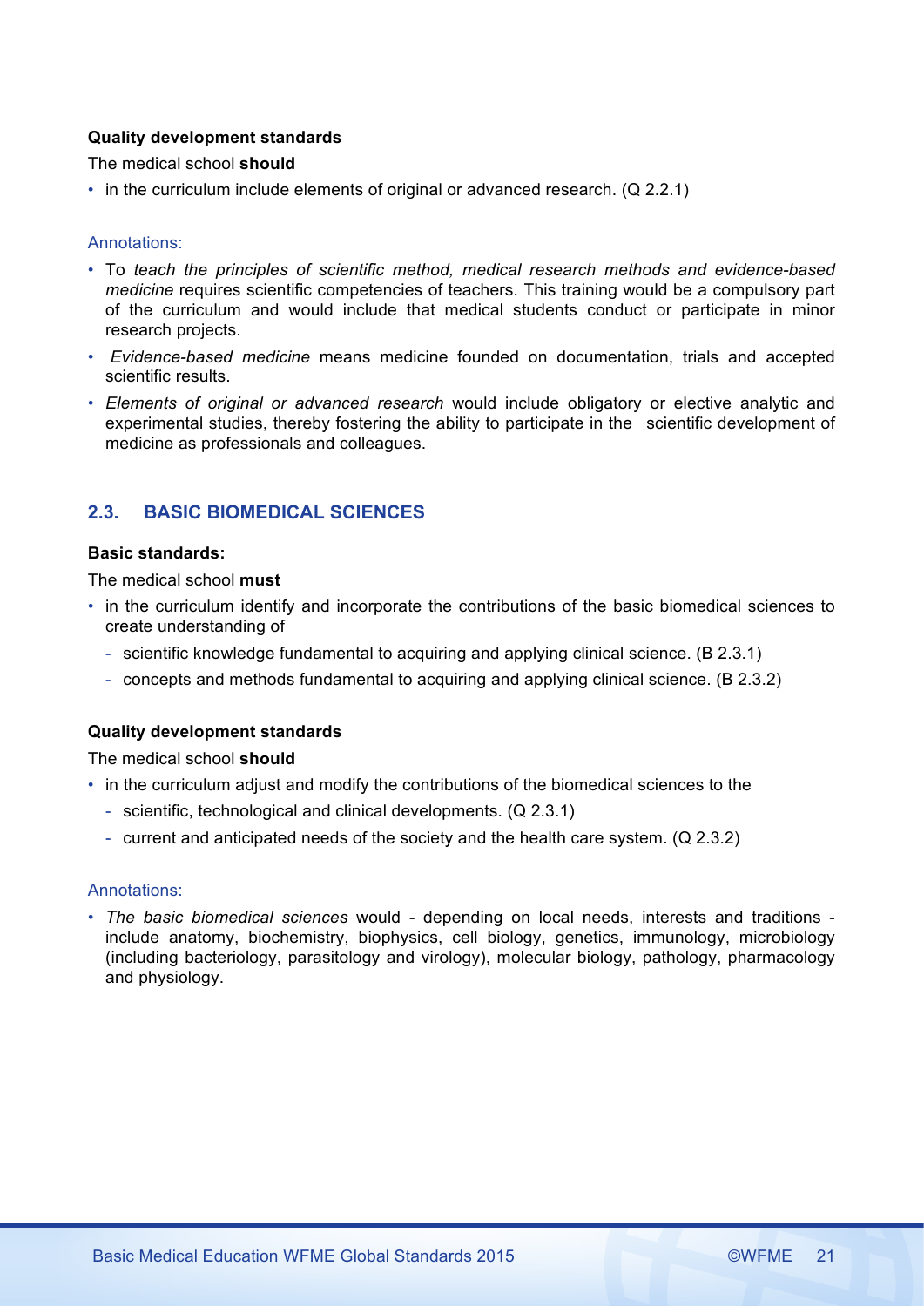# **Quality development standards**

The medical school **should**

• in the curriculum include elements of original or advanced research. (Q 2.2.1)

### Annotations:

- To *teach the principles of scientific method, medical research methods and evidence-based medicine* requires scientific competencies of teachers. This training would be a compulsory part of the curriculum and would include that medical students conduct or participate in minor research projects.
- *Evidence-based medicine* means medicine founded on documentation, trials and accepted scientific results.
- *Elements of original or advanced research* would include obligatory or elective analytic and experimental studies, thereby fostering the ability to participate in the scientific development of medicine as professionals and colleagues.

# **2.3. BASIC BIOMEDICAL SCIENCES**

# **Basic standards:**

The medical school **must** 

- in the curriculum identify and incorporate the contributions of the basic biomedical sciences to create understanding of
	- scientific knowledge fundamental to acquiring and applying clinical science. (B 2.3.1)
	- concepts and methods fundamental to acquiring and applying clinical science. (B 2.3.2)

# **Quality development standards**

The medical school **should**

- in the curriculum adjust and modify the contributions of the biomedical sciences to the
	- scientific, technological and clinical developments. (Q 2.3.1)
	- current and anticipated needs of the society and the health care system. (Q 2.3.2)

### Annotations:

• *The basic biomedical sciences* would - depending on local needs, interests and traditions include anatomy, biochemistry, biophysics, cell biology, genetics, immunology, microbiology (including bacteriology, parasitology and virology), molecular biology, pathology, pharmacology and physiology.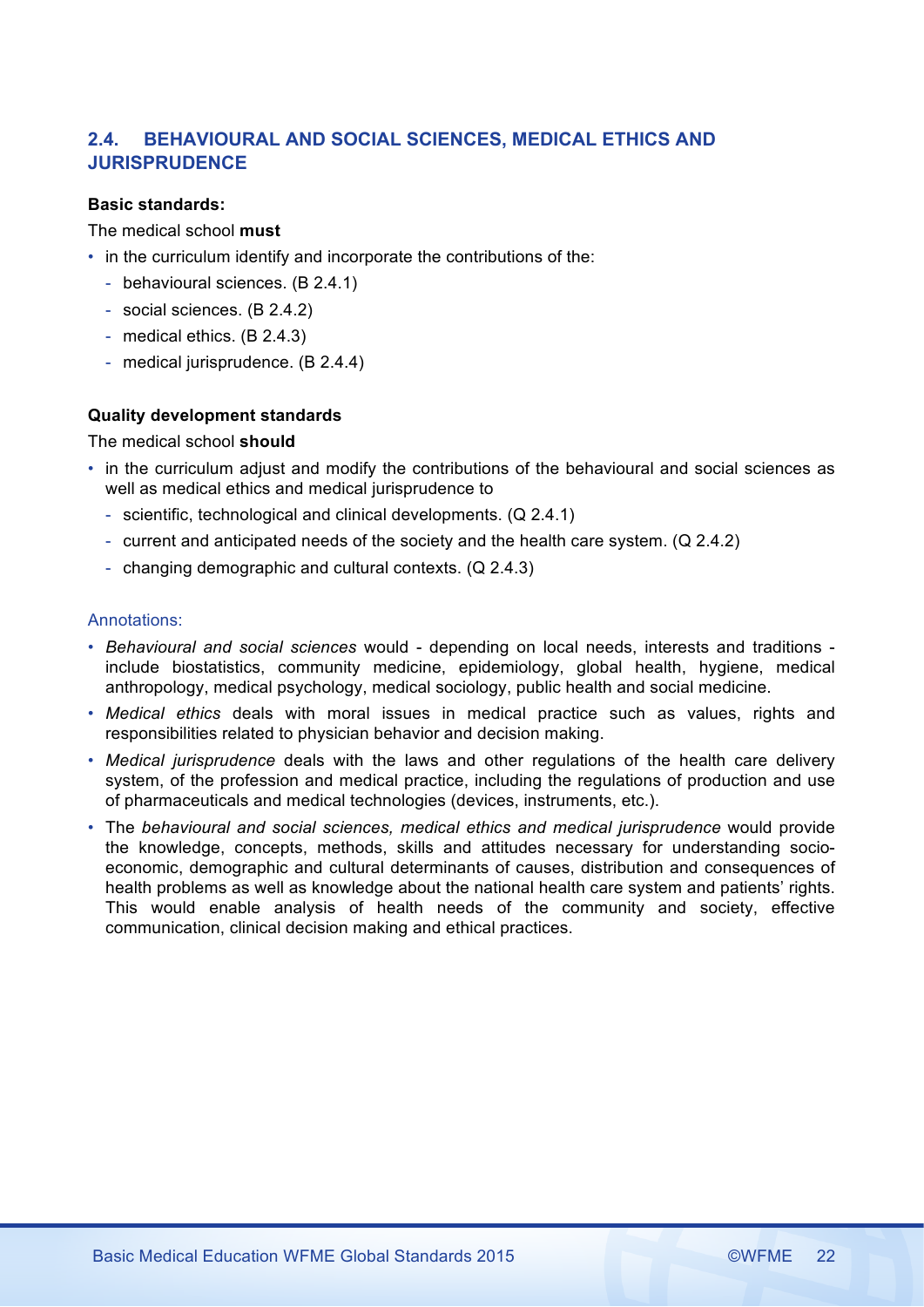# **2.4. BEHAVIOURAL AND SOCIAL SCIENCES, MEDICAL ETHICS AND JURISPRUDENCE**

# **Basic standards:**

# The medical school **must**

- in the curriculum identify and incorporate the contributions of the:
	- behavioural sciences. (B 2.4.1)
	- social sciences. (B 2.4.2)
	- medical ethics. (B 2.4.3)
	- medical jurisprudence. (B 2.4.4)

# **Quality development standards**

The medical school **should**

- in the curriculum adjust and modify the contributions of the behavioural and social sciences as well as medical ethics and medical jurisprudence to
	- scientific, technological and clinical developments. (Q 2.4.1)
	- current and anticipated needs of the society and the health care system. (Q 2.4.2)
	- changing demographic and cultural contexts. (Q 2.4.3)

- *Behavioural and social sciences* would depending on local needs, interests and traditions include biostatistics, community medicine, epidemiology, global health, hygiene, medical anthropology, medical psychology, medical sociology, public health and social medicine.
- *Medical ethics* deals with moral issues in medical practice such as values, rights and responsibilities related to physician behavior and decision making.
- *Medical jurisprudence* deals with the laws and other regulations of the health care delivery system, of the profession and medical practice, including the regulations of production and use of pharmaceuticals and medical technologies (devices, instruments, etc.).
- The *behavioural and social sciences, medical ethics and medical jurisprudence* would provide the knowledge, concepts, methods, skills and attitudes necessary for understanding socioeconomic, demographic and cultural determinants of causes, distribution and consequences of health problems as well as knowledge about the national health care system and patients' rights. This would enable analysis of health needs of the community and society, effective communication, clinical decision making and ethical practices.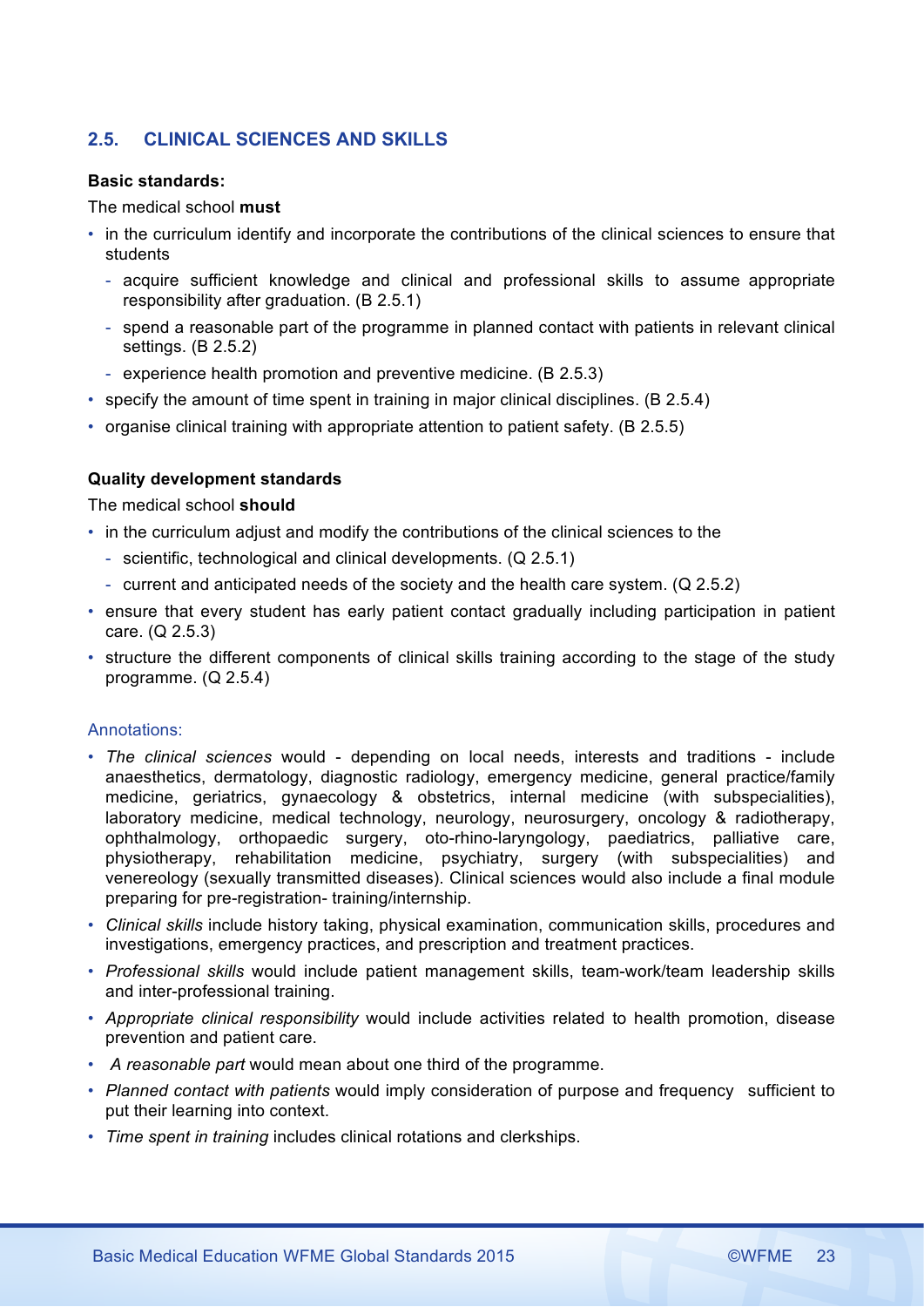# **2.5. CLINICAL SCIENCES AND SKILLS**

### **Basic standards:**

# The medical school **must**

- in the curriculum identify and incorporate the contributions of the clinical sciences to ensure that students
	- acquire sufficient knowledge and clinical and professional skills to assume appropriate responsibility after graduation. (B 2.5.1)
	- spend a reasonable part of the programme in planned contact with patients in relevant clinical settings. (B 2.5.2)
	- experience health promotion and preventive medicine. (B 2.5.3)
- specify the amount of time spent in training in major clinical disciplines. (B 2.5.4)
- organise clinical training with appropriate attention to patient safety. (B 2.5.5)

# **Quality development standards**

The medical school **should**

- in the curriculum adjust and modify the contributions of the clinical sciences to the
	- scientific, technological and clinical developments. (Q 2.5.1)
	- current and anticipated needs of the society and the health care system. (Q 2.5.2)
- ensure that every student has early patient contact gradually including participation in patient care. (Q 2.5.3)
- structure the different components of clinical skills training according to the stage of the study programme. (Q 2.5.4)

- *The clinical sciences* would depending on local needs, interests and traditions include anaesthetics, dermatology, diagnostic radiology, emergency medicine, general practice/family medicine, geriatrics, gynaecology & obstetrics, internal medicine (with subspecialities), laboratory medicine, medical technology, neurology, neurosurgery, oncology & radiotherapy, ophthalmology, orthopaedic surgery, oto-rhino-laryngology, paediatrics, palliative care, physiotherapy, rehabilitation medicine, psychiatry, surgery (with subspecialities) and venereology (sexually transmitted diseases). Clinical sciences would also include a final module preparing for pre-registration- training/internship.
- *Clinical skills* include history taking, physical examination, communication skills, procedures and investigations, emergency practices, and prescription and treatment practices.
- *Professional skills* would include patient management skills, team-work/team leadership skills and inter-professional training.
- *Appropriate clinical responsibility* would include activities related to health promotion, disease prevention and patient care.
- *A reasonable part* would mean about one third of the programme.
- *Planned contact with patients* would imply consideration of purpose and frequency sufficient to put their learning into context.
- *Time spent in training* includes clinical rotations and clerkships.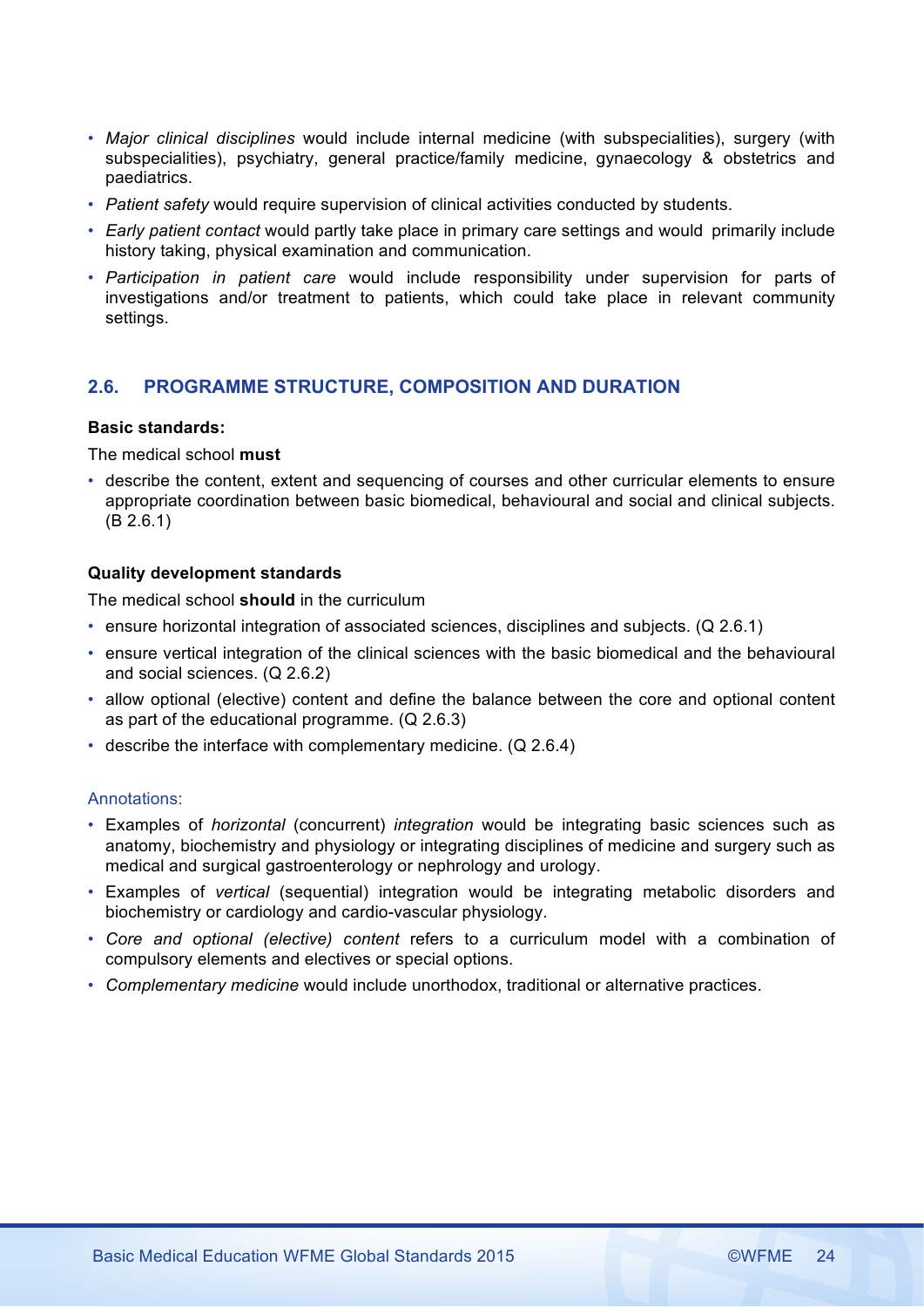- *Major clinical disciplines* would include internal medicine (with subspecialities), surgery (with subspecialities), psychiatry, general practice/family medicine, gynaecology & obstetrics and paediatrics.
- *Patient safety* would require supervision of clinical activities conducted by students.
- *Early patient contact* would partly take place in primary care settings and would primarily include history taking, physical examination and communication.
- *Participation in patient care* would include responsibility under supervision for parts of investigations and/or treatment to patients, which could take place in relevant community settings.

# **2.6. PROGRAMME STRUCTURE, COMPOSITION AND DURATION**

# **Basic standards:**

# The medical school **must**

• describe the content, extent and sequencing of courses and other curricular elements to ensure appropriate coordination between basic biomedical, behavioural and social and clinical subjects. (B 2.6.1)

# **Quality development standards**

The medical school **should** in the curriculum

- ensure horizontal integration of associated sciences, disciplines and subjects. (Q 2.6.1)
- ensure vertical integration of the clinical sciences with the basic biomedical and the behavioural and social sciences. (Q 2.6.2)
- allow optional (elective) content and define the balance between the core and optional content as part of the educational programme. (Q 2.6.3)
- describe the interface with complementary medicine. (Q 2.6.4)

- Examples of *horizontal* (concurrent) *integration* would be integrating basic sciences such as anatomy, biochemistry and physiology or integrating disciplines of medicine and surgery such as medical and surgical gastroenterology or nephrology and urology.
- Examples of *vertical* (sequential) integration would be integrating metabolic disorders and biochemistry or cardiology and cardio-vascular physiology.
- *Core and optional (elective) content* refers to a curriculum model with a combination of compulsory elements and electives or special options.
- *Complementary medicine* would include unorthodox, traditional or alternative practices.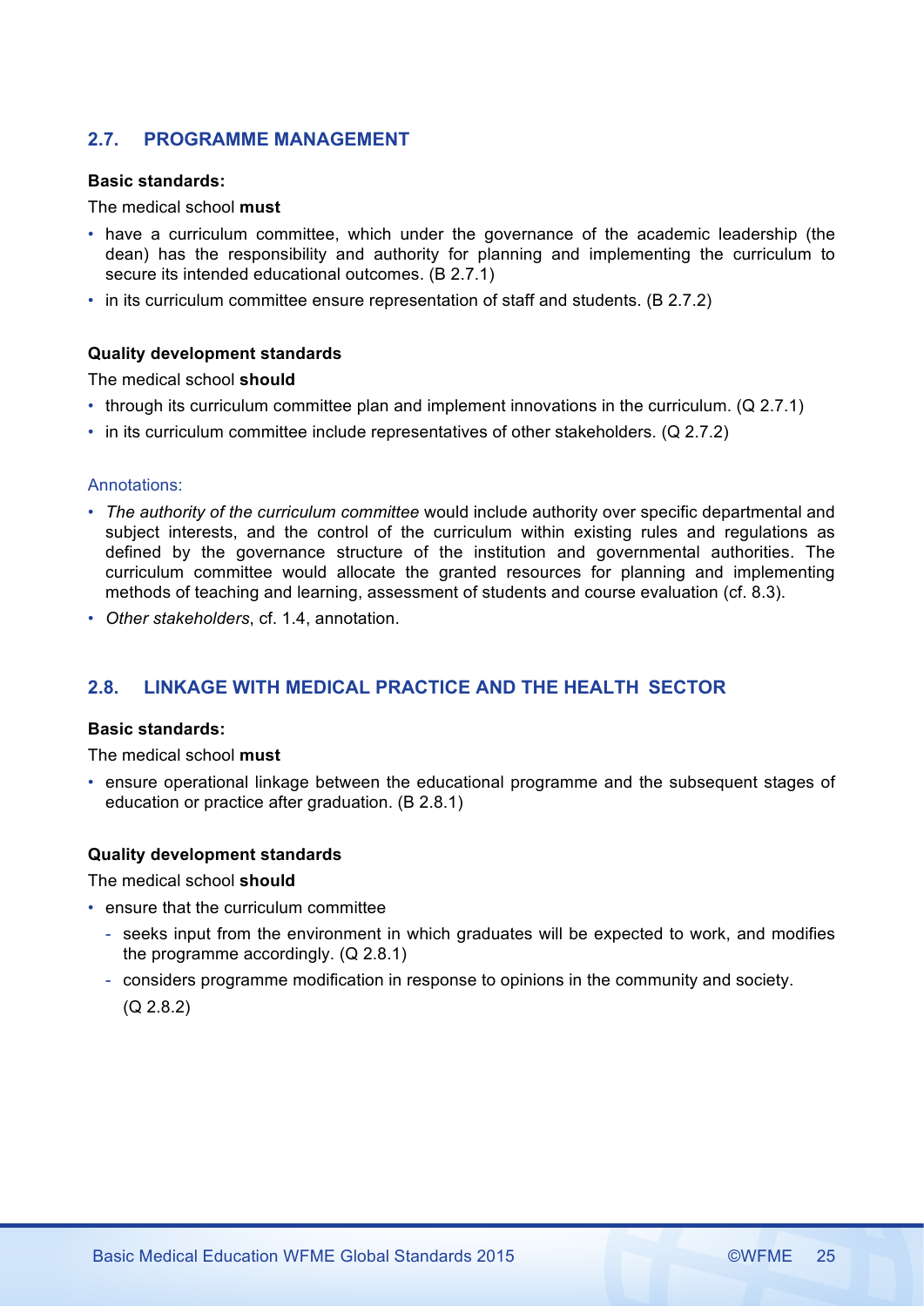# **2.7. PROGRAMME MANAGEMENT**

### **Basic standards:**

# The medical school **must**

- have a curriculum committee, which under the governance of the academic leadership (the dean) has the responsibility and authority for planning and implementing the curriculum to secure its intended educational outcomes. (B 2.7.1)
- in its curriculum committee ensure representation of staff and students. (B 2.7.2)

# **Quality development standards**

The medical school **should**

- through its curriculum committee plan and implement innovations in the curriculum. (Q 2.7.1)
- in its curriculum committee include representatives of other stakeholders. (Q 2.7.2)

# Annotations:

- *The authority of the curriculum committee* would include authority over specific departmental and subject interests, and the control of the curriculum within existing rules and regulations as defined by the governance structure of the institution and governmental authorities. The curriculum committee would allocate the granted resources for planning and implementing methods of teaching and learning, assessment of students and course evaluation (cf. 8.3).
- *Other stakeholders*, cf. 1.4, annotation.

# **2.8. LINKAGE WITH MEDICAL PRACTICE AND THE HEALTH SECTOR**

### **Basic standards:**

The medical school **must**

• ensure operational linkage between the educational programme and the subsequent stages of education or practice after graduation. (B 2.8.1)

# **Quality development standards**

The medical school **should**

- ensure that the curriculum committee
	- seeks input from the environment in which graduates will be expected to work, and modifies the programme accordingly. (Q 2.8.1)
	- considers programme modification in response to opinions in the community and society. (Q 2.8.2)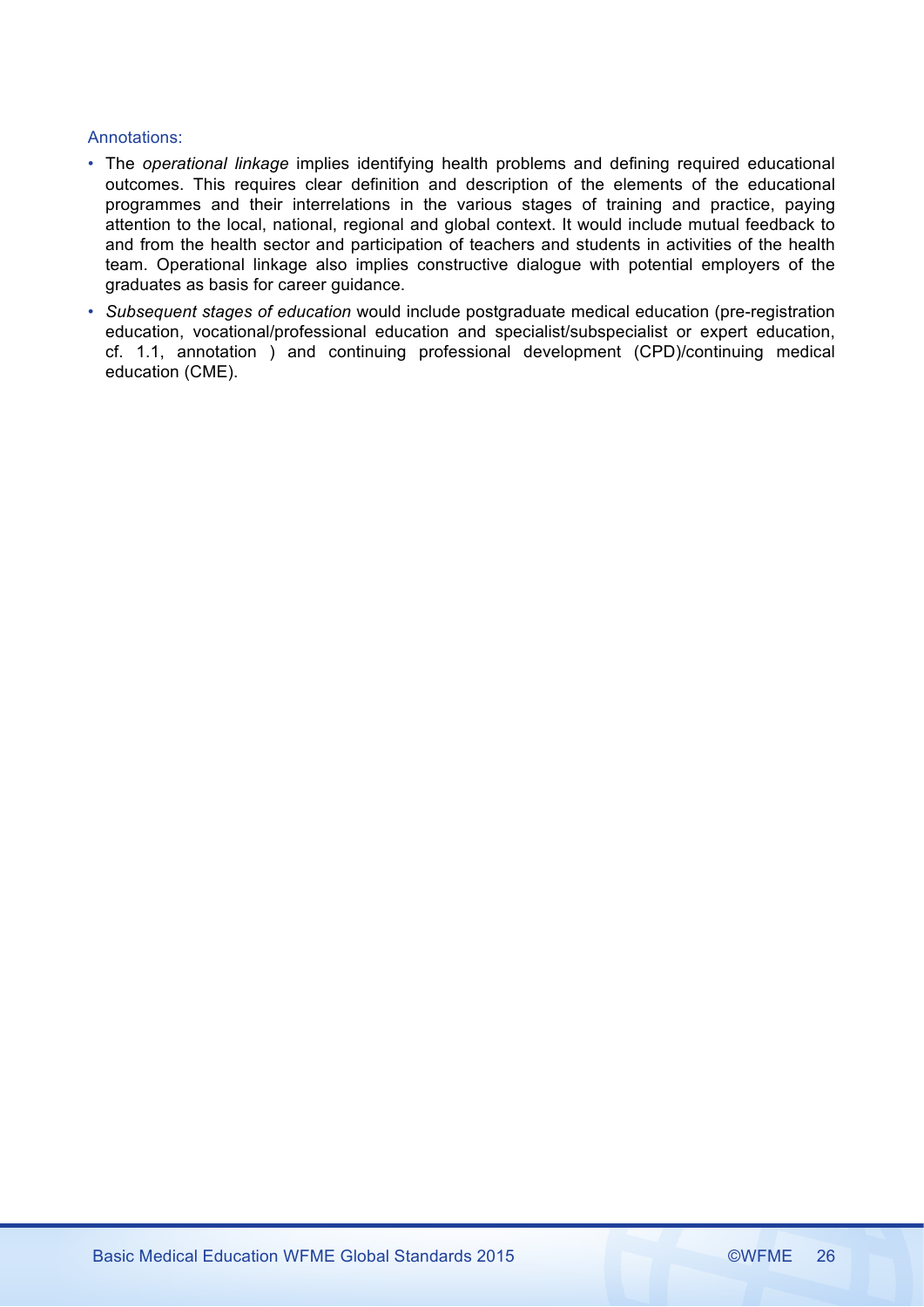- The *operational linkage* implies identifying health problems and defining required educational outcomes. This requires clear definition and description of the elements of the educational programmes and their interrelations in the various stages of training and practice, paying attention to the local, national, regional and global context. It would include mutual feedback to and from the health sector and participation of teachers and students in activities of the health team. Operational linkage also implies constructive dialogue with potential employers of the graduates as basis for career guidance.
- *Subsequent stages of education* would include postgraduate medical education (pre-registration education, vocational/professional education and specialist/subspecialist or expert education, cf. 1.1, annotation ) and continuing professional development (CPD)/continuing medical education (CME).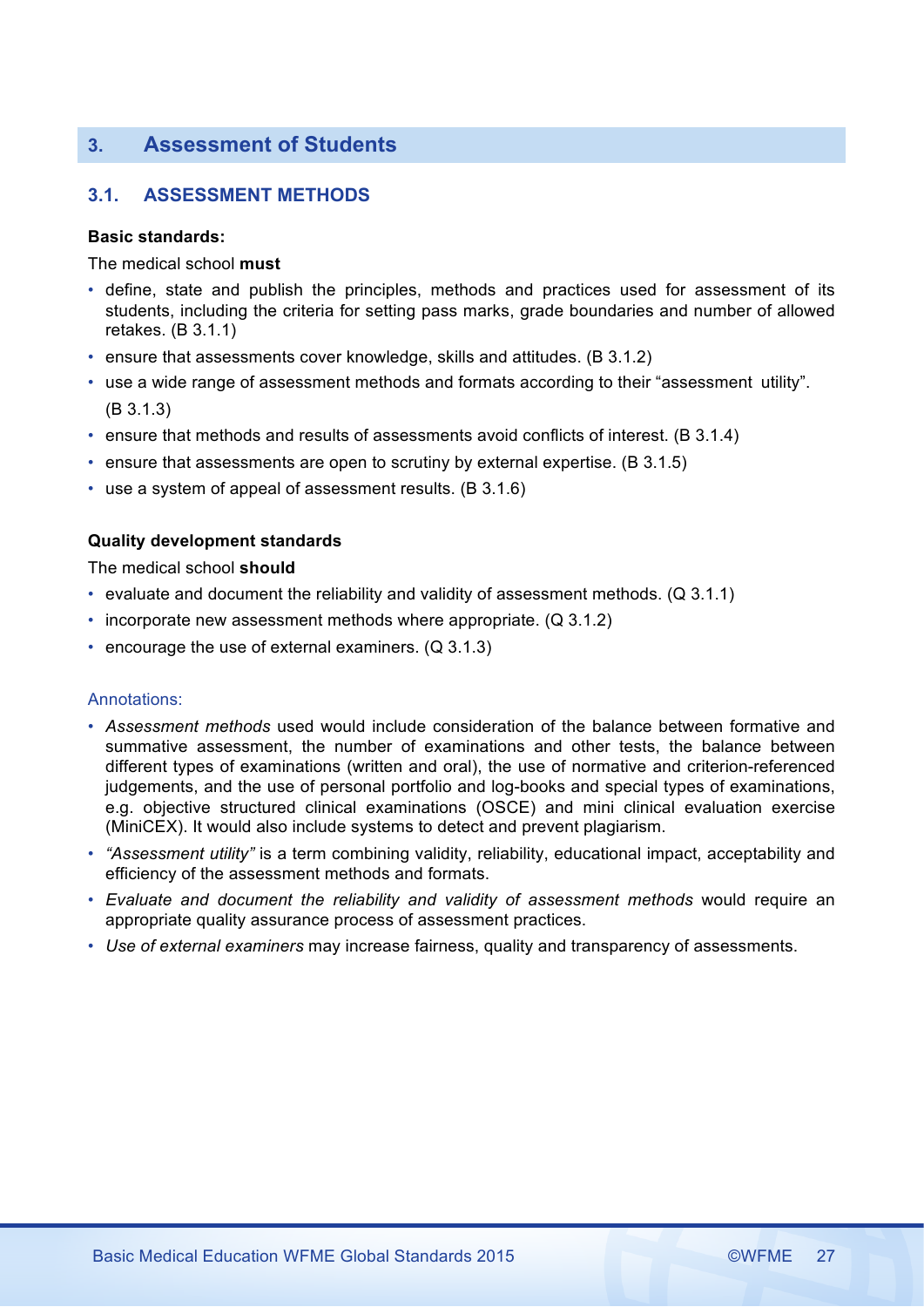# **3. Assessment of Students**

# **3.1. ASSESSMENT METHODS**

# **Basic standards:**

The medical school **must**

- define, state and publish the principles, methods and practices used for assessment of its students, including the criteria for setting pass marks, grade boundaries and number of allowed retakes. (B 3.1.1)
- ensure that assessments cover knowledge, skills and attitudes. (B 3.1.2)
- use a wide range of assessment methods and formats according to their "assessment utility". (B 3.1.3)
- ensure that methods and results of assessments avoid conflicts of interest. (B 3.1.4)
- ensure that assessments are open to scrutiny by external expertise. (B 3.1.5)
- use a system of appeal of assessment results. (B 3.1.6)

# **Quality development standards**

The medical school **should**

- evaluate and document the reliability and validity of assessment methods. (Q 3.1.1)
- incorporate new assessment methods where appropriate. (Q 3.1.2)
- encourage the use of external examiners. (Q 3.1.3)

- *Assessment methods* used would include consideration of the balance between formative and summative assessment, the number of examinations and other tests, the balance between different types of examinations (written and oral), the use of normative and criterion-referenced judgements, and the use of personal portfolio and log-books and special types of examinations, e.g. objective structured clinical examinations (OSCE) and mini clinical evaluation exercise (MiniCEX). It would also include systems to detect and prevent plagiarism.
- *"Assessment utility"* is a term combining validity, reliability, educational impact, acceptability and efficiency of the assessment methods and formats.
- *Evaluate and document the reliability and validity of assessment methods* would require an appropriate quality assurance process of assessment practices.
- *Use of external examiners* may increase fairness, quality and transparency of assessments.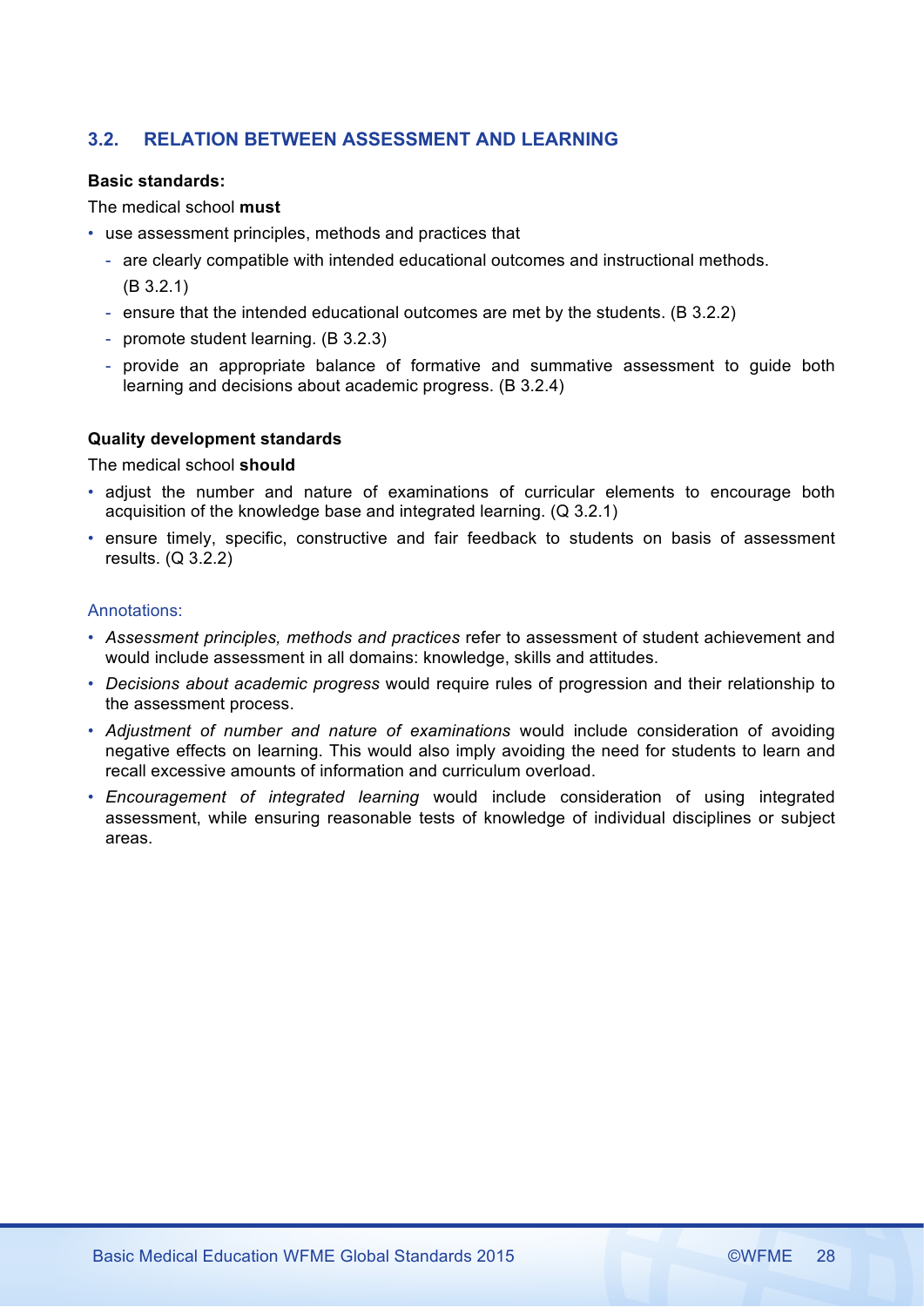# **3.2. RELATION BETWEEN ASSESSMENT AND LEARNING**

# **Basic standards:**

The medical school **must**

- use assessment principles, methods and practices that
	- are clearly compatible with intended educational outcomes and instructional methods. (B 3.2.1)
	- ensure that the intended educational outcomes are met by the students. (B 3.2.2)
	- promote student learning. (B 3.2.3)
	- provide an appropriate balance of formative and summative assessment to guide both learning and decisions about academic progress. (B 3.2.4)

# **Quality development standards**

The medical school **should**

- adjust the number and nature of examinations of curricular elements to encourage both acquisition of the knowledge base and integrated learning. (Q 3.2.1)
- ensure timely, specific, constructive and fair feedback to students on basis of assessment results. (Q 3.2.2)

- *Assessment principles, methods and practices* refer to assessment of student achievement and would include assessment in all domains: knowledge, skills and attitudes.
- *Decisions about academic progress* would require rules of progression and their relationship to the assessment process.
- *Adjustment of number and nature of examinations* would include consideration of avoiding negative effects on learning. This would also imply avoiding the need for students to learn and recall excessive amounts of information and curriculum overload.
- *Encouragement of integrated learning* would include consideration of using integrated assessment, while ensuring reasonable tests of knowledge of individual disciplines or subject areas.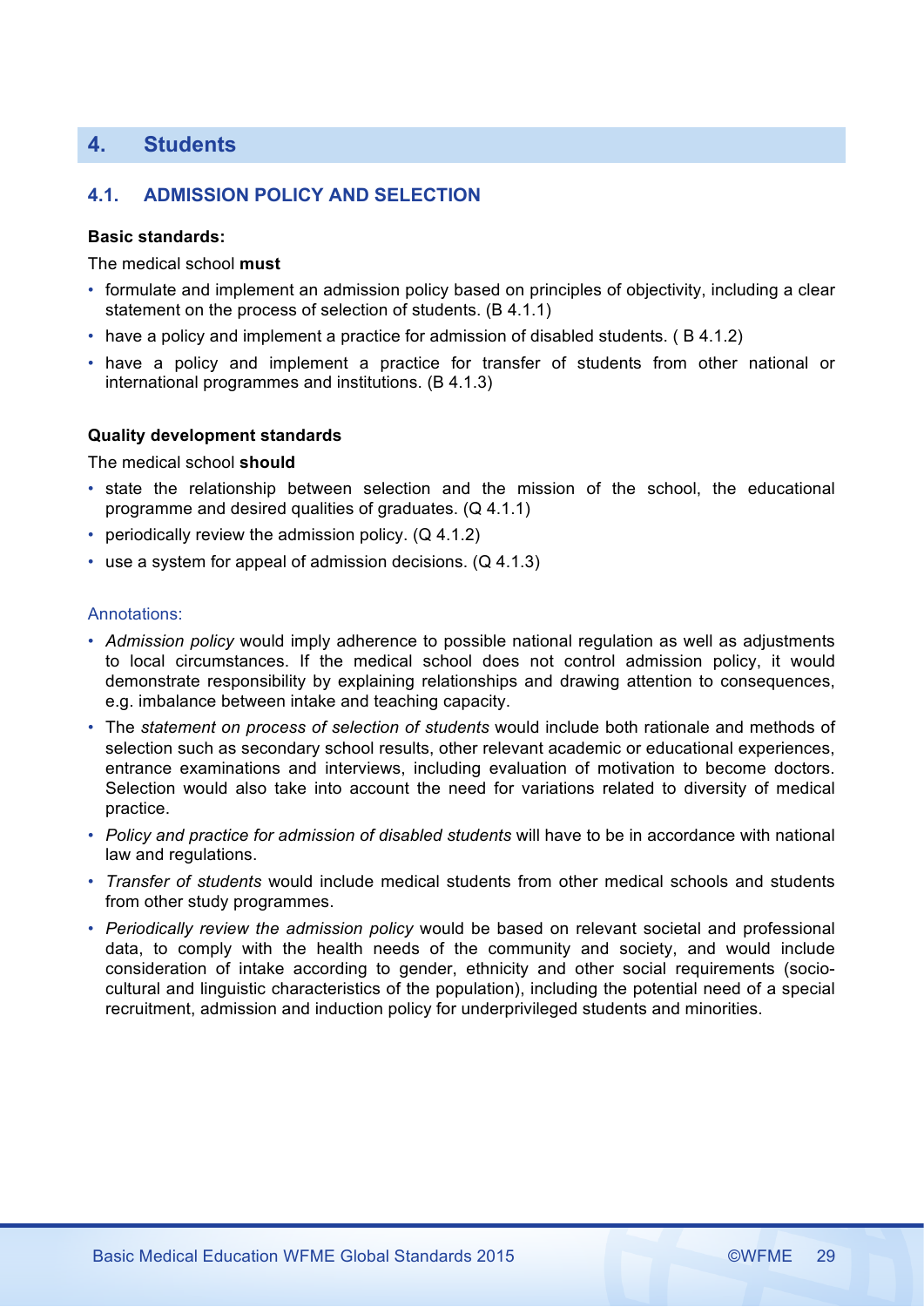# **4. Students**

# **4.1. ADMISSION POLICY AND SELECTION**

#### **Basic standards:**

The medical school **must**

- formulate and implement an admission policy based on principles of objectivity, including a clear statement on the process of selection of students. (B 4.1.1)
- have a policy and implement a practice for admission of disabled students. ( B 4.1.2)
- have a policy and implement a practice for transfer of students from other national or international programmes and institutions. (B 4.1.3)

### **Quality development standards**

The medical school **should**

- state the relationship between selection and the mission of the school, the educational programme and desired qualities of graduates. (Q 4.1.1)
- periodically review the admission policy. (Q 4.1.2)
- use a system for appeal of admission decisions. (Q 4.1.3)

- *Admission policy* would imply adherence to possible national regulation as well as adjustments to local circumstances. If the medical school does not control admission policy, it would demonstrate responsibility by explaining relationships and drawing attention to consequences, e.g. imbalance between intake and teaching capacity.
- The *statement on process of selection of students* would include both rationale and methods of selection such as secondary school results, other relevant academic or educational experiences, entrance examinations and interviews, including evaluation of motivation to become doctors. Selection would also take into account the need for variations related to diversity of medical practice.
- *Policy and practice for admission of disabled students* will have to be in accordance with national law and regulations.
- *Transfer of students* would include medical students from other medical schools and students from other study programmes.
- *Periodically review the admission policy* would be based on relevant societal and professional data, to comply with the health needs of the community and society, and would include consideration of intake according to gender, ethnicity and other social requirements (sociocultural and linguistic characteristics of the population), including the potential need of a special recruitment, admission and induction policy for underprivileged students and minorities.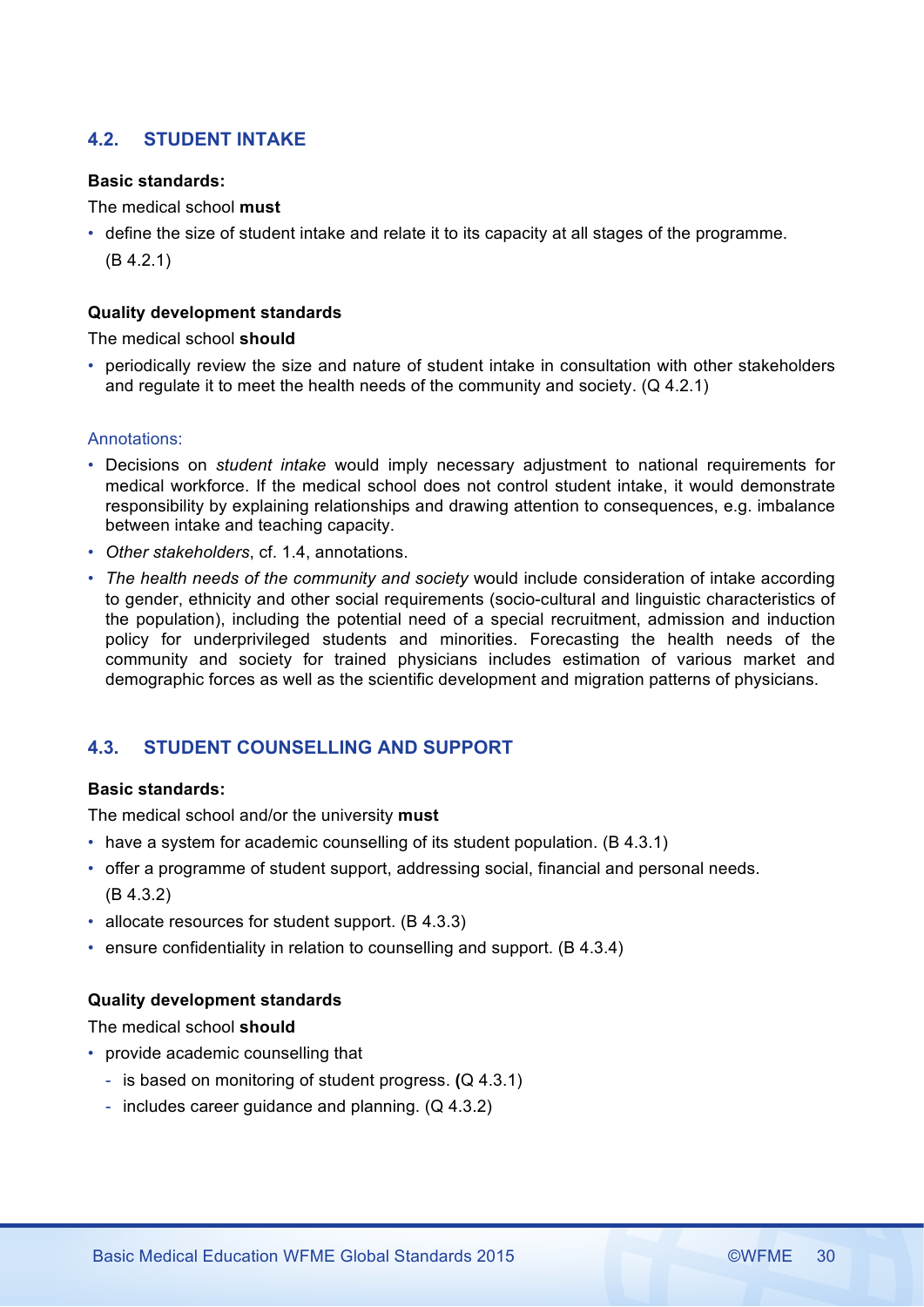# **4.2. STUDENT INTAKE**

# **Basic standards:**

The medical school **must**

• define the size of student intake and relate it to its capacity at all stages of the programme. (B 4.2.1)

# **Quality development standards**

The medical school **should**

• periodically review the size and nature of student intake in consultation with other stakeholders and regulate it to meet the health needs of the community and society. (Q 4.2.1)

# Annotations:

- Decisions on *student intake* would imply necessary adjustment to national requirements for medical workforce. If the medical school does not control student intake, it would demonstrate responsibility by explaining relationships and drawing attention to consequences, e.g. imbalance between intake and teaching capacity.
- *Other stakeholders*, cf. 1.4, annotations.
- *The health needs of the community and society* would include consideration of intake according to gender, ethnicity and other social requirements (socio-cultural and linguistic characteristics of the population), including the potential need of a special recruitment, admission and induction policy for underprivileged students and minorities. Forecasting the health needs of the community and society for trained physicians includes estimation of various market and demographic forces as well as the scientific development and migration patterns of physicians.

# **4.3. STUDENT COUNSELLING AND SUPPORT**

### **Basic standards:**

The medical school and/or the university **must**

- have a system for academic counselling of its student population. (B 4.3.1)
- offer a programme of student support, addressing social, financial and personal needs. (B 4.3.2)
- allocate resources for student support. (B 4.3.3)
- ensure confidentiality in relation to counselling and support. (B 4.3.4)

# **Quality development standards**

The medical school **should**

- provide academic counselling that
	- is based on monitoring of student progress. **(**Q 4.3.1)
	- includes career guidance and planning. (Q 4.3.2)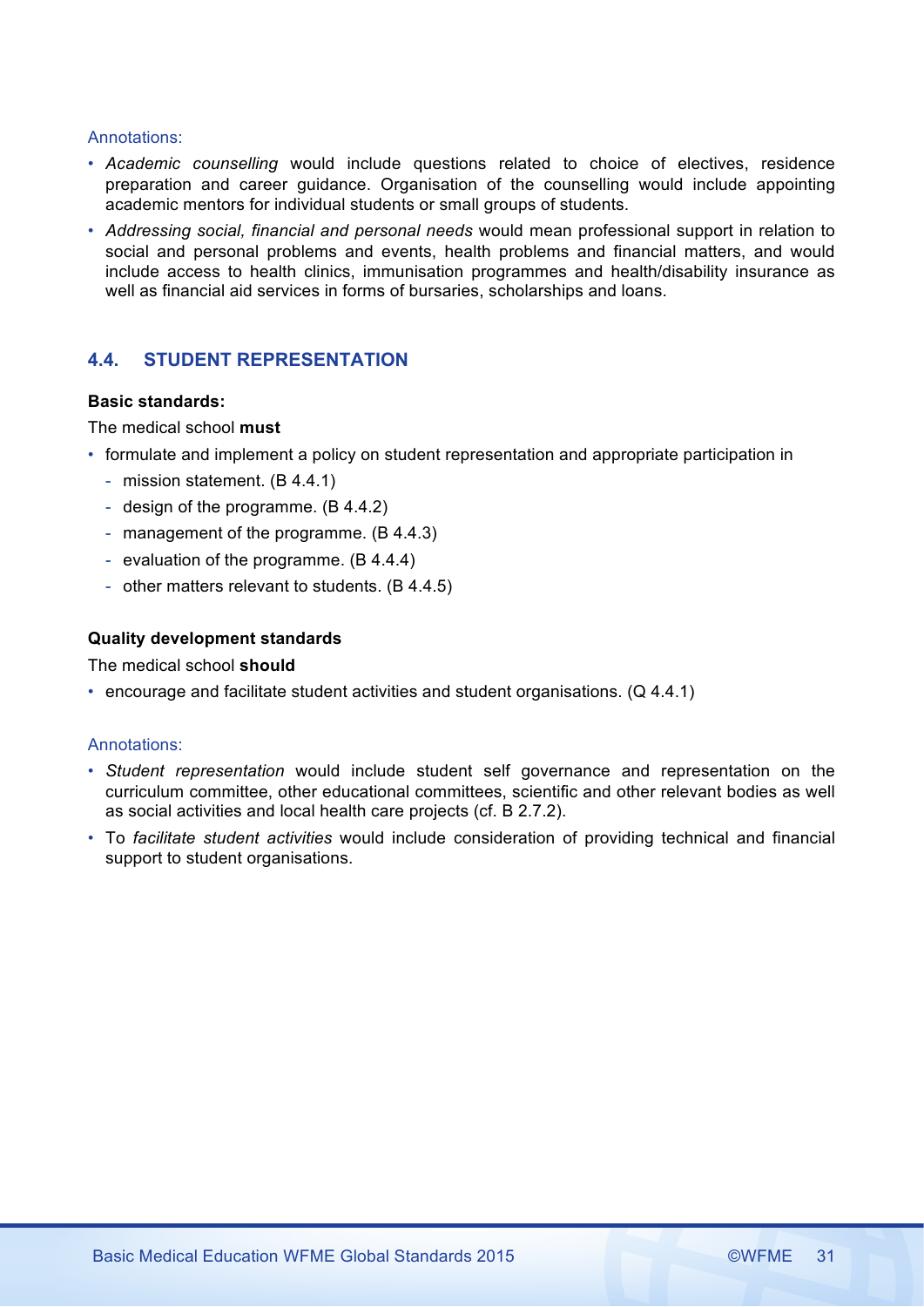# Annotations:

- *Academic counselling* would include questions related to choice of electives, residence preparation and career guidance. Organisation of the counselling would include appointing academic mentors for individual students or small groups of students.
- *Addressing social, financial and personal needs* would mean professional support in relation to social and personal problems and events, health problems and financial matters, and would include access to health clinics, immunisation programmes and health/disability insurance as well as financial aid services in forms of bursaries, scholarships and loans.

# **4.4. STUDENT REPRESENTATION**

# **Basic standards:**

The medical school **must**

- formulate and implement a policy on student representation and appropriate participation in
	- mission statement. (B 4.4.1)
	- design of the programme. (B 4.4.2)
	- management of the programme. (B 4.4.3)
	- evaluation of the programme. (B 4.4.4)
	- other matters relevant to students. (B 4.4.5)

# **Quality development standards**

The medical school **should**

• encourage and facilitate student activities and student organisations. (Q 4.4.1)

- *Student representation* would include student self governance and representation on the curriculum committee, other educational committees, scientific and other relevant bodies as well as social activities and local health care projects (cf. B 2.7.2).
- To *facilitate student activities* would include consideration of providing technical and financial support to student organisations.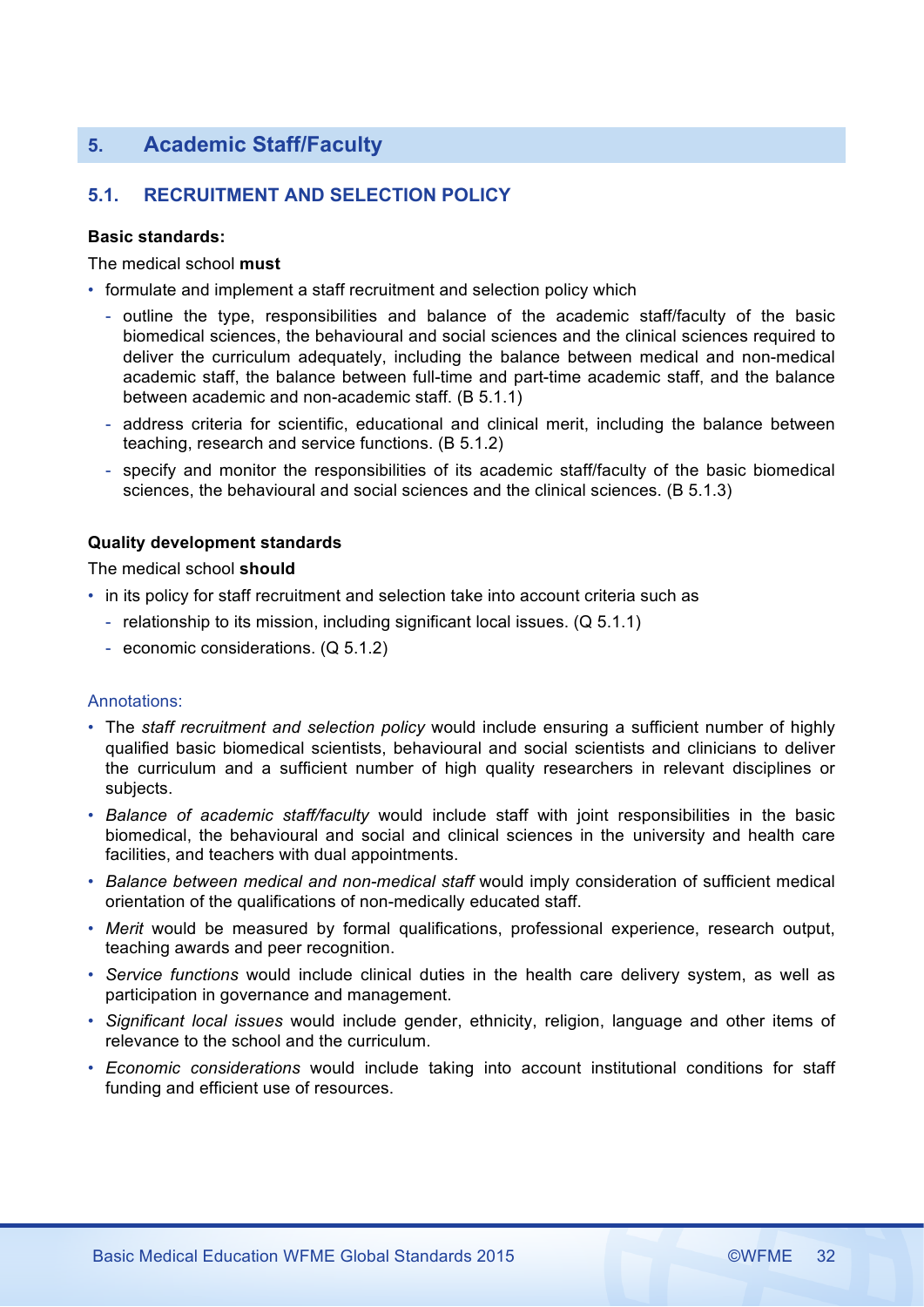# **5. Academic Staff/Faculty**

# **5.1. RECRUITMENT AND SELECTION POLICY**

# **Basic standards:**

The medical school **must**

- formulate and implement a staff recruitment and selection policy which
	- outline the type, responsibilities and balance of the academic staff/faculty of the basic biomedical sciences, the behavioural and social sciences and the clinical sciences required to deliver the curriculum adequately, including the balance between medical and non-medical academic staff, the balance between full-time and part-time academic staff, and the balance between academic and non-academic staff. (B 5.1.1)
	- address criteria for scientific, educational and clinical merit, including the balance between teaching, research and service functions. (B 5.1.2)
	- specify and monitor the responsibilities of its academic staff/faculty of the basic biomedical sciences, the behavioural and social sciences and the clinical sciences. (B 5.1.3)

# **Quality development standards**

The medical school **should**

- in its policy for staff recruitment and selection take into account criteria such as
	- relationship to its mission, including significant local issues. (Q 5.1.1)
	- economic considerations. (Q 5.1.2)

- The *staff recruitment and selection policy* would include ensuring a sufficient number of highly qualified basic biomedical scientists, behavioural and social scientists and clinicians to deliver the curriculum and a sufficient number of high quality researchers in relevant disciplines or subjects.
- *Balance of academic staff/faculty* would include staff with joint responsibilities in the basic biomedical, the behavioural and social and clinical sciences in the university and health care facilities, and teachers with dual appointments.
- *Balance between medical and non-medical staff* would imply consideration of sufficient medical orientation of the qualifications of non-medically educated staff.
- *Merit* would be measured by formal qualifications, professional experience, research output, teaching awards and peer recognition.
- *Service functions* would include clinical duties in the health care delivery system, as well as participation in governance and management.
- *Significant local issues* would include gender, ethnicity, religion, language and other items of relevance to the school and the curriculum.
- *Economic considerations* would include taking into account institutional conditions for staff funding and efficient use of resources.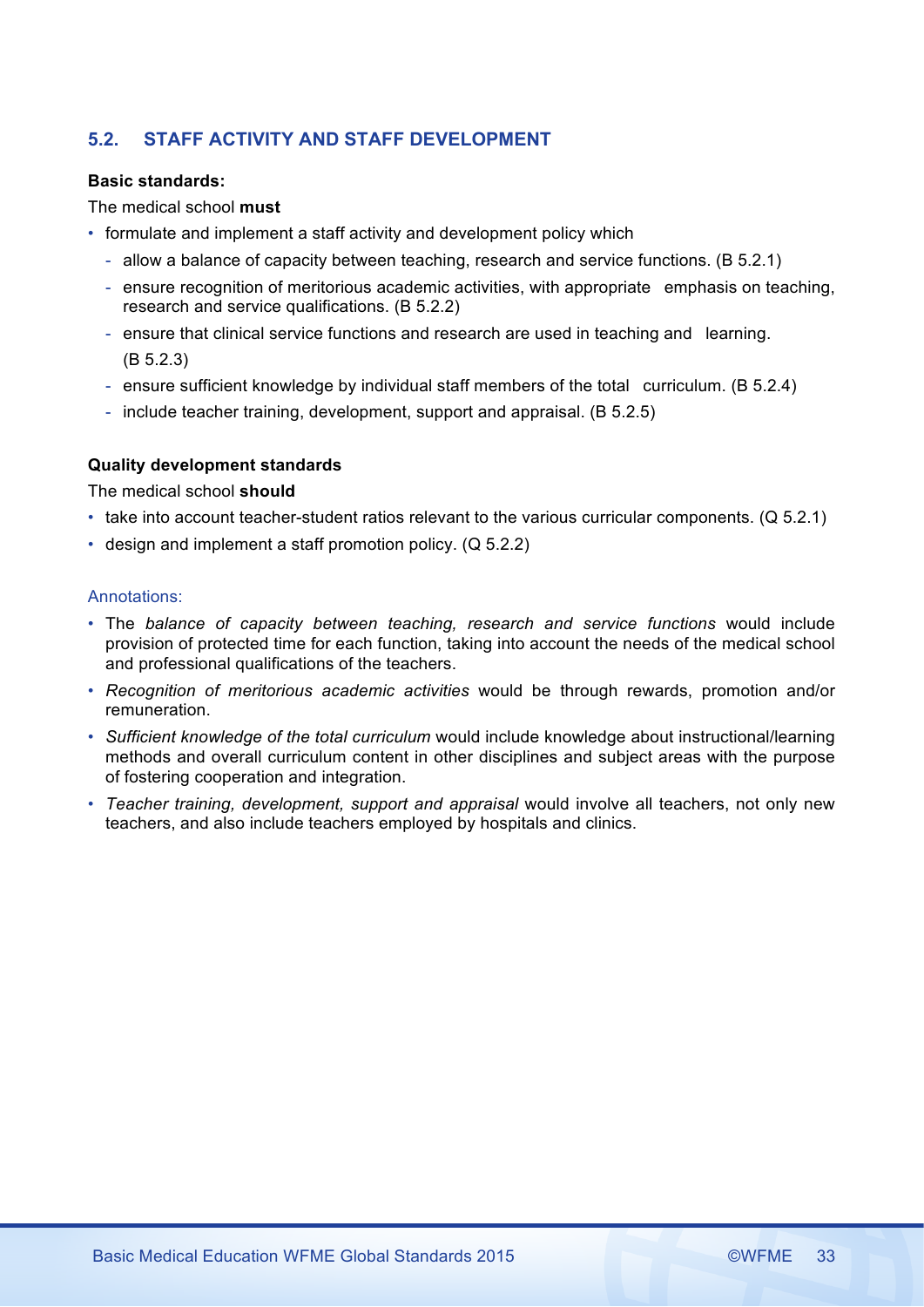# **5.2. STAFF ACTIVITY AND STAFF DEVELOPMENT**

# **Basic standards:**

# The medical school **must**

- formulate and implement a staff activity and development policy which
	- allow a balance of capacity between teaching, research and service functions. (B 5.2.1)
	- ensure recognition of meritorious academic activities, with appropriate emphasis on teaching, research and service qualifications. (B 5.2.2)
	- ensure that clinical service functions and research are used in teaching and learning. (B 5.2.3)
	- ensure sufficient knowledge by individual staff members of the total curriculum. (B 5.2.4)
	- include teacher training, development, support and appraisal. (B 5.2.5)

# **Quality development standards**

The medical school **should**

- take into account teacher-student ratios relevant to the various curricular components. (Q 5.2.1)
- design and implement a staff promotion policy. (Q 5.2.2)

- The *balance of capacity between teaching, research and service functions* would include provision of protected time for each function, taking into account the needs of the medical school and professional qualifications of the teachers.
- *Recognition of meritorious academic activities* would be through rewards, promotion and/or remuneration.
- *Sufficient knowledge of the total curriculum* would include knowledge about instructional/learning methods and overall curriculum content in other disciplines and subject areas with the purpose of fostering cooperation and integration.
- *Teacher training, development, support and appraisal* would involve all teachers, not only new teachers, and also include teachers employed by hospitals and clinics.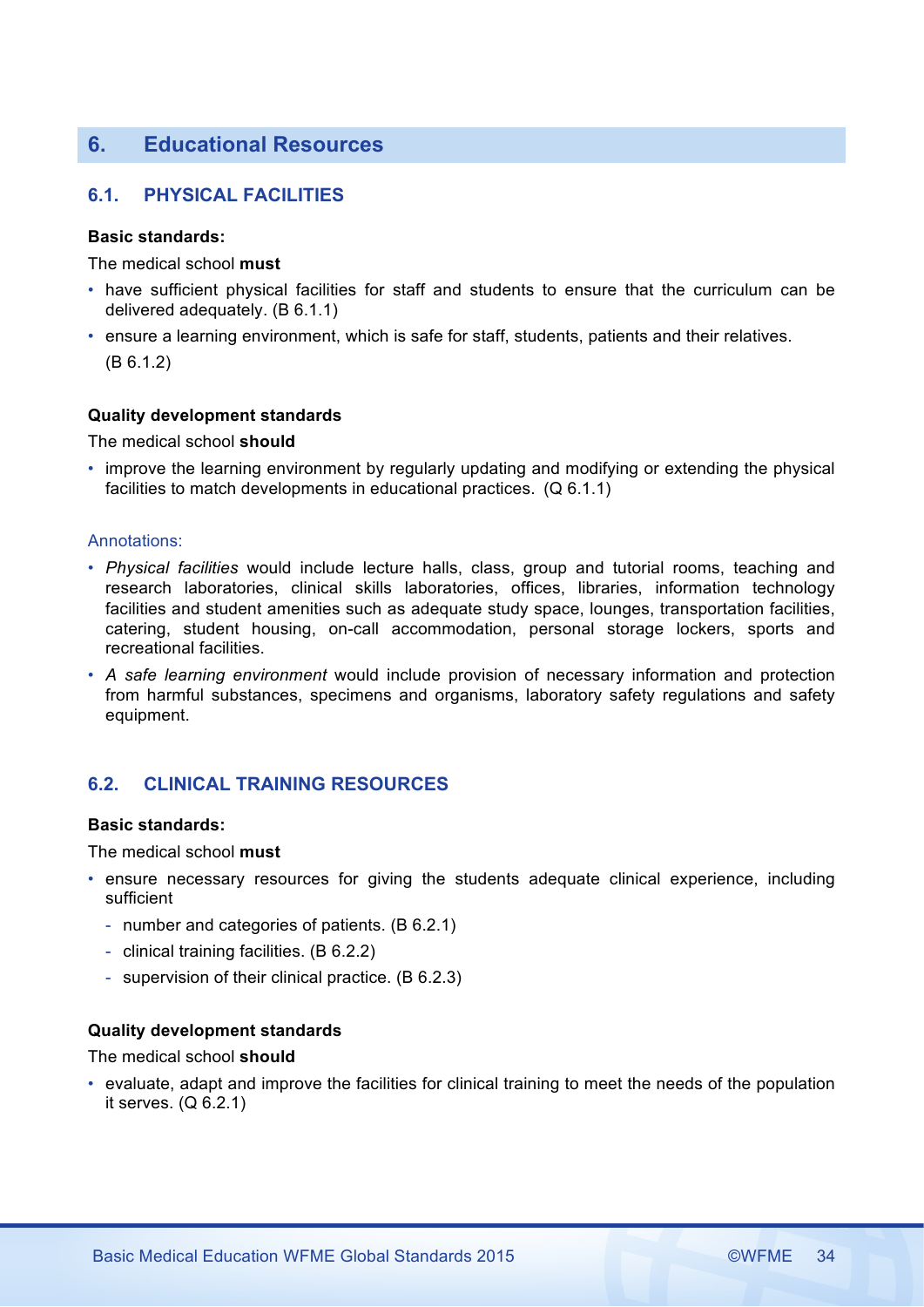# **6. Educational Resources**

# **6.1. PHYSICAL FACILITIES**

# **Basic standards:**

The medical school **must**

- have sufficient physical facilities for staff and students to ensure that the curriculum can be delivered adequately. (B 6.1.1)
- ensure a learning environment, which is safe for staff, students, patients and their relatives. (B 6.1.2)

# **Quality development standards**

The medical school **should**

• improve the learning environment by regularly updating and modifying or extending the physical facilities to match developments in educational practices. (Q 6.1.1)

# Annotations:

- *Physical facilities* would include lecture halls, class, group and tutorial rooms, teaching and research laboratories, clinical skills laboratories, offices, libraries, information technology facilities and student amenities such as adequate study space, lounges, transportation facilities, catering, student housing, on-call accommodation, personal storage lockers, sports and recreational facilities.
- *A safe learning environment* would include provision of necessary information and protection from harmful substances, specimens and organisms, laboratory safety regulations and safety equipment.

# **6.2. CLINICAL TRAINING RESOURCES**

# **Basic standards:**

The medical school **must**

- ensure necessary resources for giving the students adequate clinical experience, including sufficient
	- number and categories of patients. (B 6.2.1)
	- clinical training facilities. (B 6.2.2)
	- supervision of their clinical practice. (B 6.2.3)

# **Quality development standards**

The medical school **should**

• evaluate, adapt and improve the facilities for clinical training to meet the needs of the population it serves. (Q 6.2.1)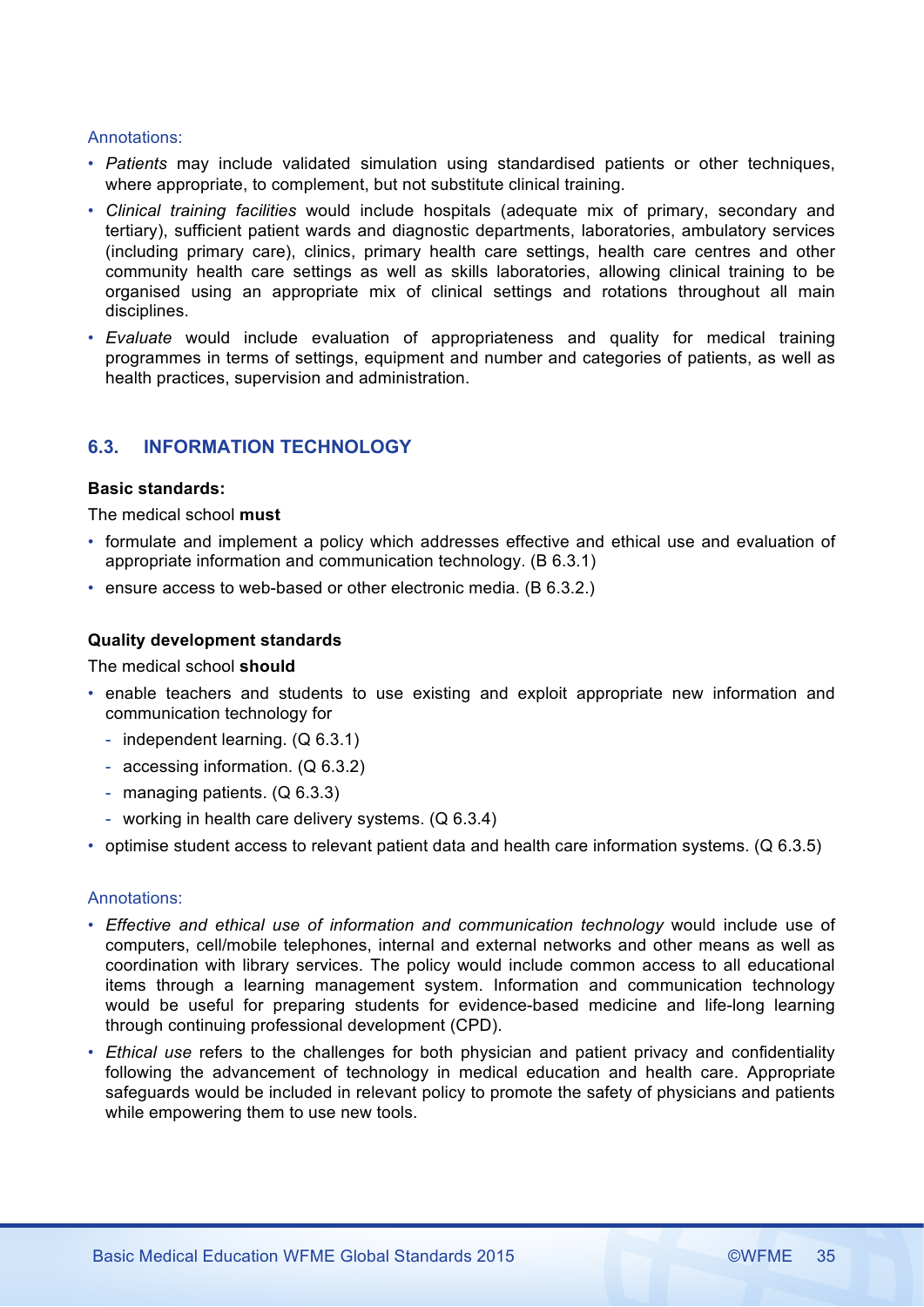# Annotations:

- *Patients* may include validated simulation using standardised patients or other techniques, where appropriate, to complement, but not substitute clinical training.
- *Clinical training facilities* would include hospitals (adequate mix of primary, secondary and tertiary), sufficient patient wards and diagnostic departments, laboratories, ambulatory services (including primary care), clinics, primary health care settings, health care centres and other community health care settings as well as skills laboratories, allowing clinical training to be organised using an appropriate mix of clinical settings and rotations throughout all main disciplines.
- *Evaluate* would include evaluation of appropriateness and quality for medical training programmes in terms of settings, equipment and number and categories of patients, as well as health practices, supervision and administration.

# **6.3. INFORMATION TECHNOLOGY**

# **Basic standards:**

The medical school **must**

- formulate and implement a policy which addresses effective and ethical use and evaluation of appropriate information and communication technology. (B 6.3.1)
- ensure access to web-based or other electronic media. (B 6.3.2.)

# **Quality development standards**

The medical school **should**

- enable teachers and students to use existing and exploit appropriate new information and communication technology for
	- independent learning. (Q 6.3.1)
	- accessing information. (Q 6.3.2)
	- managing patients. (Q 6.3.3)
	- working in health care delivery systems. (Q 6.3.4)
- optimise student access to relevant patient data and health care information systems. (Q 6.3.5)

- Effective and ethical use of information and communication technology would include use of computers, cell/mobile telephones, internal and external networks and other means as well as coordination with library services. The policy would include common access to all educational items through a learning management system. Information and communication technology would be useful for preparing students for evidence-based medicine and life-long learning through continuing professional development (CPD).
- *Ethical use* refers to the challenges for both physician and patient privacy and confidentiality following the advancement of technology in medical education and health care. Appropriate safeguards would be included in relevant policy to promote the safety of physicians and patients while empowering them to use new tools.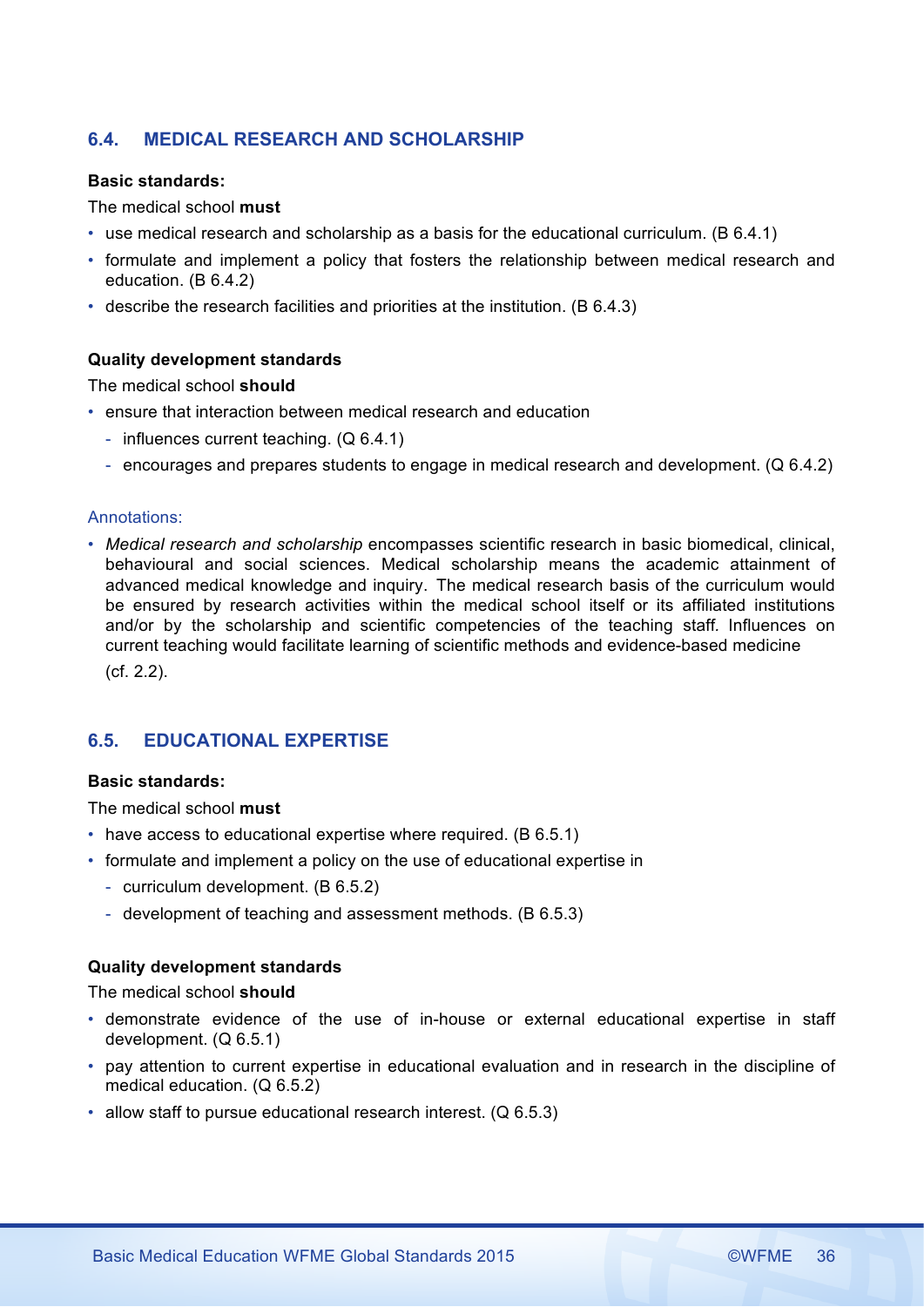# **6.4. MEDICAL RESEARCH AND SCHOLARSHIP**

### **Basic standards:**

The medical school **must**

- use medical research and scholarship as a basis for the educational curriculum. (B 6.4.1)
- formulate and implement a policy that fosters the relationship between medical research and education. (B 6.4.2)
- describe the research facilities and priorities at the institution. (B 6.4.3)

# **Quality development standards**

The medical school **should**

- ensure that interaction between medical research and education
	- influences current teaching. (Q 6.4.1)
	- encourages and prepares students to engage in medical research and development. (Q 6.4.2)

# Annotations:

• *Medical research and scholarship* encompasses scientific research in basic biomedical, clinical, behavioural and social sciences. Medical scholarship means the academic attainment of advanced medical knowledge and inquiry. The medical research basis of the curriculum would be ensured by research activities within the medical school itself or its affiliated institutions and/or by the scholarship and scientific competencies of the teaching staff*.* Influences on current teaching would facilitate learning of scientific methods and evidence-based medicine (cf. 2.2).

# **6.5. EDUCATIONAL EXPERTISE**

### **Basic standards:**

The medical school **must**

- have access to educational expertise where required. (B 6.5.1)
- formulate and implement a policy on the use of educational expertise in
	- curriculum development. (B 6.5.2)
	- development of teaching and assessment methods. (B 6.5.3)

# **Quality development standards**

## The medical school **should**

- demonstrate evidence of the use of in-house or external educational expertise in staff development. (Q 6.5.1)
- pay attention to current expertise in educational evaluation and in research in the discipline of medical education. (Q 6.5.2)
- allow staff to pursue educational research interest. (Q 6.5.3)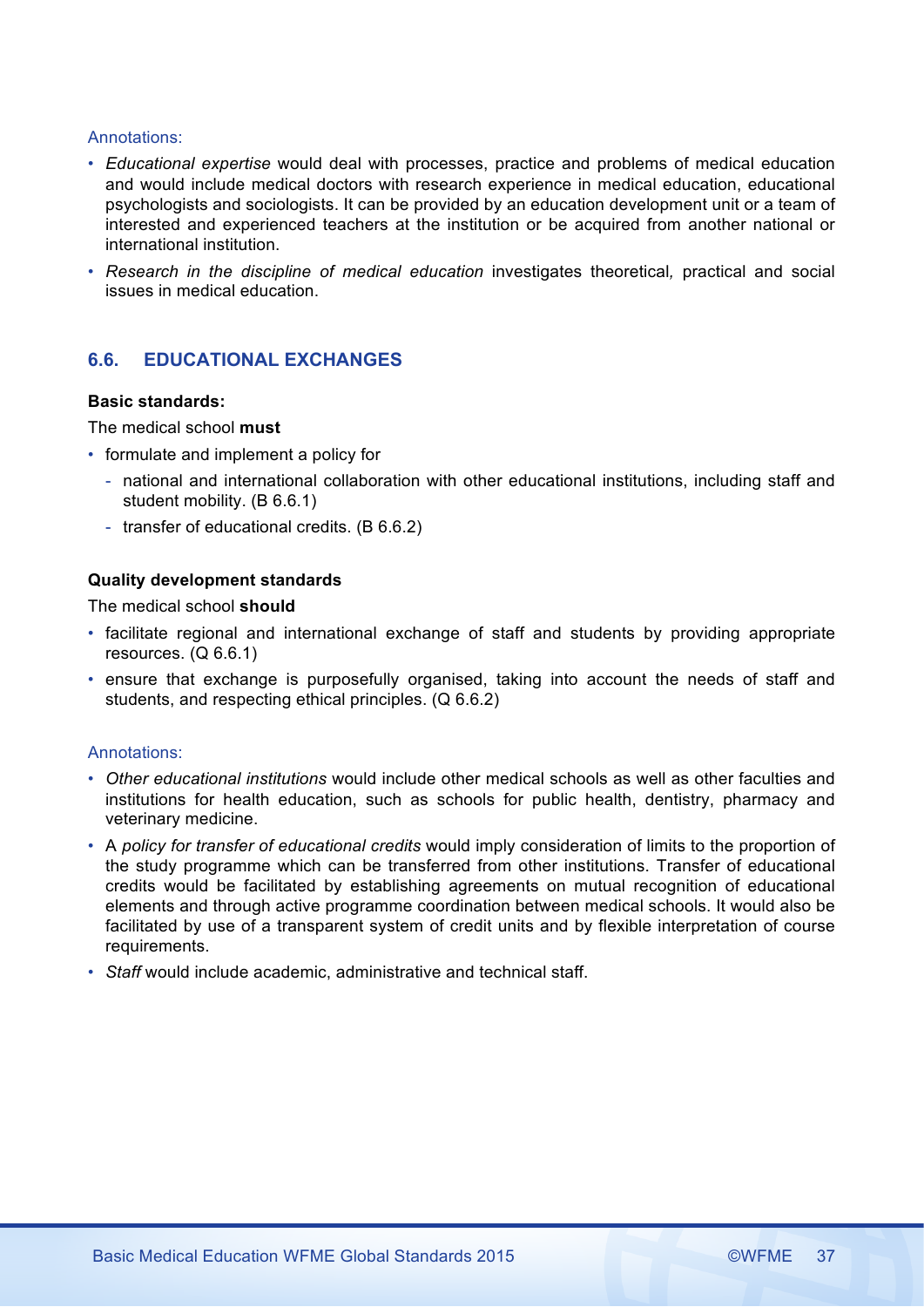# Annotations:

- *Educational expertise* would deal with processes, practice and problems of medical education and would include medical doctors with research experience in medical education, educational psychologists and sociologists. It can be provided by an education development unit or a team of interested and experienced teachers at the institution or be acquired from another national or international institution.
- *Research in the discipline of medical education* investigates theoretical*,* practical and social issues in medical education.

# **6.6. EDUCATIONAL EXCHANGES**

### **Basic standards:**

The medical school **must**

- formulate and implement a policy for
	- national and international collaboration with other educational institutions, including staff and student mobility. (B 6.6.1)
	- transfer of educational credits. (B 6.6.2)

# **Quality development standards**

The medical school **should**

- facilitate regional and international exchange of staff and students by providing appropriate resources. (Q 6.6.1)
- ensure that exchange is purposefully organised, taking into account the needs of staff and students, and respecting ethical principles. (Q 6.6.2)

- *Other educational institutions* would include other medical schools as well as other faculties and institutions for health education, such as schools for public health, dentistry, pharmacy and veterinary medicine.
- A *policy for transfer of educational credits* would imply consideration of limits to the proportion of the study programme which can be transferred from other institutions. Transfer of educational credits would be facilitated by establishing agreements on mutual recognition of educational elements and through active programme coordination between medical schools. It would also be facilitated by use of a transparent system of credit units and by flexible interpretation of course requirements.
- *Staff* would include academic, administrative and technical staff.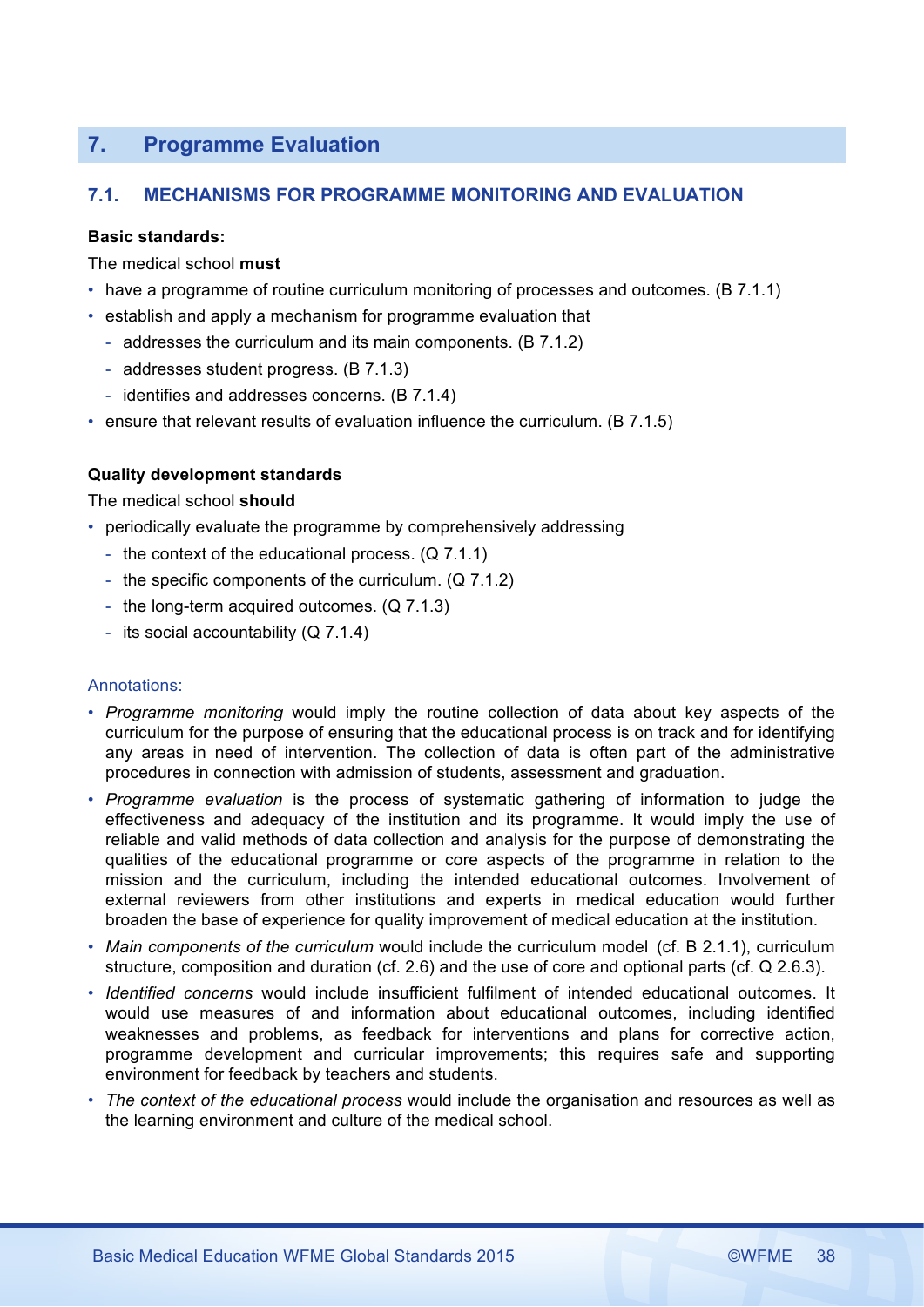# **7. Programme Evaluation**

# **7.1. MECHANISMS FOR PROGRAMME MONITORING AND EVALUATION**

# **Basic standards:**

The medical school **must**

- have a programme of routine curriculum monitoring of processes and outcomes. (B 7.1.1)
- establish and apply a mechanism for programme evaluation that
	- addresses the curriculum and its main components. (B 7.1.2)
	- addresses student progress. (B 7.1.3)
	- identifies and addresses concerns. (B 7.1.4)
- ensure that relevant results of evaluation influence the curriculum. (B 7.1.5)

# **Quality development standards**

The medical school **should**

- periodically evaluate the programme by comprehensively addressing
	- the context of the educational process. (Q 7.1.1)
	- the specific components of the curriculum. (Q 7.1.2)
	- the long-term acquired outcomes. (Q 7.1.3)
	- its social accountability (Q 7.1.4)

- *Programme monitoring* would imply the routine collection of data about key aspects of the curriculum for the purpose of ensuring that the educational process is on track and for identifying any areas in need of intervention. The collection of data is often part of the administrative procedures in connection with admission of students, assessment and graduation.
- *Programme evaluation* is the process of systematic gathering of information to judge the effectiveness and adequacy of the institution and its programme. It would imply the use of reliable and valid methods of data collection and analysis for the purpose of demonstrating the qualities of the educational programme or core aspects of the programme in relation to the mission and the curriculum, including the intended educational outcomes. Involvement of external reviewers from other institutions and experts in medical education would further broaden the base of experience for quality improvement of medical education at the institution.
- *Main components of the curriculum* would include the curriculum model (cf. B 2.1.1), curriculum structure, composition and duration (cf. 2.6) and the use of core and optional parts (cf. Q 2.6.3).
- *Identified concerns* would include insufficient fulfilment of intended educational outcomes. It would use measures of and information about educational outcomes, including identified weaknesses and problems, as feedback for interventions and plans for corrective action, programme development and curricular improvements; this requires safe and supporting environment for feedback by teachers and students.
- *The context of the educational process* would include the organisation and resources as well as the learning environment and culture of the medical school.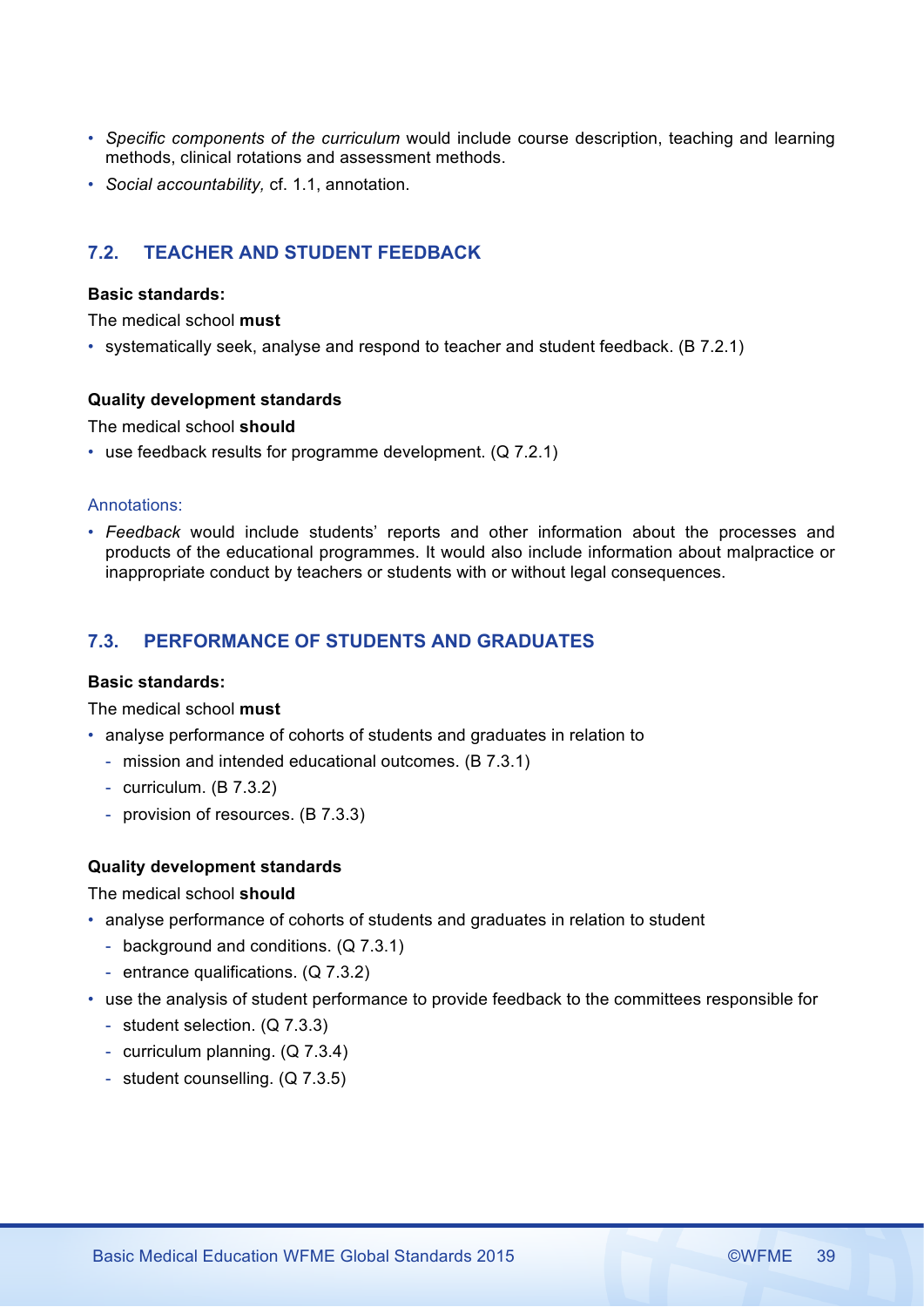- *Specific components of the curriculum* would include course description, teaching and learning methods, clinical rotations and assessment methods.
- *Social accountability,* cf. 1.1, annotation.

# **7.2. TEACHER AND STUDENT FEEDBACK**

### **Basic standards:**

The medical school **must**

• systematically seek, analyse and respond to teacher and student feedback. (B 7.2.1)

# **Quality development standards**

The medical school **should**

• use feedback results for programme development. (Q 7.2.1)

# Annotations:

• *Feedback* would include students' reports and other information about the processes and products of the educational programmes. It would also include information about malpractice or inappropriate conduct by teachers or students with or without legal consequences.

# **7.3. PERFORMANCE OF STUDENTS AND GRADUATES**

### **Basic standards:**

The medical school **must**

- analyse performance of cohorts of students and graduates in relation to
	- mission and intended educational outcomes. (B 7.3.1)
	- curriculum. (B 7.3.2)
	- provision of resources. (B 7.3.3)

# **Quality development standards**

# The medical school **should**

- analyse performance of cohorts of students and graduates in relation to student
	- background and conditions. (Q 7.3.1)
	- entrance qualifications. (Q 7.3.2)
- use the analysis of student performance to provide feedback to the committees responsible for
	- student selection. (Q 7.3.3)
	- curriculum planning. (Q 7.3.4)
	- student counselling. (Q 7.3.5)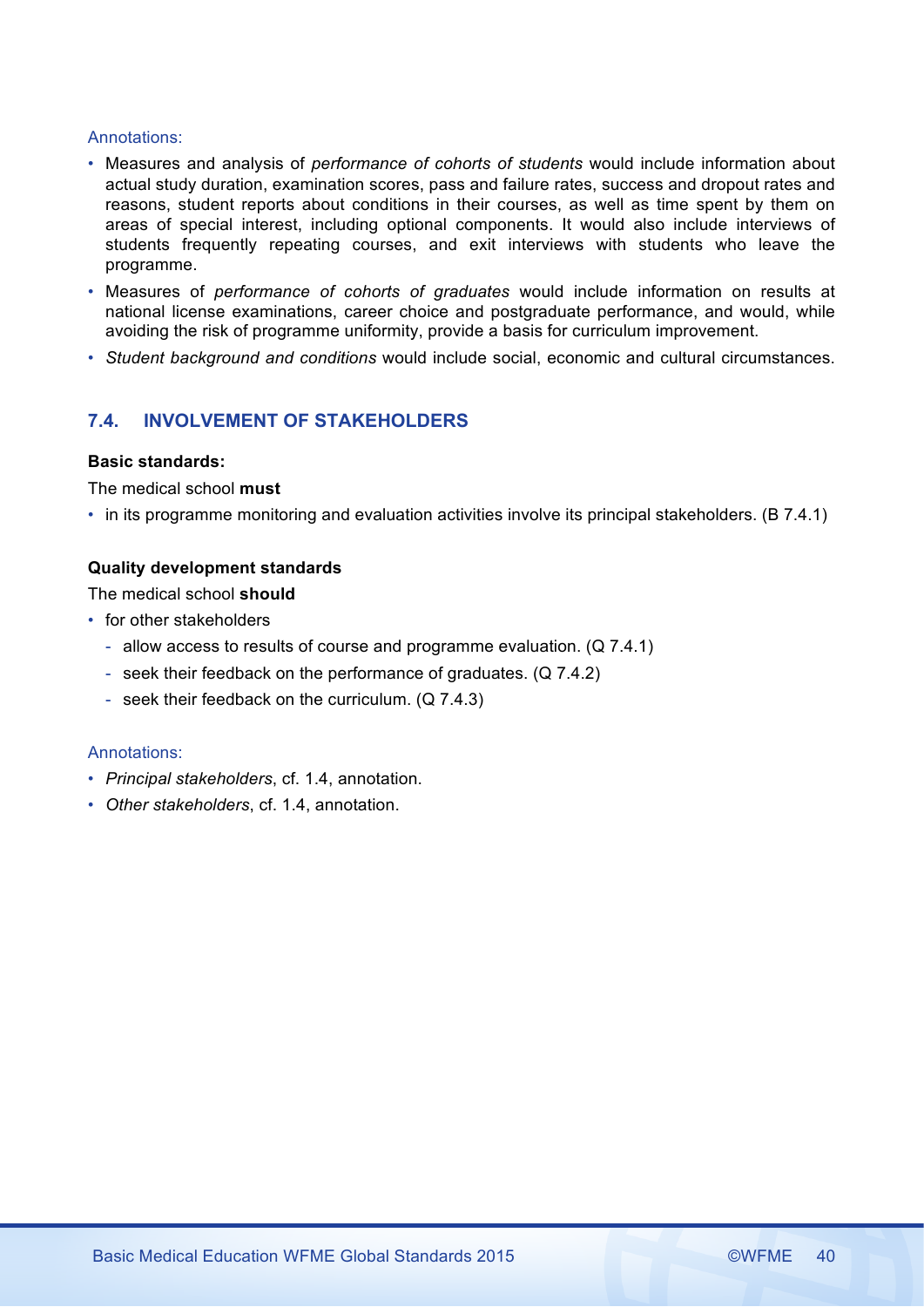### Annotations:

- Measures and analysis of *performance of cohorts of students* would include information about actual study duration, examination scores, pass and failure rates, success and dropout rates and reasons, student reports about conditions in their courses, as well as time spent by them on areas of special interest, including optional components. It would also include interviews of students frequently repeating courses, and exit interviews with students who leave the programme.
- Measures of *performance of cohorts of graduates* would include information on results at national license examinations, career choice and postgraduate performance, and would, while avoiding the risk of programme uniformity, provide a basis for curriculum improvement.
- *Student background and conditions* would include social, economic and cultural circumstances.

# **7.4. INVOLVEMENT OF STAKEHOLDERS**

# **Basic standards:**

The medical school **must**

• in its programme monitoring and evaluation activities involve its principal stakeholders. (B 7.4.1)

# **Quality development standards**

The medical school **should**

- for other stakeholders
	- allow access to results of course and programme evaluation. (Q 7.4.1)
	- seek their feedback on the performance of graduates. (Q 7.4.2)
	- seek their feedback on the curriculum. (Q 7.4.3)

- *Principal stakeholders*, cf. 1.4, annotation.
- *Other stakeholders*, cf. 1.4, annotation.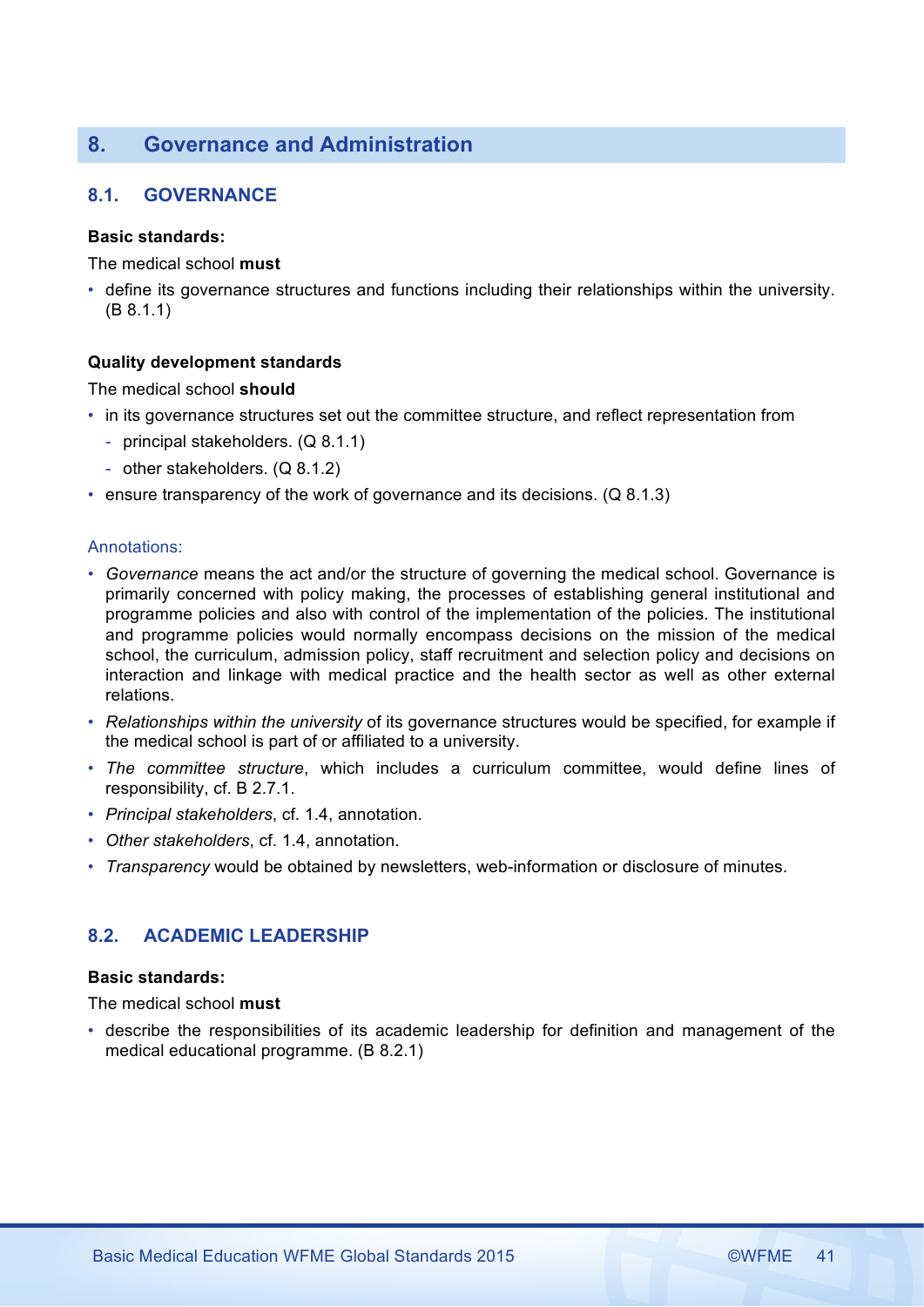# **8. Governance and Administration**

# **8.1. GOVERNANCE**

# **Basic standards:**

The medical school **must**

• define its governance structures and functions including their relationships within the university. (B 8.1.1)

# **Quality development standards**

# The medical school **should**

- in its governance structures set out the committee structure, and reflect representation from
	- principal stakeholders. (Q 8.1.1)
	- other stakeholders. (Q 8.1.2)
- ensure transparency of the work of governance and its decisions. (Q 8.1.3)

### Annotations:

- *Governance* means the act and/or the structure of governing the medical school. Governance is primarily concerned with policy making, the processes of establishing general institutional and programme policies and also with control of the implementation of the policies. The institutional and programme policies would normally encompass decisions on the mission of the medical school, the curriculum, admission policy, staff recruitment and selection policy and decisions on interaction and linkage with medical practice and the health sector as well as other external relations.
- *Relationships within the university* of its governance structures would be specified, for example if the medical school is part of or affiliated to a university.
- *The committee structure*, which includes a curriculum committee, would define lines of responsibility, cf. B 2.7.1.
- *Principal stakeholders*, cf. 1.4, annotation.
- *Other stakeholders*, cf. 1.4, annotation.
- *Transparency* would be obtained by newsletters, web-information or disclosure of minutes.

# **8.2. ACADEMIC LEADERSHIP**

# **Basic standards:**

The medical school **must**

• describe the responsibilities of its academic leadership for definition and management of the medical educational programme. (B 8.2.1)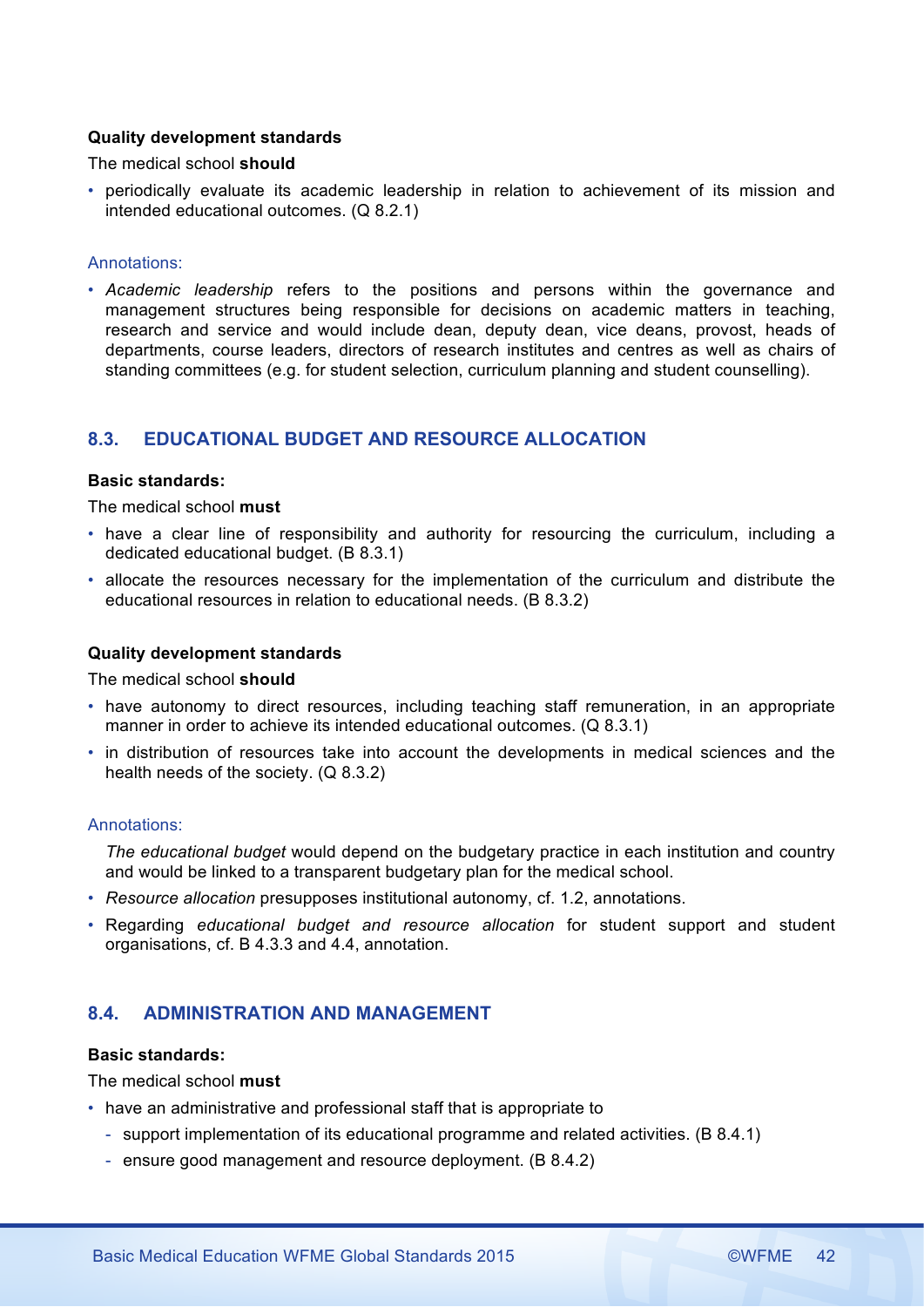# **Quality development standards**

The medical school **should**

• periodically evaluate its academic leadership in relation to achievement of its mission and intended educational outcomes. (Q 8.2.1)

### Annotations:

• *Academic leadership* refers to the positions and persons within the governance and management structures being responsible for decisions on academic matters in teaching, research and service and would include dean, deputy dean, vice deans, provost, heads of departments, course leaders, directors of research institutes and centres as well as chairs of standing committees (e.g. for student selection, curriculum planning and student counselling).

# **8.3. EDUCATIONAL BUDGET AND RESOURCE ALLOCATION**

### **Basic standards:**

The medical school **must**

- have a clear line of responsibility and authority for resourcing the curriculum, including a dedicated educational budget. (B 8.3.1)
- allocate the resources necessary for the implementation of the curriculum and distribute the educational resources in relation to educational needs. (B 8.3.2)

#### **Quality development standards**

The medical school **should**

- have autonomy to direct resources, including teaching staff remuneration, in an appropriate manner in order to achieve its intended educational outcomes. (Q 8.3.1)
- in distribution of resources take into account the developments in medical sciences and the health needs of the society. (Q 8.3.2)

### Annotations:

*The educational budget* would depend on the budgetary practice in each institution and country and would be linked to a transparent budgetary plan for the medical school.

- *Resource allocation* presupposes institutional autonomy, cf. 1.2, annotations.
- Regarding *educational budget and resource allocation* for student support and student organisations, cf. B 4.3.3 and 4.4, annotation.

# **8.4. ADMINISTRATION AND MANAGEMENT**

### **Basic standards:**

The medical school **must**

- have an administrative and professional staff that is appropriate to
	- support implementation of its educational programme and related activities. (B 8.4.1)
	- ensure good management and resource deployment. (B 8.4.2)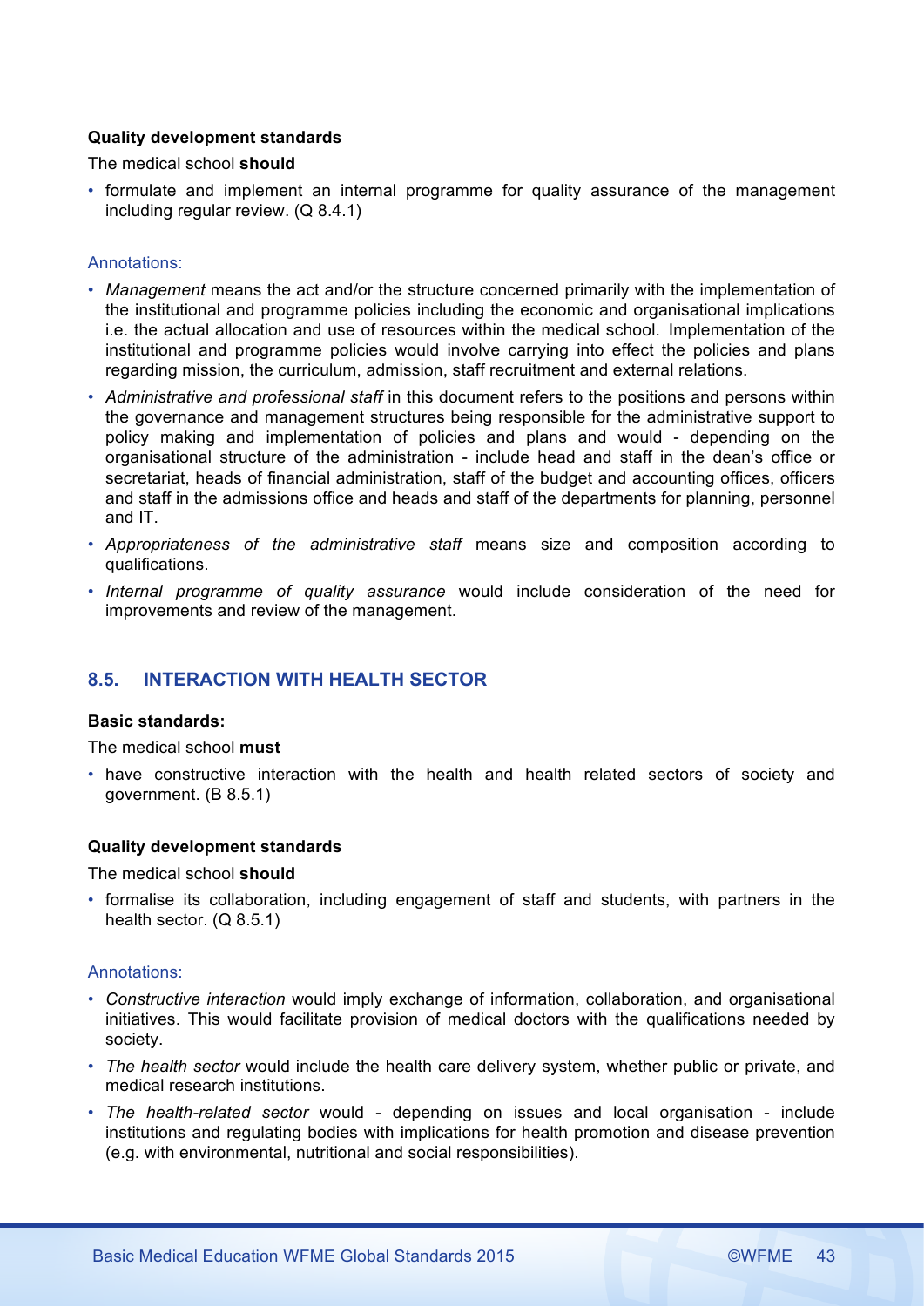# **Quality development standards**

The medical school **should**

• formulate and implement an internal programme for quality assurance of the management including regular review. (Q 8.4.1)

### Annotations:

- *Management* means the act and/or the structure concerned primarily with the implementation of the institutional and programme policies including the economic and organisational implications i.e. the actual allocation and use of resources within the medical school. Implementation of the institutional and programme policies would involve carrying into effect the policies and plans regarding mission, the curriculum, admission, staff recruitment and external relations.
- *Administrative and professional staff* in this document refers to the positions and persons within the governance and management structures being responsible for the administrative support to policy making and implementation of policies and plans and would - depending on the organisational structure of the administration - include head and staff in the dean's office or secretariat, heads of financial administration, staff of the budget and accounting offices, officers and staff in the admissions office and heads and staff of the departments for planning, personnel and IT.
- *Appropriateness of the administrative staff* means size and composition according to qualifications.
- *Internal programme of quality assurance* would include consideration of the need for improvements and review of the management.

# **8.5. INTERACTION WITH HEALTH SECTOR**

# **Basic standards:**

The medical school **must**

• have constructive interaction with the health and health related sectors of society and government. (B 8.5.1)

#### **Quality development standards**

The medical school **should**

• formalise its collaboration, including engagement of staff and students, with partners in the health sector. (Q 8.5.1)

- *Constructive interaction* would imply exchange of information, collaboration, and organisational initiatives. This would facilitate provision of medical doctors with the qualifications needed by society.
- *The health sector* would include the health care delivery system, whether public or private, and medical research institutions.
- *The health-related sector* would depending on issues and local organisation include institutions and regulating bodies with implications for health promotion and disease prevention (e.g. with environmental, nutritional and social responsibilities).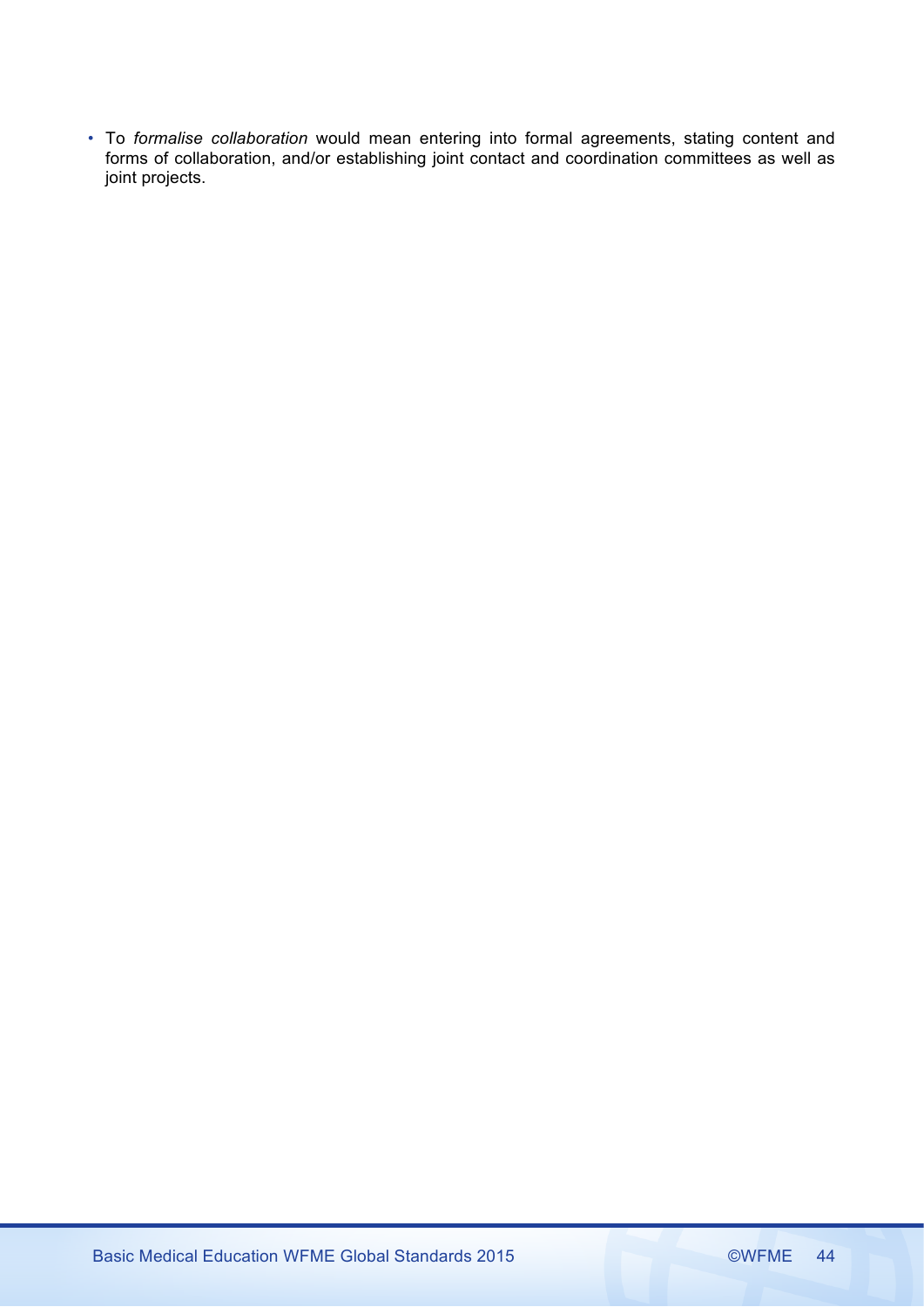• To *formalise collaboration* would mean entering into formal agreements, stating content and forms of collaboration, and/or establishing joint contact and coordination committees as well as joint projects.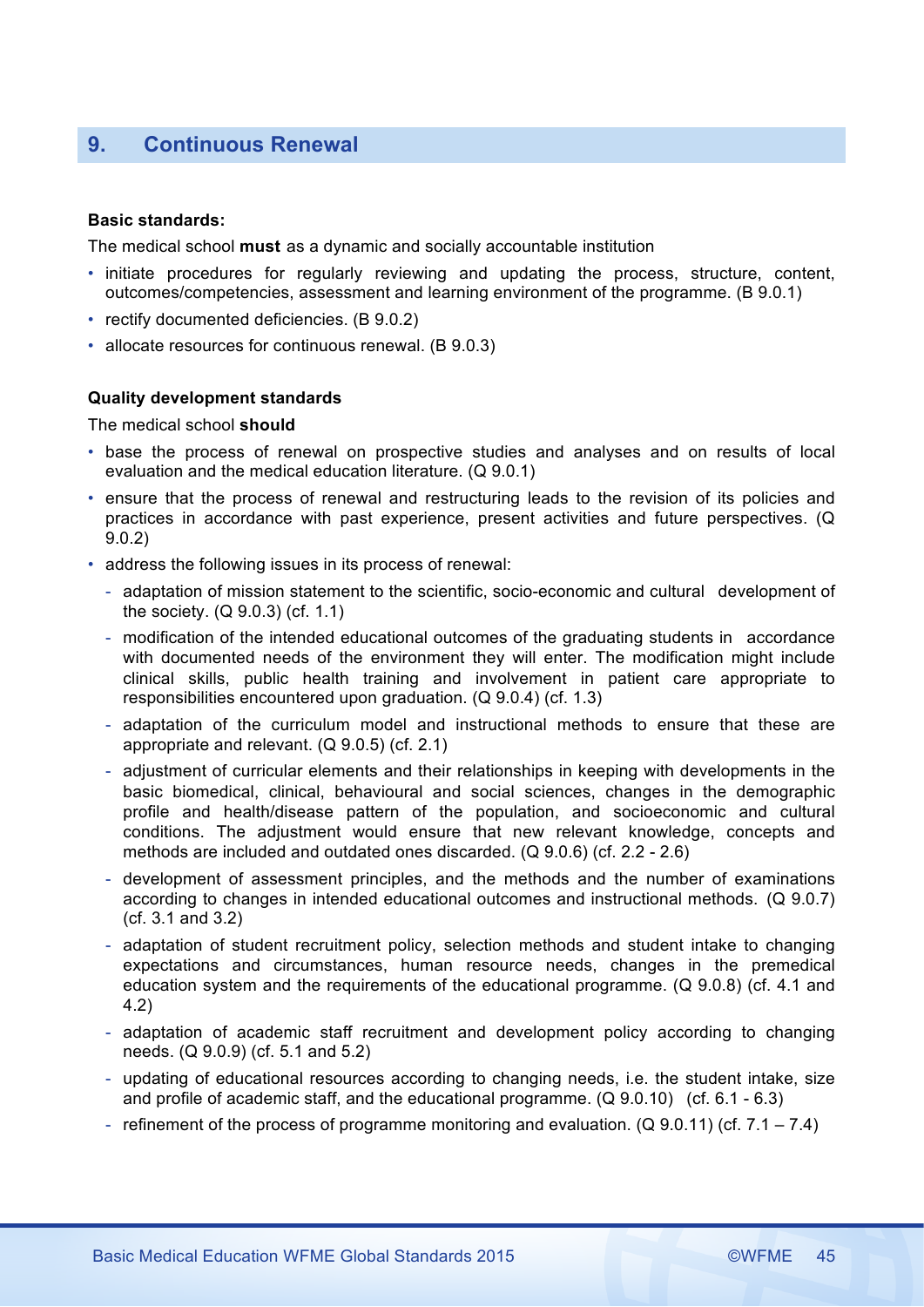# **9. Continuous Renewal**

### **Basic standards:**

The medical school **must** as a dynamic and socially accountable institution

- initiate procedures for regularly reviewing and updating the process, structure, content, outcomes/competencies, assessment and learning environment of the programme. (B 9.0.1)
- rectify documented deficiencies. (B 9.0.2)
- allocate resources for continuous renewal. (B 9.0.3)

# **Quality development standards**

The medical school **should**

- base the process of renewal on prospective studies and analyses and on results of local evaluation and the medical education literature. (Q 9.0.1)
- ensure that the process of renewal and restructuring leads to the revision of its policies and practices in accordance with past experience, present activities and future perspectives. (Q 9.0.2)
- address the following issues in its process of renewal:
	- adaptation of mission statement to the scientific, socio-economic and cultural development of the society. (Q 9.0.3) (cf. 1.1)
	- modification of the intended educational outcomes of the graduating students in accordance with documented needs of the environment they will enter. The modification might include clinical skills, public health training and involvement in patient care appropriate to responsibilities encountered upon graduation. (Q 9.0.4) (cf. 1.3)
	- adaptation of the curriculum model and instructional methods to ensure that these are appropriate and relevant. (Q 9.0.5) (cf. 2.1)
	- adjustment of curricular elements and their relationships in keeping with developments in the basic biomedical, clinical, behavioural and social sciences, changes in the demographic profile and health/disease pattern of the population, and socioeconomic and cultural conditions. The adjustment would ensure that new relevant knowledge, concepts and methods are included and outdated ones discarded. (Q 9.0.6) (cf. 2.2 - 2.6)
	- development of assessment principles, and the methods and the number of examinations according to changes in intended educational outcomes and instructional methods. (Q 9.0.7) (cf. 3.1 and 3.2)
	- adaptation of student recruitment policy, selection methods and student intake to changing expectations and circumstances, human resource needs, changes in the premedical education system and the requirements of the educational programme. (Q 9.0.8) (cf. 4.1 and 4.2)
	- adaptation of academic staff recruitment and development policy according to changing needs. (Q 9.0.9) (cf. 5.1 and 5.2)
	- updating of educational resources according to changing needs, i.e. the student intake, size and profile of academic staff, and the educational programme. (Q 9.0.10) (cf. 6.1 - 6.3)
	- refinement of the process of programme monitoring and evaluation. (Q 9.0.11) (cf. 7.1 7.4)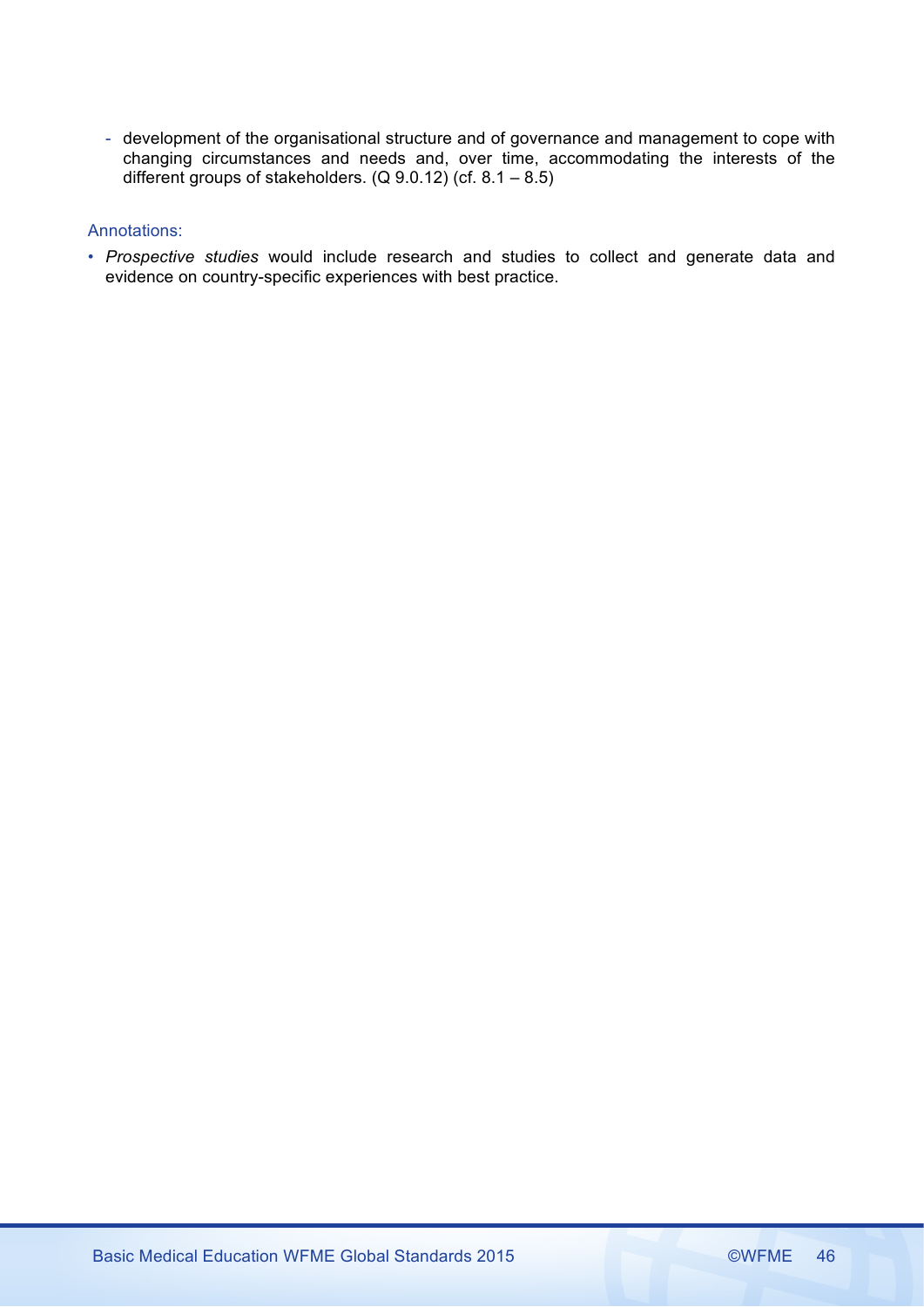- development of the organisational structure and of governance and management to cope with changing circumstances and needs and, over time, accommodating the interests of the different groups of stakeholders.  $(Q 9.0.12)$  (cf.  $8.1 - 8.5$ )

# Annotations:

• *Prospective studies* would include research and studies to collect and generate data and evidence on country-specific experiences with best practice.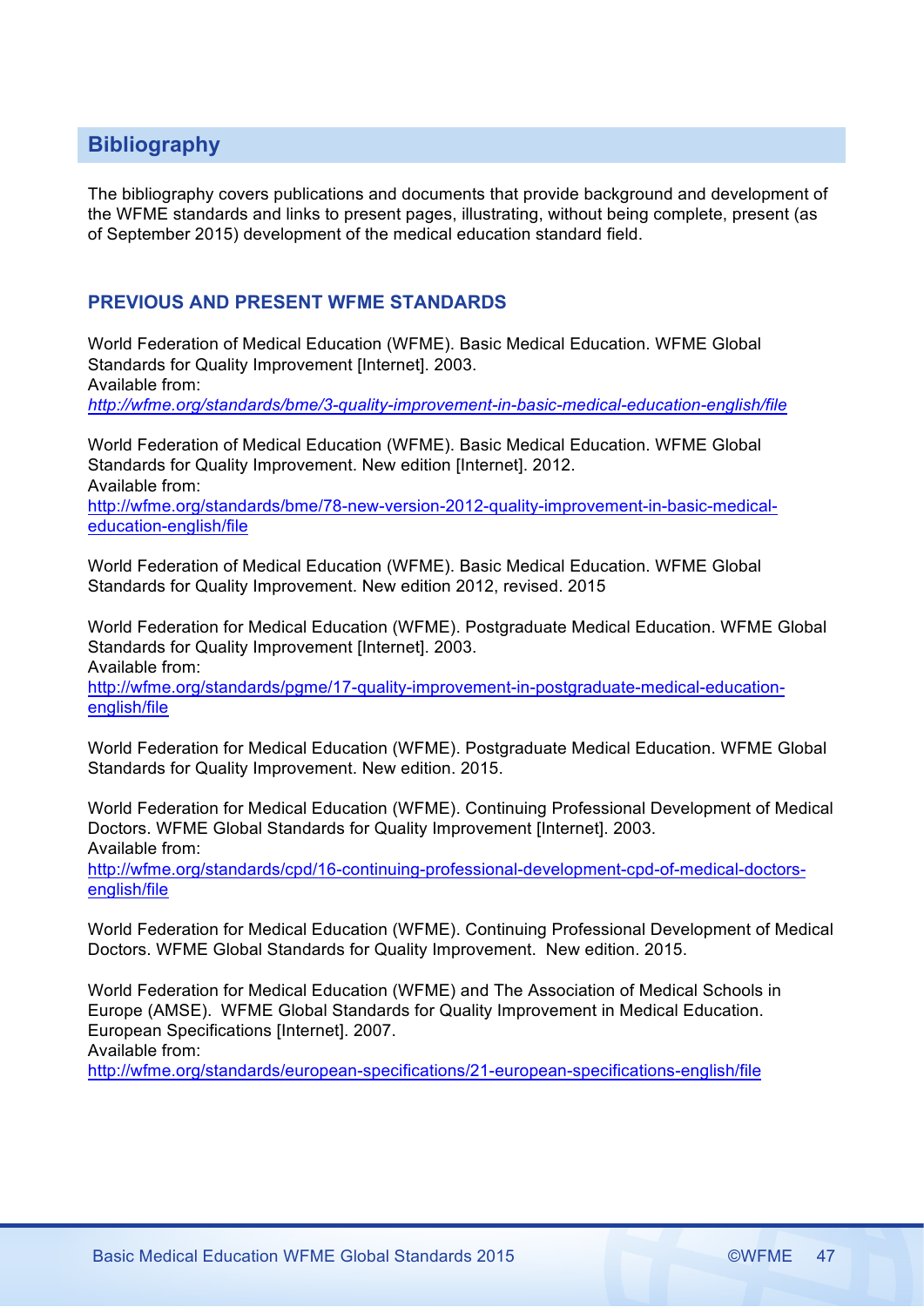# **Bibliography**

The bibliography covers publications and documents that provide background and development of the WFME standards and links to present pages, illustrating, without being complete, present (as of September 2015) development of the medical education standard field.

# **PREVIOUS AND PRESENT WFME STANDARDS**

World Federation of Medical Education (WFME). Basic Medical Education. WFME Global Standards for Quality Improvement [Internet]. 2003. Available from: *http://wfme.org/standards/bme/3-quality-improvement-in-basic-medical-education-english/file*

World Federation of Medical Education (WFME). Basic Medical Education. WFME Global Standards for Quality Improvement. New edition [Internet]. 2012. Available from:

http://wfme.org/standards/bme/78-new-version-2012-quality-improvement-in-basic-medicaleducation-english/file

World Federation of Medical Education (WFME). Basic Medical Education. WFME Global Standards for Quality Improvement. New edition 2012, revised. 2015

World Federation for Medical Education (WFME). Postgraduate Medical Education. WFME Global Standards for Quality Improvement [Internet]. 2003. Available from:

http://wfme.org/standards/pgme/17-quality-improvement-in-postgraduate-medical-educationenglish/file

World Federation for Medical Education (WFME). Postgraduate Medical Education. WFME Global Standards for Quality Improvement. New edition. 2015.

World Federation for Medical Education (WFME). Continuing Professional Development of Medical Doctors. WFME Global Standards for Quality Improvement [Internet]. 2003. Available from:

http://wfme.org/standards/cpd/16-continuing-professional-development-cpd-of-medical-doctorsenglish/file

World Federation for Medical Education (WFME). Continuing Professional Development of Medical Doctors. WFME Global Standards for Quality Improvement. New edition. 2015.

World Federation for Medical Education (WFME) and The Association of Medical Schools in Europe (AMSE). WFME Global Standards for Quality Improvement in Medical Education. European Specifications [Internet]. 2007. Available from:

http://wfme.org/standards/european-specifications/21-european-specifications-english/file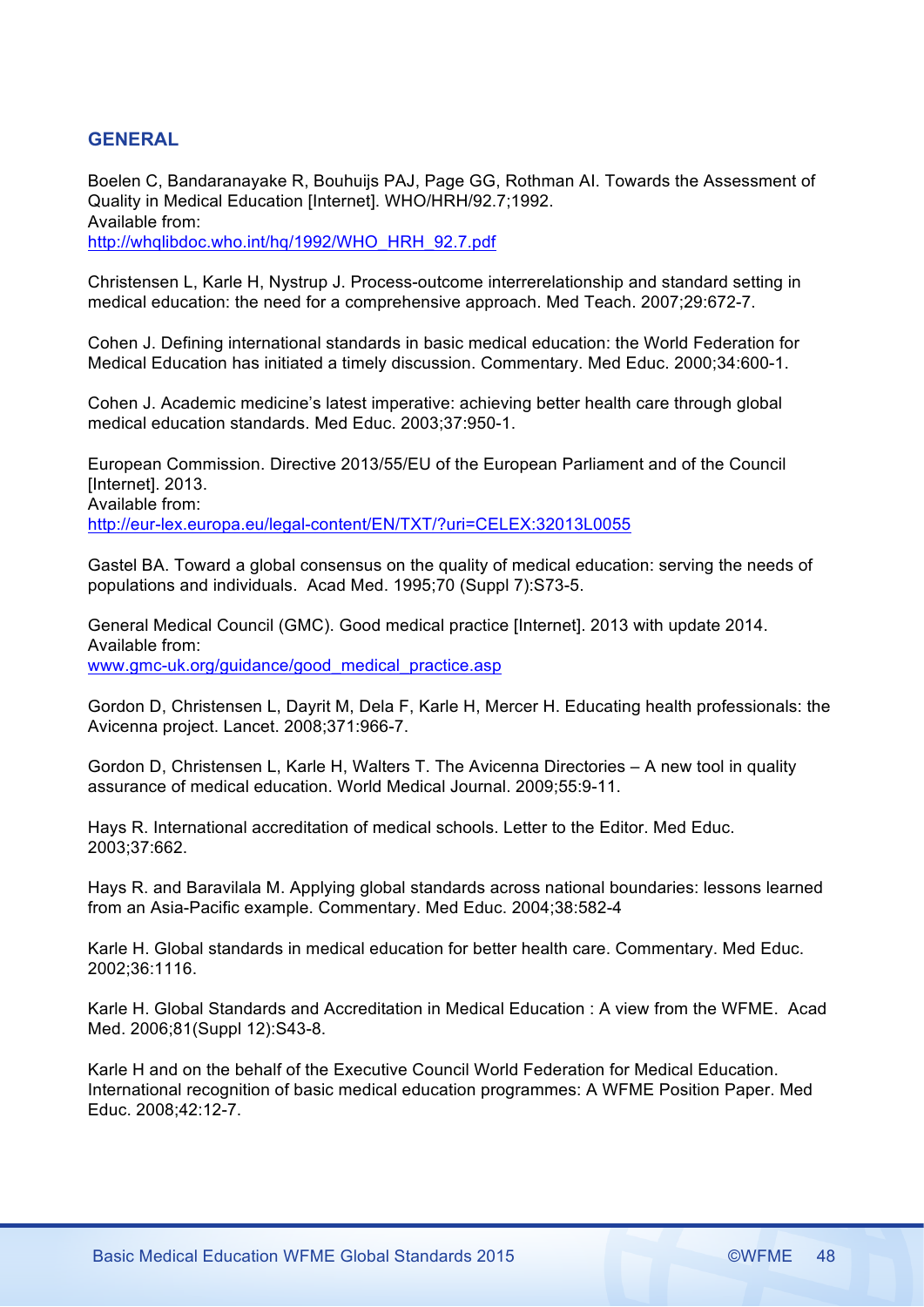# **GENERAL**

Boelen C, Bandaranayake R, Bouhuijs PAJ, Page GG, Rothman AI. Towards the Assessment of Quality in Medical Education [Internet]. WHO/HRH/92.7;1992. Available from: http://whqlibdoc.who.int/hq/1992/WHO\_HRH\_92.7.pdf

Christensen L, Karle H, Nystrup J. Process-outcome interrerelationship and standard setting in medical education: the need for a comprehensive approach. Med Teach. 2007;29:672-7.

Cohen J. Defining international standards in basic medical education: the World Federation for Medical Education has initiated a timely discussion. Commentary. Med Educ. 2000;34:600-1.

Cohen J. Academic medicine's latest imperative: achieving better health care through global medical education standards. Med Educ. 2003;37:950-1.

European Commission. Directive 2013/55/EU of the European Parliament and of the Council [Internet]. 2013. Available from: http://eur-lex.europa.eu/legal-content/EN/TXT/?uri=CELEX:32013L0055

Gastel BA. Toward a global consensus on the quality of medical education: serving the needs of populations and individuals. Acad Med. 1995;70 (Suppl 7):S73-5.

General Medical Council (GMC). Good medical practice [Internet]. 2013 with update 2014. Available from: www.gmc-uk.org/guidance/good\_medical\_practice.asp

Gordon D, Christensen L, Dayrit M, Dela F, Karle H, Mercer H. Educating health professionals: the Avicenna project. Lancet. 2008;371:966-7.

Gordon D, Christensen L, Karle H, Walters T. The Avicenna Directories – A new tool in quality assurance of medical education. World Medical Journal. 2009;55:9-11.

Hays R. International accreditation of medical schools. Letter to the Editor. Med Educ. 2003;37:662.

Hays R. and Baravilala M. Applying global standards across national boundaries: lessons learned from an Asia-Pacific example. Commentary. Med Educ. 2004;38:582-4

Karle H. Global standards in medical education for better health care. Commentary. Med Educ. 2002;36:1116.

Karle H. Global Standards and Accreditation in Medical Education : A view from the WFME. Acad Med. 2006;81(Suppl 12):S43-8.

Karle H and on the behalf of the Executive Council World Federation for Medical Education. International recognition of basic medical education programmes: A WFME Position Paper. Med Educ. 2008;42:12-7.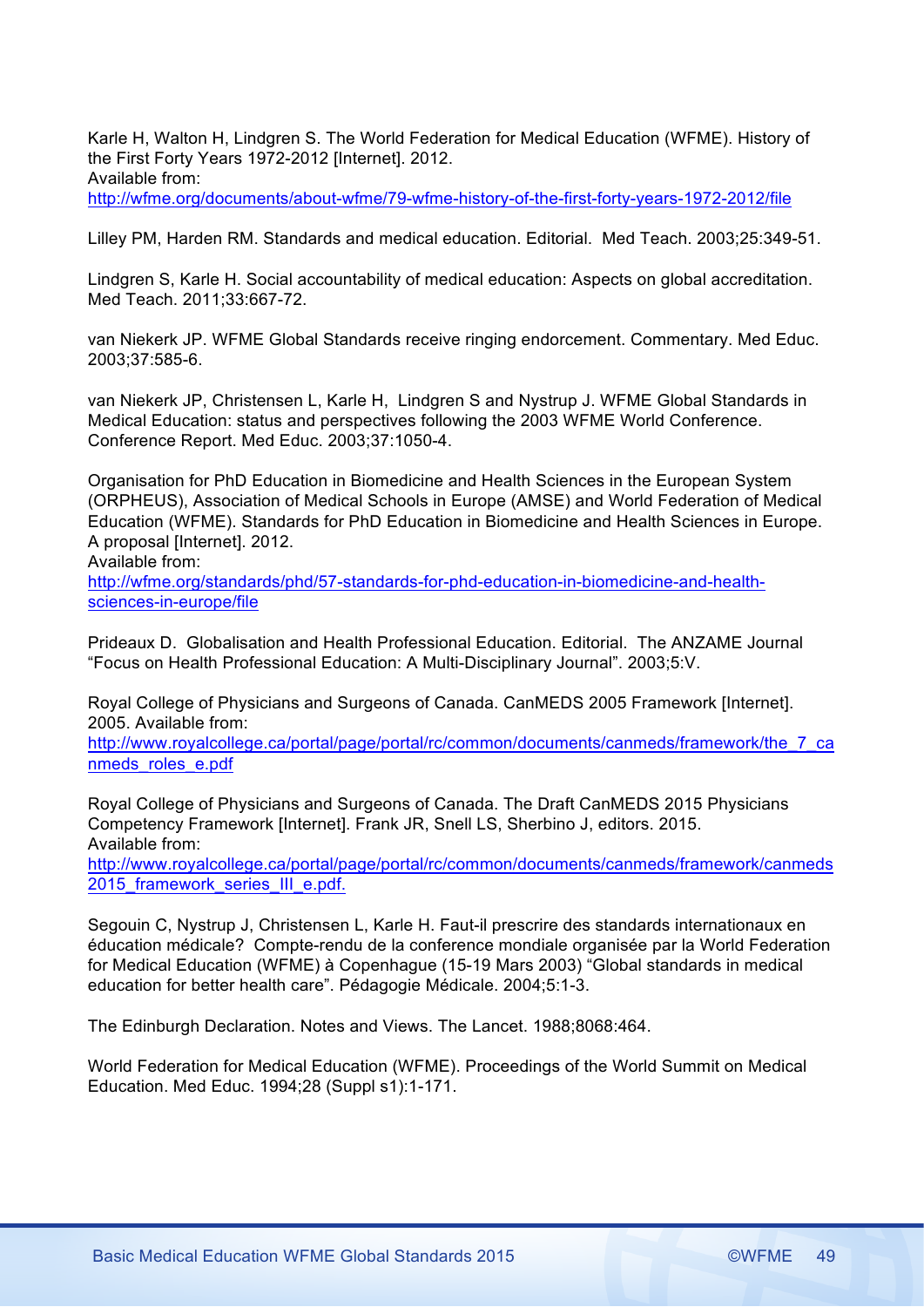Karle H, Walton H, Lindgren S. The World Federation for Medical Education (WFME). History of the First Forty Years 1972-2012 [Internet]. 2012. Available from: http://wfme.org/documents/about-wfme/79-wfme-history-of-the-first-forty-years-1972-2012/file

Lilley PM, Harden RM. Standards and medical education. Editorial. Med Teach. 2003;25:349-51.

Lindgren S, Karle H. Social accountability of medical education: Aspects on global accreditation. Med Teach. 2011;33:667-72.

van Niekerk JP. WFME Global Standards receive ringing endorcement. Commentary. Med Educ. 2003;37:585-6.

van Niekerk JP, Christensen L, Karle H, Lindgren S and Nystrup J. WFME Global Standards in Medical Education: status and perspectives following the 2003 WFME World Conference. Conference Report. Med Educ. 2003;37:1050-4.

Organisation for PhD Education in Biomedicine and Health Sciences in the European System (ORPHEUS), Association of Medical Schools in Europe (AMSE) and World Federation of Medical Education (WFME). Standards for PhD Education in Biomedicine and Health Sciences in Europe. A proposal [Internet]. 2012.

Available from:

http://wfme.org/standards/phd/57-standards-for-phd-education-in-biomedicine-and-healthsciences-in-europe/file

Prideaux D. Globalisation and Health Professional Education. Editorial. The ANZAME Journal "Focus on Health Professional Education: A Multi-Disciplinary Journal". 2003;5:V.

Royal College of Physicians and Surgeons of Canada. CanMEDS 2005 Framework [Internet]. 2005. Available from:

http://www.royalcollege.ca/portal/page/portal/rc/common/documents/canmeds/framework/the\_7\_ca nmeds\_roles\_e.pdf

Royal College of Physicians and Surgeons of Canada. The Draft CanMEDS 2015 Physicians Competency Framework [Internet]. Frank JR, Snell LS, Sherbino J, editors. 2015. Available from:

http://www.royalcollege.ca/portal/page/portal/rc/common/documents/canmeds/framework/canmeds 2015 framework series III e.pdf.

Segouin C, Nystrup J, Christensen L, Karle H. Faut-il prescrire des standards internationaux en éducation médicale? Compte-rendu de la conference mondiale organisée par la World Federation for Medical Education (WFME) à Copenhague (15-19 Mars 2003) "Global standards in medical education for better health care". Pédagogie Médicale. 2004;5:1-3.

The Edinburgh Declaration. Notes and Views. The Lancet. 1988;8068:464.

World Federation for Medical Education (WFME). Proceedings of the World Summit on Medical Education. Med Educ. 1994;28 (Suppl s1):1-171.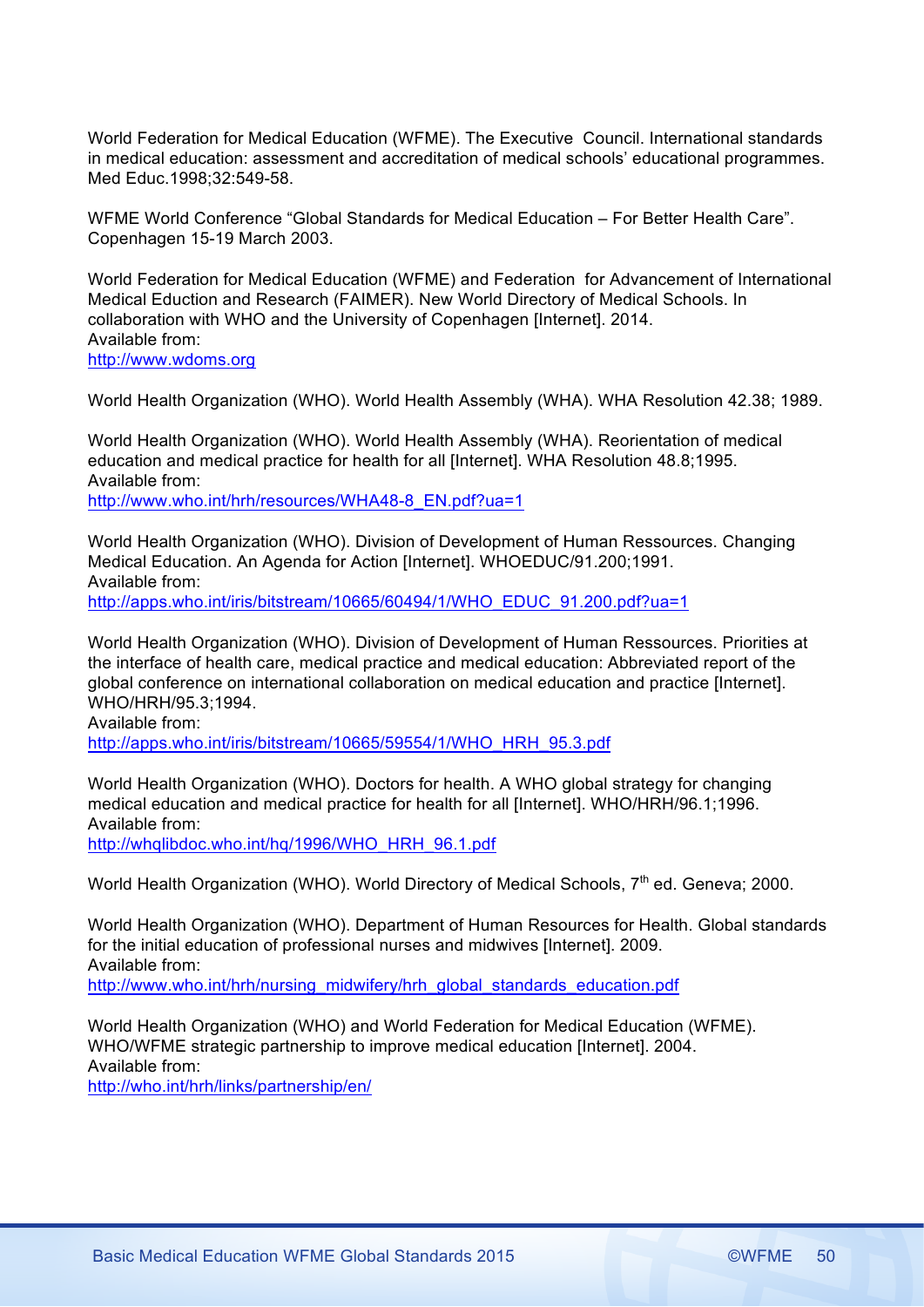World Federation for Medical Education (WFME). The Executive Council. International standards in medical education: assessment and accreditation of medical schools' educational programmes. Med Educ.1998;32:549-58.

WFME World Conference "Global Standards for Medical Education – For Better Health Care". Copenhagen 15-19 March 2003.

World Federation for Medical Education (WFME) and Federation for Advancement of International Medical Eduction and Research (FAIMER). New World Directory of Medical Schools. In collaboration with WHO and the University of Copenhagen [Internet]. 2014. Available from: http://www.wdoms.org

World Health Organization (WHO). World Health Assembly (WHA). WHA Resolution 42.38; 1989.

World Health Organization (WHO). World Health Assembly (WHA). Reorientation of medical education and medical practice for health for all [Internet]. WHA Resolution 48.8;1995. Available from:

http://www.who.int/hrh/resources/WHA48-8\_EN.pdf?ua=1

World Health Organization (WHO). Division of Development of Human Ressources. Changing Medical Education. An Agenda for Action [Internet]. WHOEDUC/91.200;1991. Available from: http://apps.who.int/iris/bitstream/10665/60494/1/WHO\_EDUC\_91.200.pdf?ua=1

World Health Organization (WHO). Division of Development of Human Ressources. Priorities at the interface of health care, medical practice and medical education: Abbreviated report of the global conference on international collaboration on medical education and practice [Internet].

WHO/HRH/95.3;1994. Available from:

http://apps.who.int/iris/bitstream/10665/59554/1/WHO\_HRH\_95.3.pdf

World Health Organization (WHO). Doctors for health. A WHO global strategy for changing medical education and medical practice for health for all [Internet]. WHO/HRH/96.1;1996. Available from: http://whqlibdoc.who.int/hq/1996/WHO\_HRH\_96.1.pdf

World Health Organization (WHO). World Directory of Medical Schools, 7<sup>th</sup> ed. Geneva; 2000.

World Health Organization (WHO). Department of Human Resources for Health. Global standards for the initial education of professional nurses and midwives [Internet]. 2009. Available from: http://www.who.int/hrh/nursing\_midwifery/hrh\_global\_standards\_education.pdf

World Health Organization (WHO) and World Federation for Medical Education (WFME). WHO/WFME strategic partnership to improve medical education [Internet]. 2004. Available from:

http://who.int/hrh/links/partnership/en/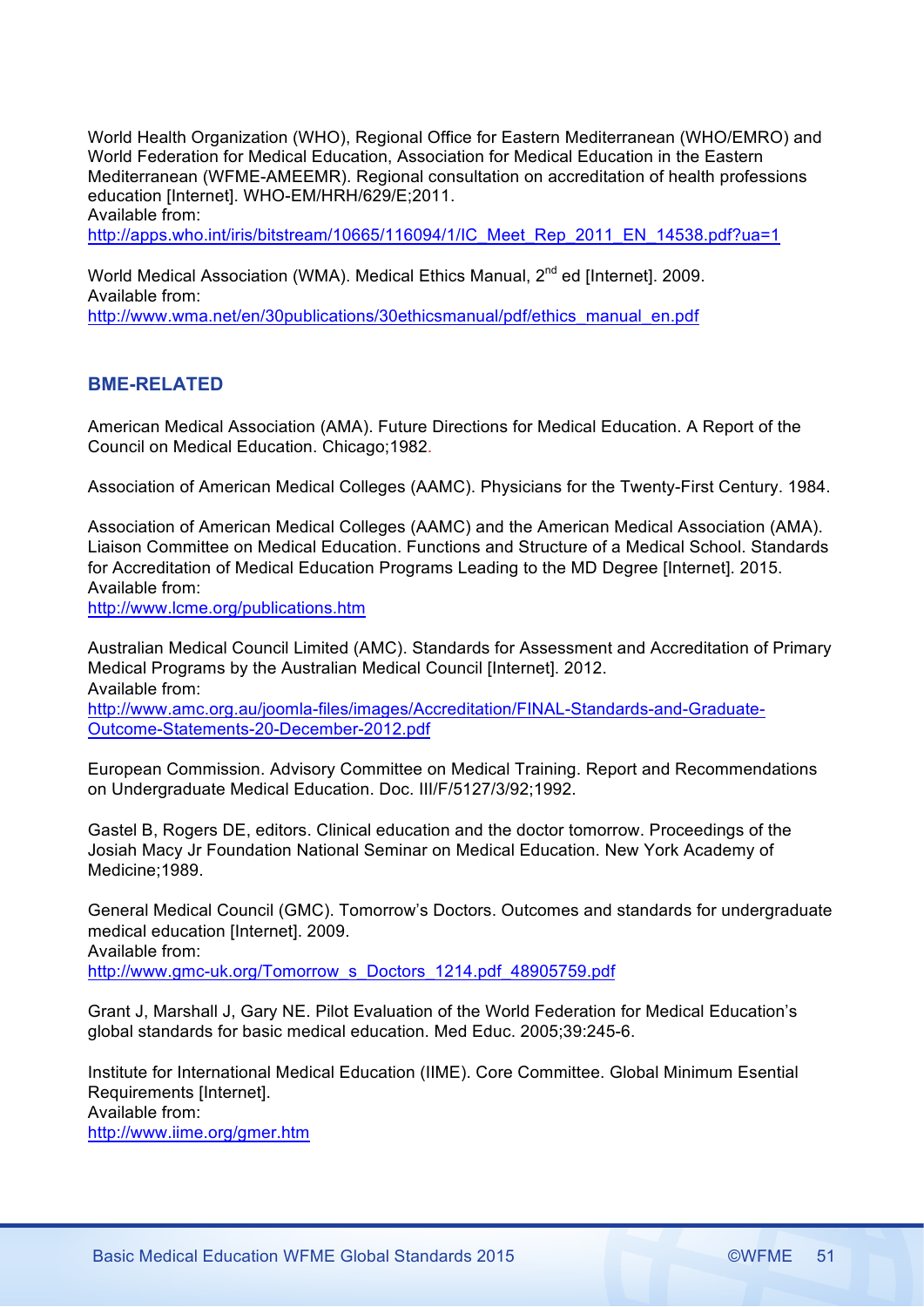World Health Organization (WHO), Regional Office for Eastern Mediterranean (WHO/EMRO) and World Federation for Medical Education, Association for Medical Education in the Eastern Mediterranean (WFME-AMEEMR). Regional consultation on accreditation of health professions education [Internet]. WHO-EM/HRH/629/E;2011. Available from:

http://apps.who.int/iris/bitstream/10665/116094/1/IC\_Meet\_Rep\_2011\_EN\_14538.pdf?ua=1

World Medical Association (WMA). Medical Ethics Manual, 2<sup>nd</sup> ed [Internet]. 2009. Available from:

http://www.wma.net/en/30publications/30ethicsmanual/pdf/ethics\_manual\_en.pdf

# **BME-RELATED**

American Medical Association (AMA). Future Directions for Medical Education. A Report of the Council on Medical Education. Chicago;1982.

Association of American Medical Colleges (AAMC). Physicians for the Twenty-First Century. 1984.

Association of American Medical Colleges (AAMC) and the American Medical Association (AMA). Liaison Committee on Medical Education. Functions and Structure of a Medical School. Standards for Accreditation of Medical Education Programs Leading to the MD Degree [Internet]. 2015. Available from:

http://www.lcme.org/publications.htm

Australian Medical Council Limited (AMC). Standards for Assessment and Accreditation of Primary Medical Programs by the Australian Medical Council [Internet]. 2012. Available from:

http://www.amc.org.au/joomla-files/images/Accreditation/FINAL-Standards-and-Graduate-Outcome-Statements-20-December-2012.pdf

European Commission. Advisory Committee on Medical Training. Report and Recommendations on Undergraduate Medical Education. Doc. III/F/5127/3/92;1992.

Gastel B, Rogers DE, editors. Clinical education and the doctor tomorrow. Proceedings of the Josiah Macy Jr Foundation National Seminar on Medical Education. New York Academy of Medicine;1989.

General Medical Council (GMC). Tomorrow's Doctors. Outcomes and standards for undergraduate medical education [Internet]. 2009. Available from:

http://www.gmc-uk.org/Tomorrow\_s\_Doctors\_1214.pdf\_48905759.pdf

Grant J, Marshall J, Gary NE. Pilot Evaluation of the World Federation for Medical Education's global standards for basic medical education. Med Educ. 2005;39:245-6.

Institute for International Medical Education (IIME). Core Committee. Global Minimum Esential Requirements [Internet].

Available from:

http://www.iime.org/gmer.htm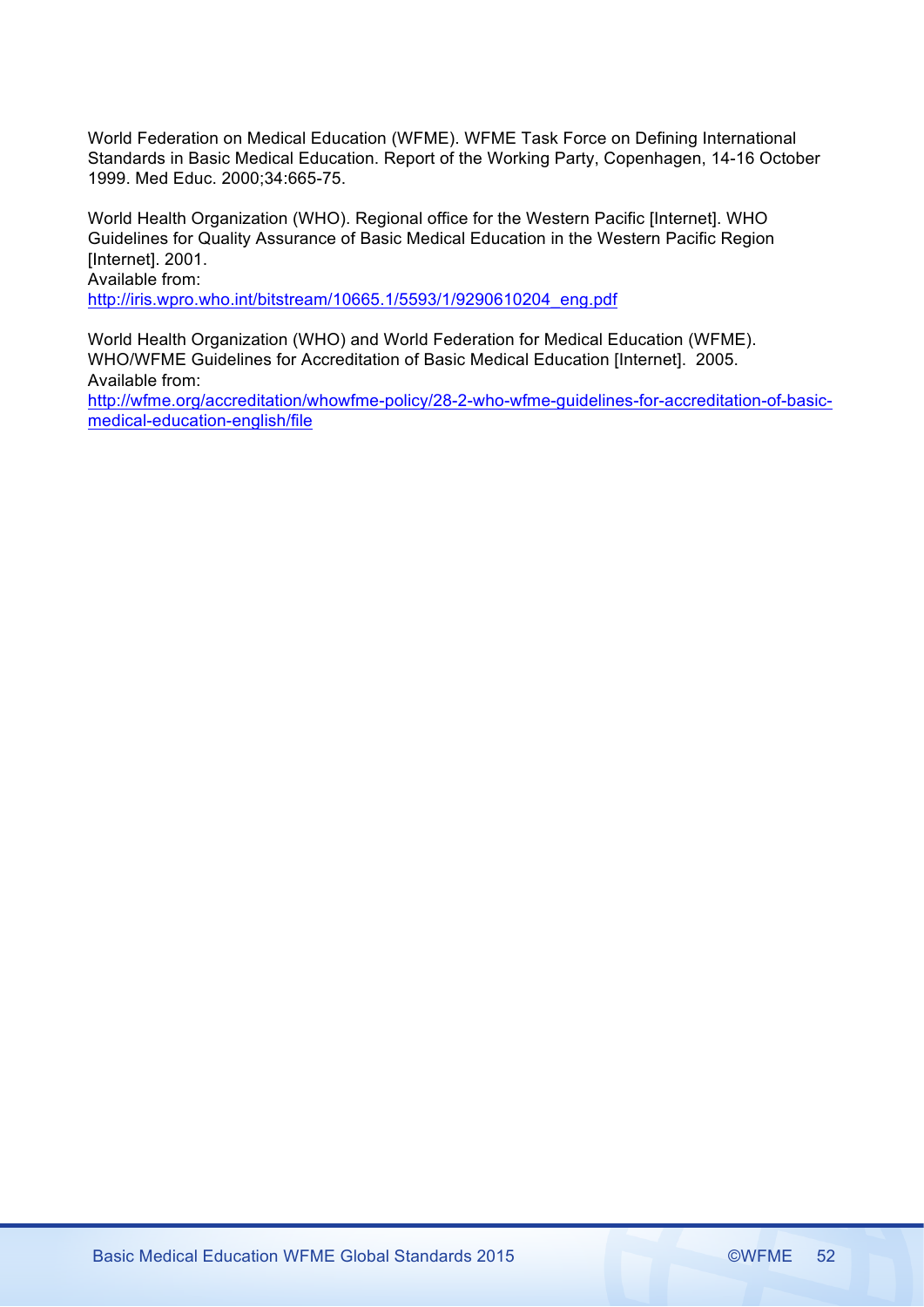World Federation on Medical Education (WFME). WFME Task Force on Defining International Standards in Basic Medical Education. Report of the Working Party, Copenhagen, 14-16 October 1999. Med Educ. 2000;34:665-75.

World Health Organization (WHO). Regional office for the Western Pacific [Internet]. WHO Guidelines for Quality Assurance of Basic Medical Education in the Western Pacific Region [Internet]. 2001.

Available from:

http://iris.wpro.who.int/bitstream/10665.1/5593/1/9290610204\_eng.pdf

World Health Organization (WHO) and World Federation for Medical Education (WFME). WHO/WFME Guidelines for Accreditation of Basic Medical Education [Internet]. 2005. Available from:

http://wfme.org/accreditation/whowfme-policy/28-2-who-wfme-guidelines-for-accreditation-of-basicmedical-education-english/file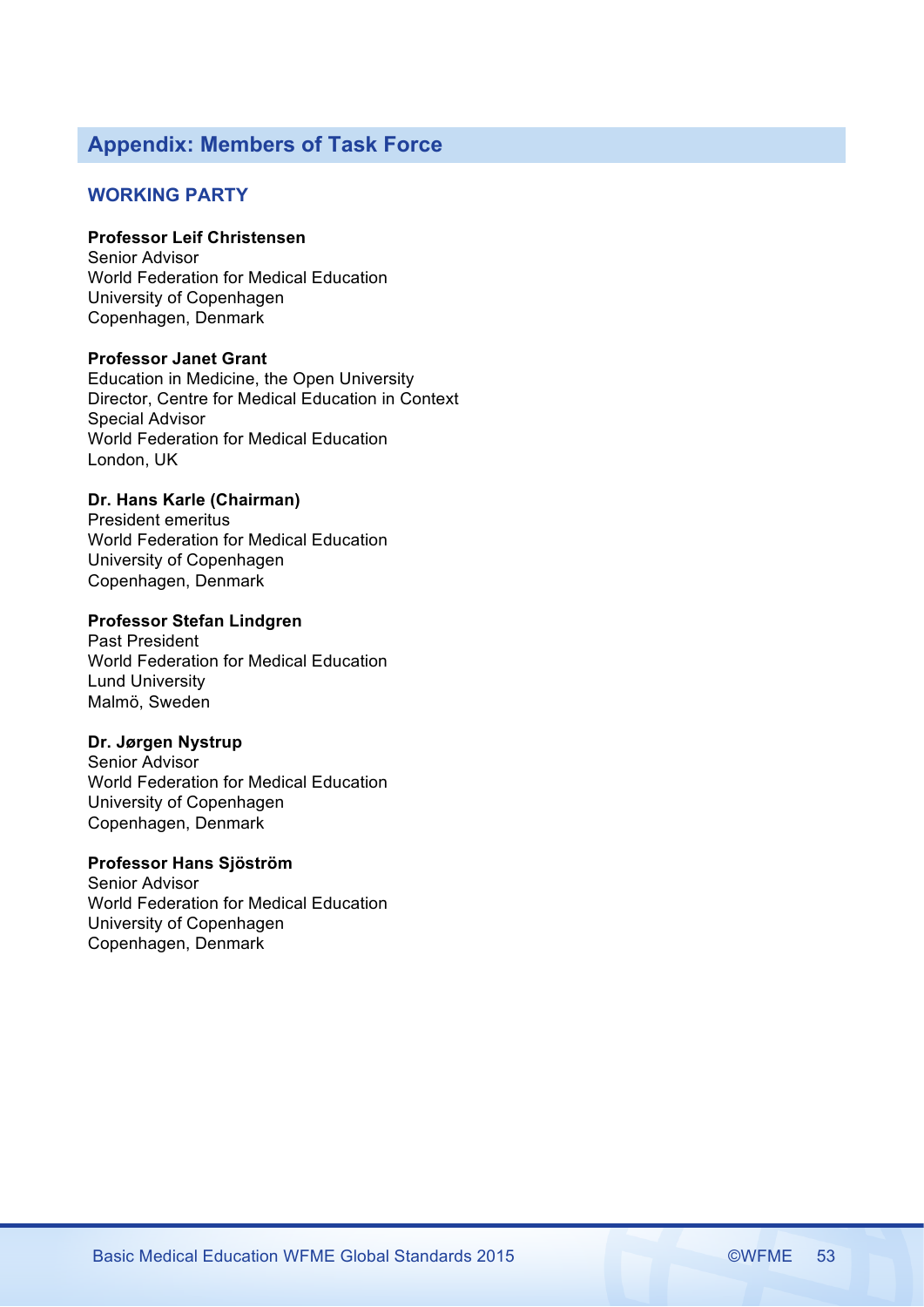# **Appendix: Members of Task Force**

# **WORKING PARTY**

# **Professor Leif Christensen**

Senior Advisor World Federation for Medical Education University of Copenhagen Copenhagen, Denmark

# **Professor Janet Grant**

Education in Medicine, the Open University Director, Centre for Medical Education in Context Special Advisor World Federation for Medical Education London, UK

# **Dr. Hans Karle (Chairman)**

President emeritus World Federation for Medical Education University of Copenhagen Copenhagen, Denmark

# **Professor Stefan Lindgren**

Past President World Federation for Medical Education Lund University Malmö, Sweden

# **Dr. Jørgen Nystrup**

Senior Advisor World Federation for Medical Education University of Copenhagen Copenhagen, Denmark

# **Professor Hans Sjöström**

Senior Advisor World Federation for Medical Education University of Copenhagen Copenhagen, Denmark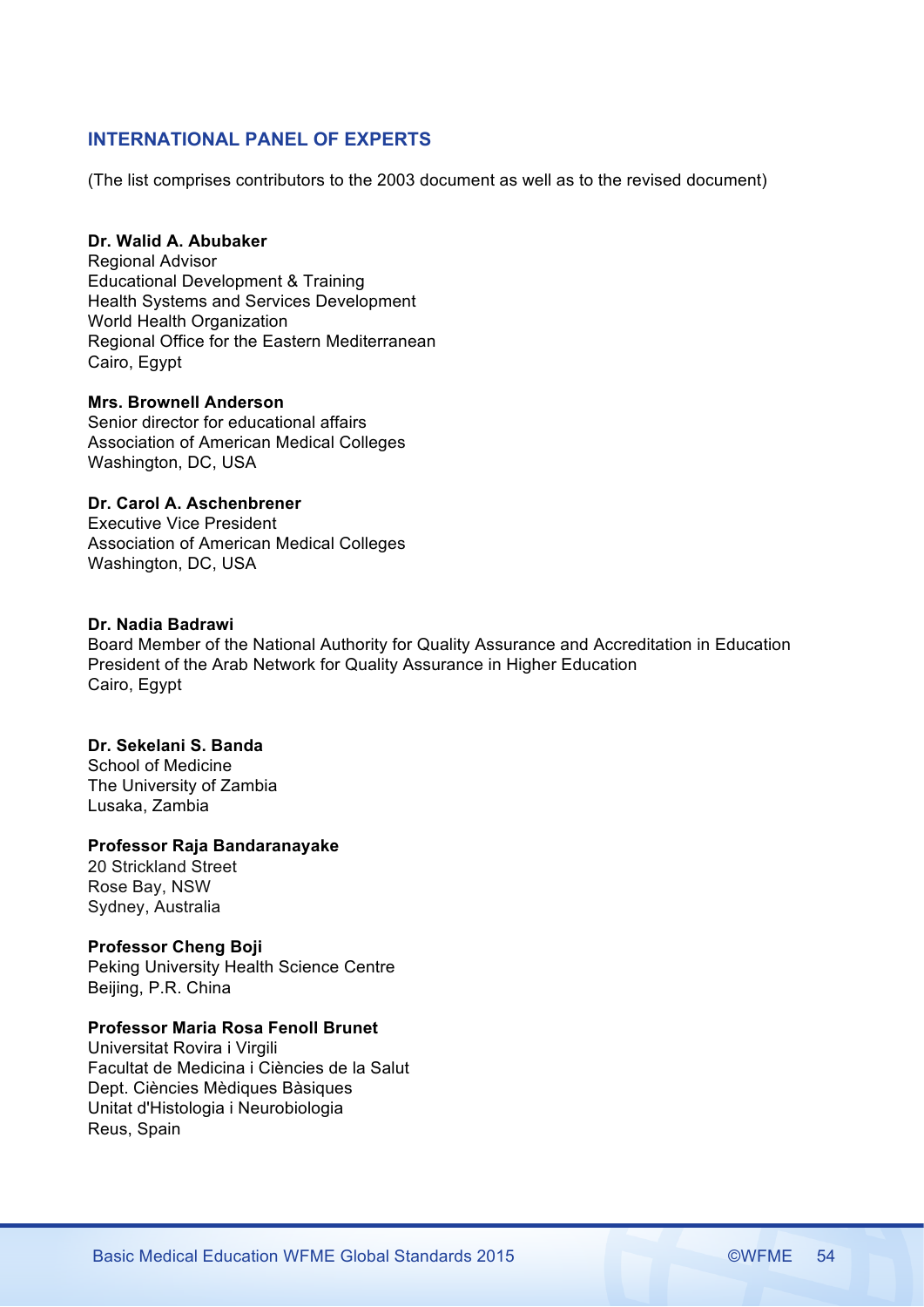# **INTERNATIONAL PANEL OF EXPERTS**

(The list comprises contributors to the 2003 document as well as to the revised document)

# **Dr. Walid A. Abubaker**

Regional Advisor Educational Development & Training Health Systems and Services Development World Health Organization Regional Office for the Eastern Mediterranean Cairo, Egypt

# **Mrs. Brownell Anderson**

Senior director for educational affairs Association of American Medical Colleges Washington, DC, USA

# **Dr. Carol A. Aschenbrener**

Executive Vice President Association of American Medical Colleges Washington, DC, USA

# **Dr. Nadia Badrawi**

Board Member of the National Authority for Quality Assurance and Accreditation in Education President of the Arab Network for Quality Assurance in Higher Education Cairo, Egypt

### **Dr. Sekelani S. Banda**

School of Medicine The University of Zambia Lusaka, Zambia

### **Professor Raja Bandaranayake**

20 Strickland Street Rose Bay, NSW Sydney, Australia

# **Professor Cheng Boji**

Peking University Health Science Centre Beijing, P.R. China

# **Professor Maria Rosa Fenoll Brunet**

Universitat Rovira i Virgili Facultat de Medicina i Ciències de la Salut Dept. Ciències Mèdiques Bàsiques Unitat d'Histologia i Neurobiologia Reus, Spain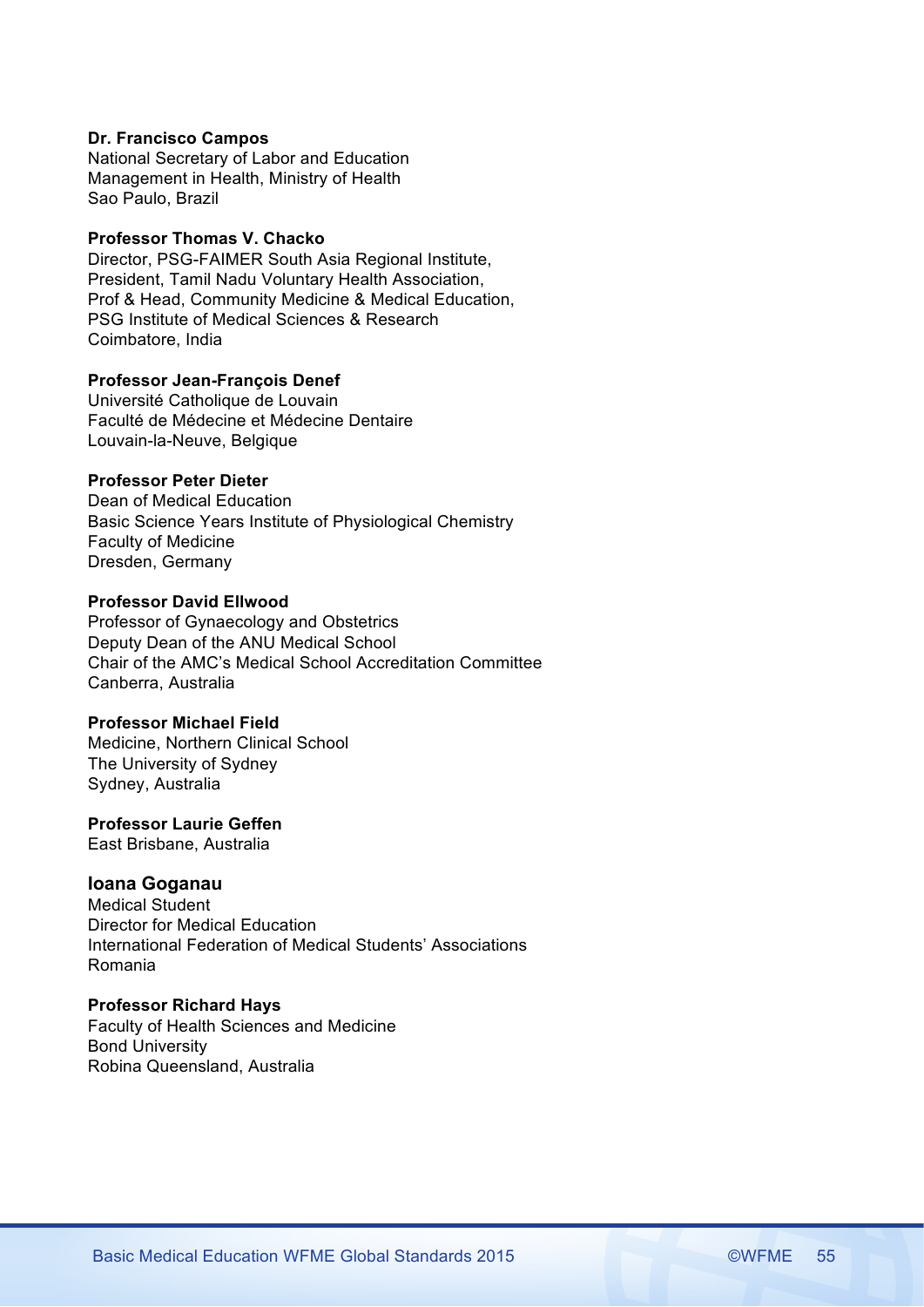### **Dr. Francisco Campos**

National Secretary of Labor and Education Management in Health, Ministry of Health Sao Paulo, Brazil

# **Professor Thomas V. Chacko**

Director, PSG-FAIMER South Asia Regional Institute, President, Tamil Nadu Voluntary Health Association, Prof & Head, Community Medicine & Medical Education, PSG Institute of Medical Sciences & Research Coimbatore, India

# **Professor Jean-François Denef**

Université Catholique de Louvain Faculté de Médecine et Médecine Dentaire Louvain-la-Neuve, Belgique

# **Professor Peter Dieter**

Dean of Medical Education Basic Science Years Institute of Physiological Chemistry Faculty of Medicine Dresden, Germany

### **Professor David Ellwood**

Professor of Gynaecology and Obstetrics Deputy Dean of the ANU Medical School Chair of the AMC's Medical School Accreditation Committee Canberra, Australia

### **Professor Michael Field**

Medicine, Northern Clinical School The University of Sydney Sydney, Australia

### **Professor Laurie Geffen**

East Brisbane, Australia

### **Ioana Goganau**

Medical Student Director for Medical Education International Federation of Medical Students' Associations Romania

### **Professor Richard Hays**

Faculty of Health Sciences and Medicine Bond University Robina Queensland, Australia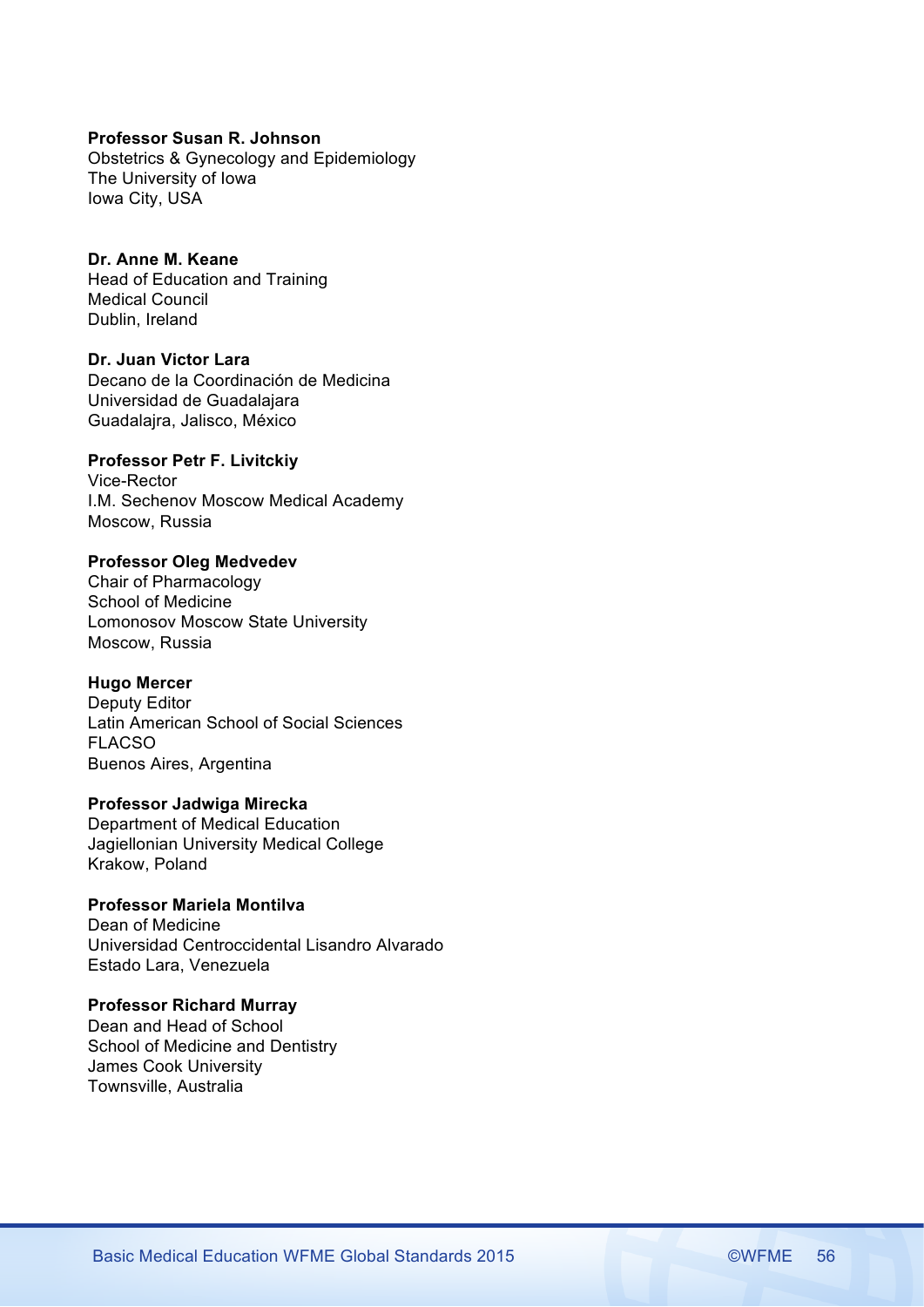### **Professor Susan R. Johnson**

Obstetrics & Gynecology and Epidemiology The University of Iowa Iowa City, USA

# **Dr. Anne M. Keane**

Head of Education and Training Medical Council Dublin, Ireland

# **Dr. Juan Victor Lara**

Decano de la Coordinación de Medicina Universidad de Guadalajara Guadalajra, Jalisco, México

# **Professor Petr F. Livitckiy**

Vice-Rector I.M. Sechenov Moscow Medical Academy Moscow, Russia

# **Professor Oleg Medvedev**

Chair of Pharmacology School of Medicine Lomonosov Moscow State University Moscow, Russia

# **Hugo Mercer**

Deputy Editor Latin American School of Social Sciences FLACSO Buenos Aires, Argentina

### **Professor Jadwiga Mirecka**

Department of Medical Education Jagiellonian University Medical College Krakow, Poland

# **Professor Mariela Montilva**

Dean of Medicine Universidad Centroccidental Lisandro Alvarado Estado Lara, Venezuela

# **Professor Richard Murray**

Dean and Head of School School of Medicine and Dentistry James Cook University Townsville, Australia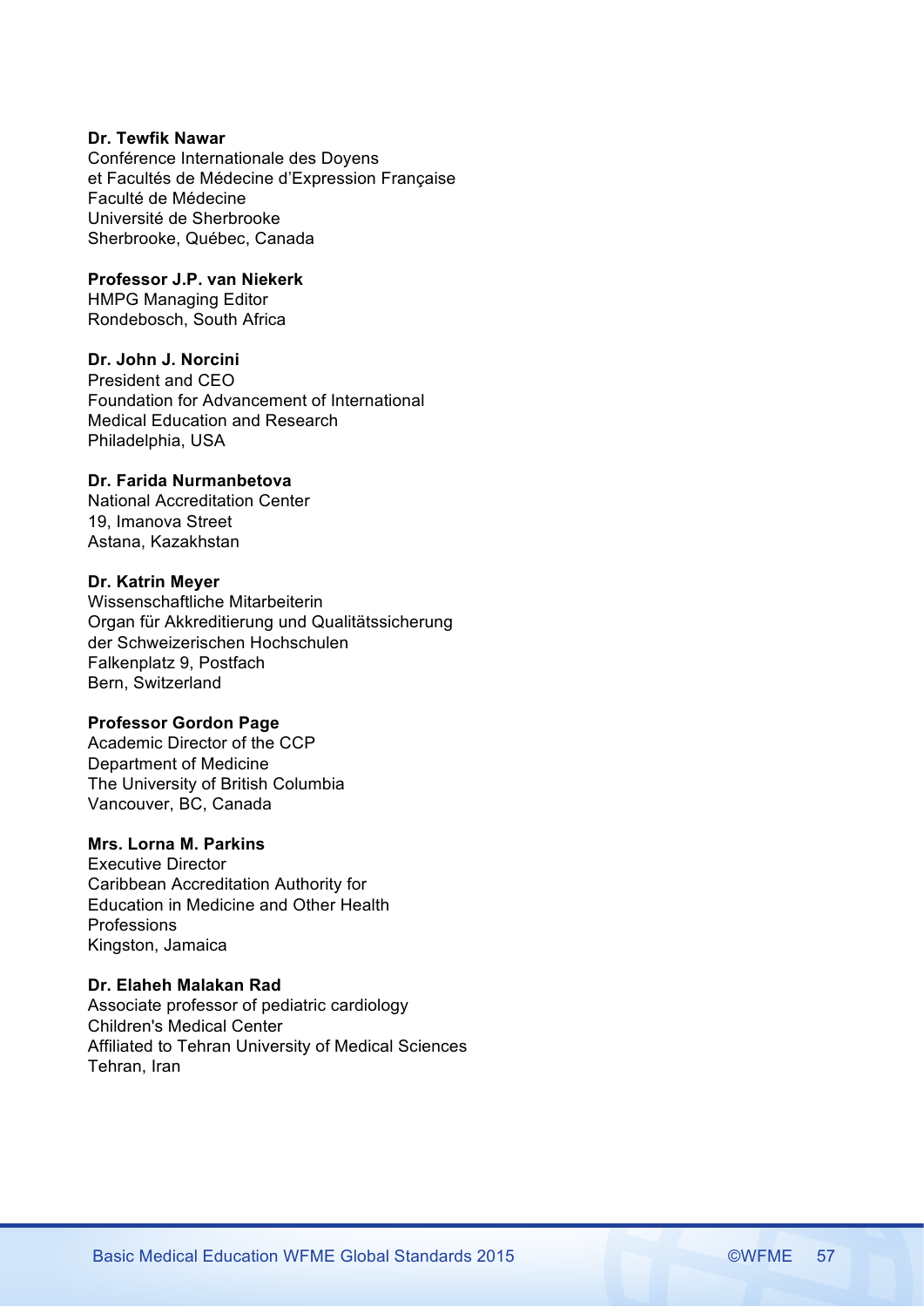# **Dr. Tewfik Nawar**

Conférence Internationale des Doyens et Facultés de Médecine d'Expression Française Faculté de Médecine Université de Sherbrooke Sherbrooke, Québec, Canada

### **Professor J.P. van Niekerk**

HMPG Managing Editor Rondebosch, South Africa

### **Dr. John J. Norcini**

President and CEO Foundation for Advancement of International Medical Education and Research Philadelphia, USA

# **Dr. Farida Nurmanbetova**

National Accreditation Center 19, Imanova Street Astana, Kazakhstan

# **Dr. Katrin Meyer**

Wissenschaftliche Mitarbeiterin Organ für Akkreditierung und Qualitätssicherung der Schweizerischen Hochschulen Falkenplatz 9, Postfach Bern, Switzerland

### **Professor Gordon Page**

Academic Director of the CCP Department of Medicine The University of British Columbia Vancouver, BC, Canada

# **Mrs. Lorna M. Parkins**

Executive Director Caribbean Accreditation Authority for Education in Medicine and Other Health Professions Kingston, Jamaica

### **Dr. Elaheh Malakan Rad**

Associate professor of pediatric cardiology Children's Medical Center Affiliated to Tehran University of Medical Sciences Tehran, Iran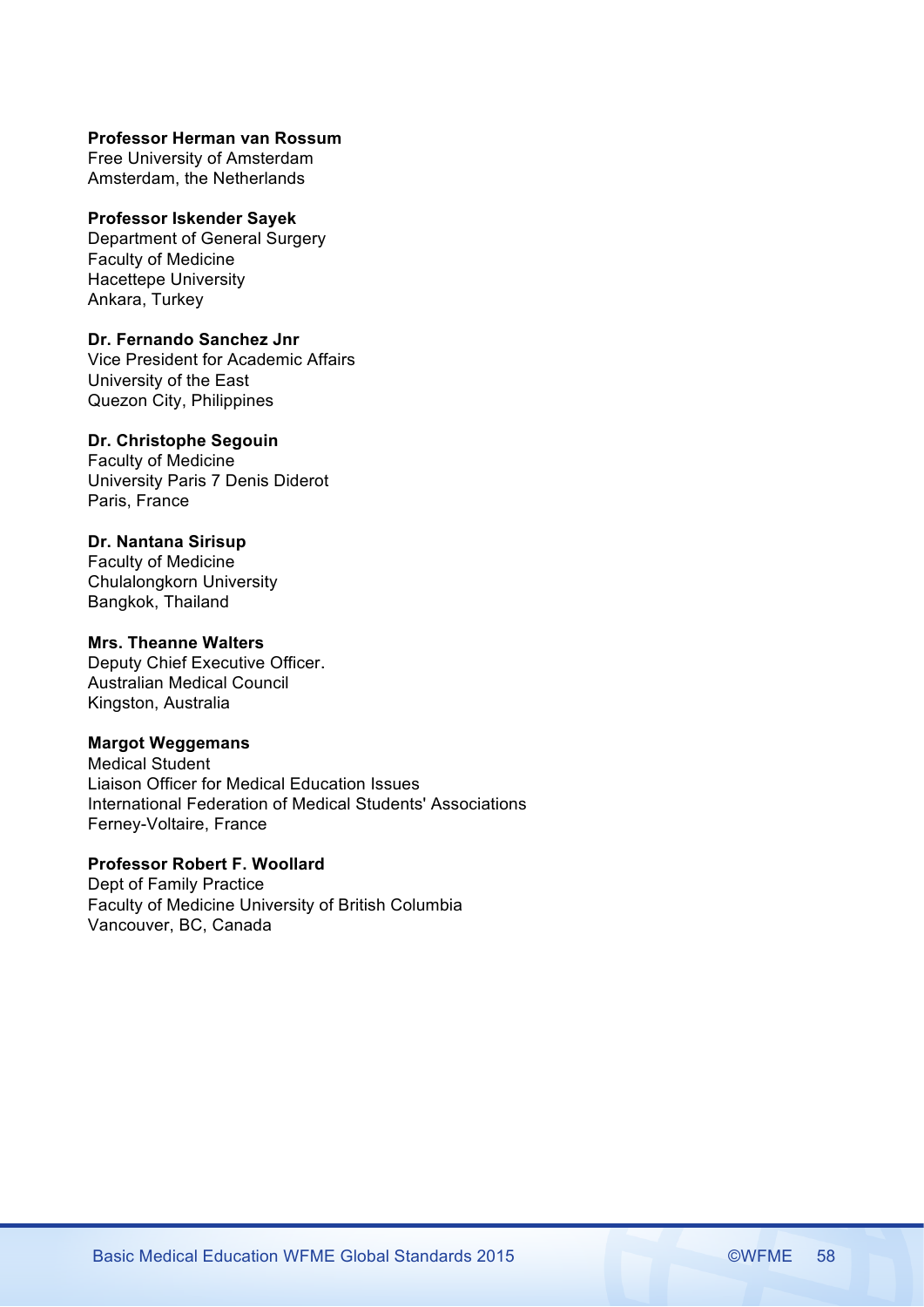#### **Professor Herman van Rossum**

Free University of Amsterdam Amsterdam, the Netherlands

#### **Professor Iskender Sayek**

Department of General Surgery Faculty of Medicine Hacettepe University Ankara, Turkey

### **Dr. Fernando Sanchez Jnr**

Vice President for Academic Affairs University of the East Quezon City, Philippines

# **Dr. Christophe Segouin**

Faculty of Medicine University Paris 7 Denis Diderot Paris, France

# **Dr. Nantana Sirisup**

Faculty of Medicine Chulalongkorn University Bangkok, Thailand

# **Mrs. Theanne Walters**

Deputy Chief Executive Officer. Australian Medical Council Kingston, Australia

# **Margot Weggemans**

Medical Student Liaison Officer for Medical Education Issues International Federation of Medical Students' Associations Ferney-Voltaire, France

# **Professor Robert F. Woollard**

Dept of Family Practice Faculty of Medicine University of British Columbia Vancouver, BC, Canada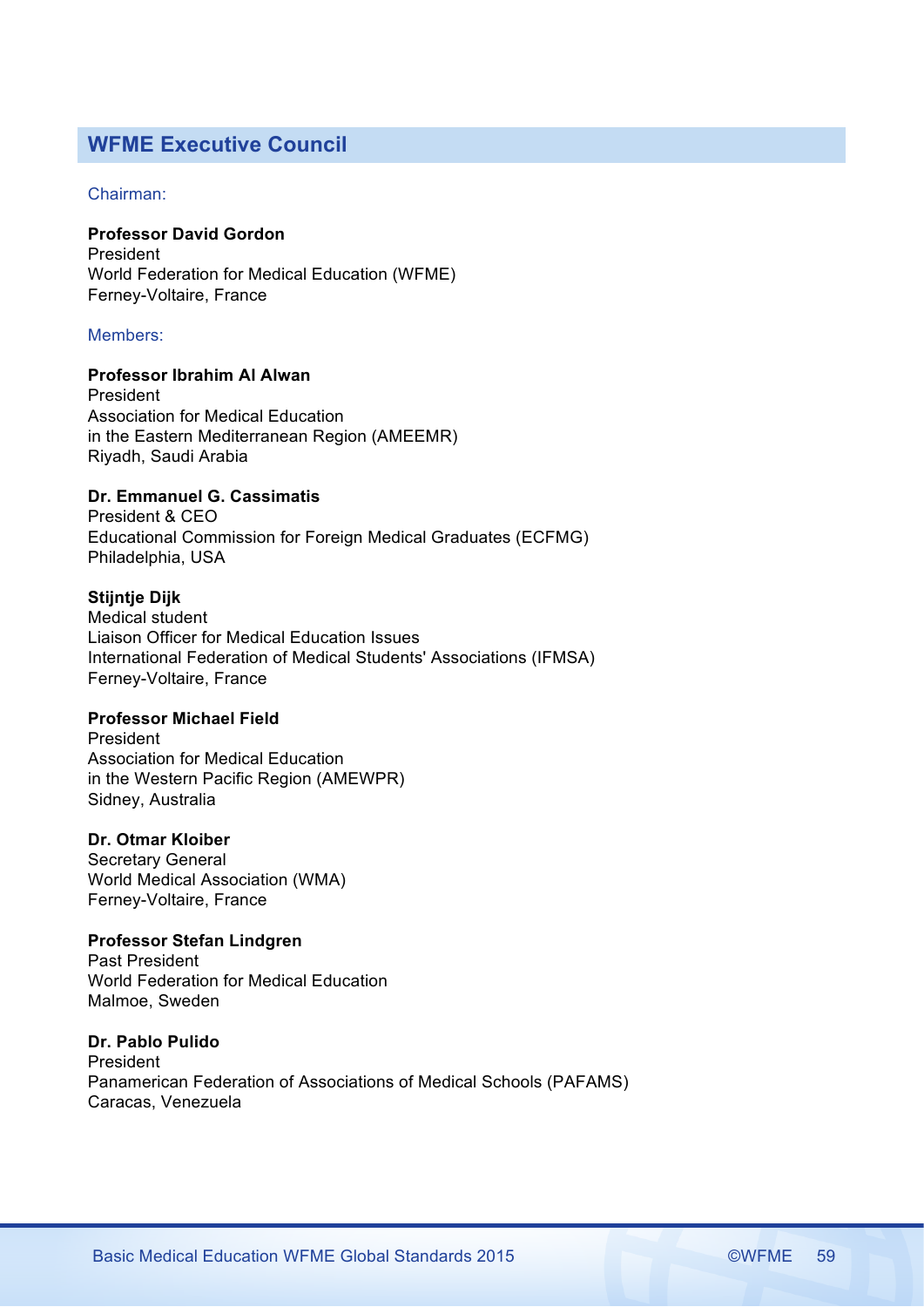# **WFME Executive Council**

# Chairman:

# **Professor David Gordon**

President World Federation for Medical Education (WFME) Ferney-Voltaire, France

# Members:

# **Professor Ibrahim Al Alwan**

President Association for Medical Education in the Eastern Mediterranean Region (AMEEMR) Riyadh, Saudi Arabia

# **Dr. Emmanuel G. Cassimatis**

President & CEO Educational Commission for Foreign Medical Graduates (ECFMG) Philadelphia, USA

# **Stijntje Dijk**

Medical student Liaison Officer for Medical Education Issues International Federation of Medical Students' Associations (IFMSA) Ferney-Voltaire, France

### **Professor Michael Field**

President Association for Medical Education in the Western Pacific Region (AMEWPR) Sidney, Australia

# **Dr. Otmar Kloiber**

Secretary General World Medical Association (WMA) Ferney-Voltaire, France

# **Professor Stefan Lindgren**

Past President World Federation for Medical Education Malmoe, Sweden

# **Dr. Pablo Pulido** President Panamerican Federation of Associations of Medical Schools (PAFAMS) Caracas, Venezuela